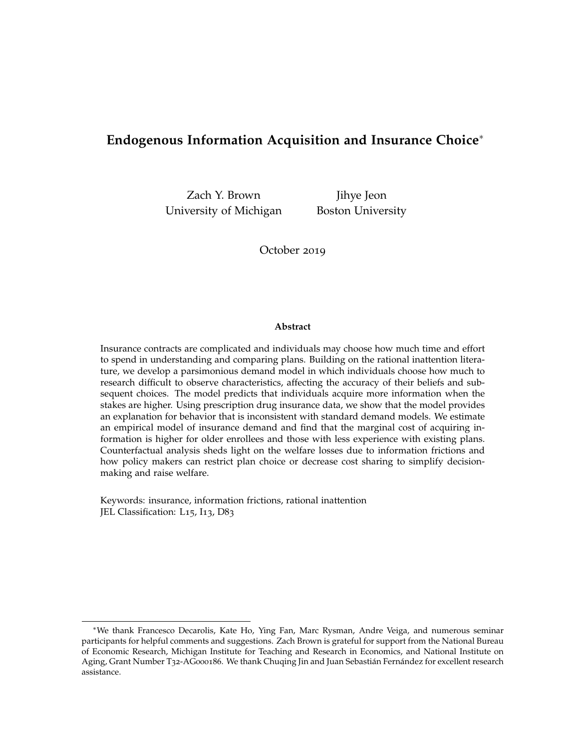## **Endogenous Information Acquisition and Insurance Choice**<sup>∗</sup>

Zach Y. Brown Jihye Jeon University of Michigan Boston University

October 2019

#### **Abstract**

Insurance contracts are complicated and individuals may choose how much time and effort to spend in understanding and comparing plans. Building on the rational inattention literature, we develop a parsimonious demand model in which individuals choose how much to research difficult to observe characteristics, affecting the accuracy of their beliefs and subsequent choices. The model predicts that individuals acquire more information when the stakes are higher. Using prescription drug insurance data, we show that the model provides an explanation for behavior that is inconsistent with standard demand models. We estimate an empirical model of insurance demand and find that the marginal cost of acquiring information is higher for older enrollees and those with less experience with existing plans. Counterfactual analysis sheds light on the welfare losses due to information frictions and how policy makers can restrict plan choice or decrease cost sharing to simplify decisionmaking and raise welfare.

Keywords: insurance, information frictions, rational inattention JEL Classification: L15, I13, D83

<sup>∗</sup>We thank Francesco Decarolis, Kate Ho, Ying Fan, Marc Rysman, Andre Veiga, and numerous seminar participants for helpful comments and suggestions. Zach Brown is grateful for support from the National Bureau of Economic Research, Michigan Institute for Teaching and Research in Economics, and National Institute on Aging, Grant Number T32-AG000186. We thank Chuqing Jin and Juan Sebastián Fernández for excellent research assistance.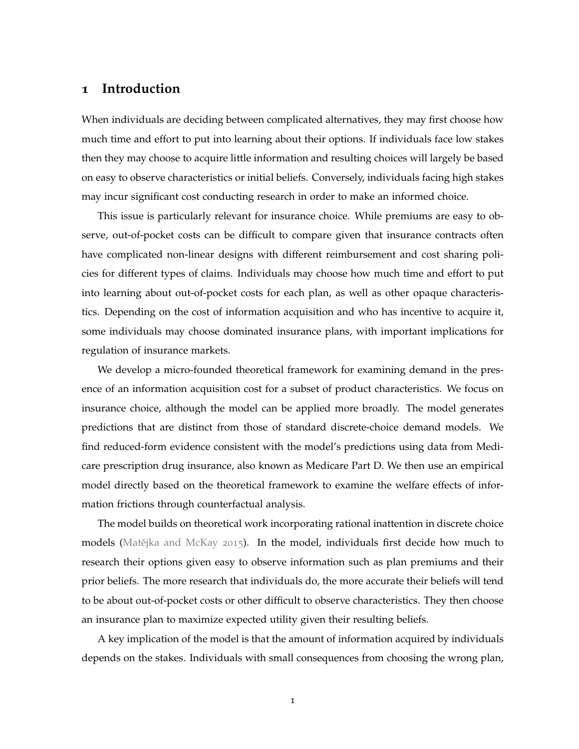## **1 Introduction**

When individuals are deciding between complicated alternatives, they may first choose how much time and effort to put into learning about their options. If individuals face low stakes then they may choose to acquire little information and resulting choices will largely be based on easy to observe characteristics or initial beliefs. Conversely, individuals facing high stakes may incur significant cost conducting research in order to make an informed choice.

This issue is particularly relevant for insurance choice. While premiums are easy to observe, out-of-pocket costs can be difficult to compare given that insurance contracts often have complicated non-linear designs with different reimbursement and cost sharing policies for different types of claims. Individuals may choose how much time and effort to put into learning about out-of-pocket costs for each plan, as well as other opaque characteristics. Depending on the cost of information acquisition and who has incentive to acquire it, some individuals may choose dominated insurance plans, with important implications for regulation of insurance markets.

We develop a micro-founded theoretical framework for examining demand in the presence of an information acquisition cost for a subset of product characteristics. We focus on insurance choice, although the model can be applied more broadly. The model generates predictions that are distinct from those of standard discrete-choice demand models. We find reduced-form evidence consistent with the model's predictions using data from Medicare prescription drug insurance, also known as Medicare Part D. We then use an empirical model directly based on the theoretical framework to examine the welfare effects of information frictions through counterfactual analysis.

The model builds on theoretical work incorporating rational inattention in discrete choice models (Matějka and McKay [2015](#page-43-0)). In the model, individuals first decide how much to research their options given easy to observe information such as plan premiums and their prior beliefs. The more research that individuals do, the more accurate their beliefs will tend to be about out-of-pocket costs or other difficult to observe characteristics. They then choose an insurance plan to maximize expected utility given their resulting beliefs.

A key implication of the model is that the amount of information acquired by individuals depends on the stakes. Individuals with small consequences from choosing the wrong plan,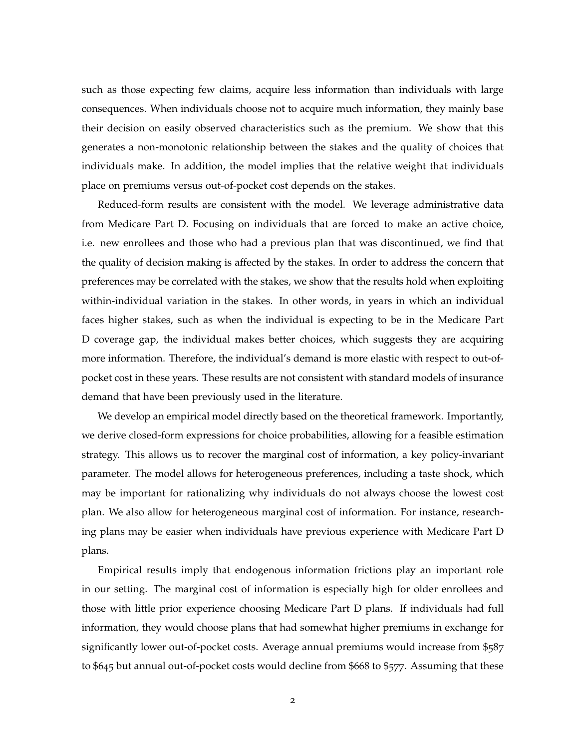such as those expecting few claims, acquire less information than individuals with large consequences. When individuals choose not to acquire much information, they mainly base their decision on easily observed characteristics such as the premium. We show that this generates a non-monotonic relationship between the stakes and the quality of choices that individuals make. In addition, the model implies that the relative weight that individuals place on premiums versus out-of-pocket cost depends on the stakes.

Reduced-form results are consistent with the model. We leverage administrative data from Medicare Part D. Focusing on individuals that are forced to make an active choice, i.e. new enrollees and those who had a previous plan that was discontinued, we find that the quality of decision making is affected by the stakes. In order to address the concern that preferences may be correlated with the stakes, we show that the results hold when exploiting within-individual variation in the stakes. In other words, in years in which an individual faces higher stakes, such as when the individual is expecting to be in the Medicare Part D coverage gap, the individual makes better choices, which suggests they are acquiring more information. Therefore, the individual's demand is more elastic with respect to out-ofpocket cost in these years. These results are not consistent with standard models of insurance demand that have been previously used in the literature.

We develop an empirical model directly based on the theoretical framework. Importantly, we derive closed-form expressions for choice probabilities, allowing for a feasible estimation strategy. This allows us to recover the marginal cost of information, a key policy-invariant parameter. The model allows for heterogeneous preferences, including a taste shock, which may be important for rationalizing why individuals do not always choose the lowest cost plan. We also allow for heterogeneous marginal cost of information. For instance, researching plans may be easier when individuals have previous experience with Medicare Part D plans.

Empirical results imply that endogenous information frictions play an important role in our setting. The marginal cost of information is especially high for older enrollees and those with little prior experience choosing Medicare Part D plans. If individuals had full information, they would choose plans that had somewhat higher premiums in exchange for significantly lower out-of-pocket costs. Average annual premiums would increase from \$587 to \$645 but annual out-of-pocket costs would decline from \$668 to \$577. Assuming that these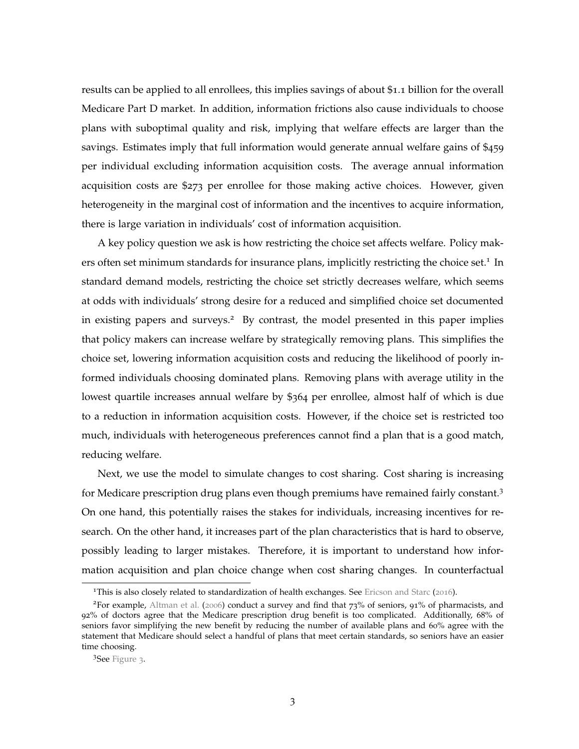results can be applied to all enrollees, this implies savings of about \$1.1 billion for the overall Medicare Part D market. In addition, information frictions also cause individuals to choose plans with suboptimal quality and risk, implying that welfare effects are larger than the savings. Estimates imply that full information would generate annual welfare gains of \$459 per individual excluding information acquisition costs. The average annual information acquisition costs are \$273 per enrollee for those making active choices. However, given heterogeneity in the marginal cost of information and the incentives to acquire information, there is large variation in individuals' cost of information acquisition.

A key policy question we ask is how restricting the choice set affects welfare. Policy makers often set minimum standards for insurance plans, implicitly restricting the choice set.<sup>1</sup> In standard demand models, restricting the choice set strictly decreases welfare, which seems at odds with individuals' strong desire for a reduced and simplified choice set documented in existing papers and surveys.<sup>2</sup> By contrast, the model presented in this paper implies that policy makers can increase welfare by strategically removing plans. This simplifies the choice set, lowering information acquisition costs and reducing the likelihood of poorly informed individuals choosing dominated plans. Removing plans with average utility in the lowest quartile increases annual welfare by \$364 per enrollee, almost half of which is due to a reduction in information acquisition costs. However, if the choice set is restricted too much, individuals with heterogeneous preferences cannot find a plan that is a good match, reducing welfare.

Next, we use the model to simulate changes to cost sharing. Cost sharing is increasing for Medicare prescription drug plans even though premiums have remained fairly constant.<sup>3</sup> On one hand, this potentially raises the stakes for individuals, increasing incentives for research. On the other hand, it increases part of the plan characteristics that is hard to observe, possibly leading to larger mistakes. Therefore, it is important to understand how information acquisition and plan choice change when cost sharing changes. In counterfactual

<sup>&</sup>lt;sup>1</sup>This is also closely related to standardization of health exchanges. See [Ericson and Starc](#page-43-1) ([2016](#page-43-1)).

<sup>&</sup>lt;sup>2</sup>For example, [Altman et al.](#page-42-0) ([2006](#page-42-0)) conduct a survey and find that  $73\%$  of seniors, 91% of pharmacists, and 92% of doctors agree that the Medicare prescription drug benefit is too complicated. Additionally, 68% of seniors favor simplifying the new benefit by reducing the number of available plans and 60% agree with the statement that Medicare should select a handful of plans that meet certain standards, so seniors have an easier time choosing.

<sup>3</sup>See [Figure](#page-15-0) 3.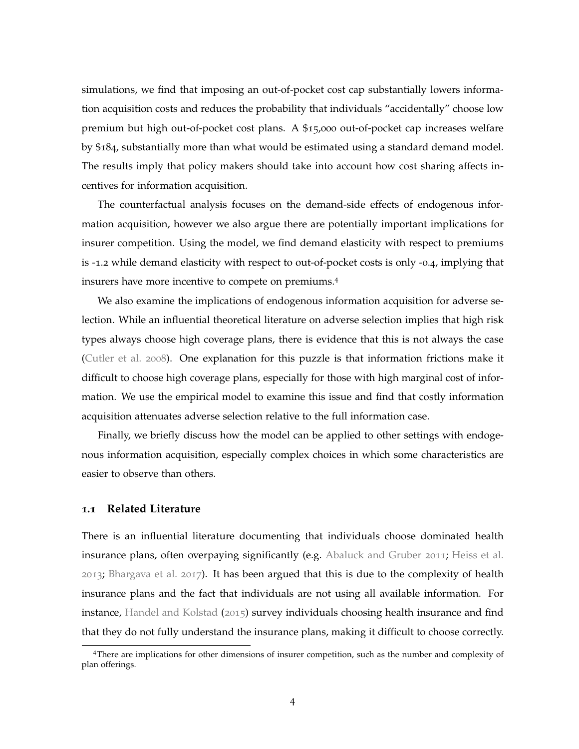simulations, we find that imposing an out-of-pocket cost cap substantially lowers information acquisition costs and reduces the probability that individuals "accidentally" choose low premium but high out-of-pocket cost plans. A \$15,000 out-of-pocket cap increases welfare by \$184, substantially more than what would be estimated using a standard demand model. The results imply that policy makers should take into account how cost sharing affects incentives for information acquisition.

The counterfactual analysis focuses on the demand-side effects of endogenous information acquisition, however we also argue there are potentially important implications for insurer competition. Using the model, we find demand elasticity with respect to premiums is -1.2 while demand elasticity with respect to out-of-pocket costs is only -0.4, implying that insurers have more incentive to compete on premiums.<sup>4</sup>

We also examine the implications of endogenous information acquisition for adverse selection. While an influential theoretical literature on adverse selection implies that high risk types always choose high coverage plans, there is evidence that this is not always the case [\(Cutler et al.](#page-42-1) [2008](#page-42-1)). One explanation for this puzzle is that information frictions make it difficult to choose high coverage plans, especially for those with high marginal cost of information. We use the empirical model to examine this issue and find that costly information acquisition attenuates adverse selection relative to the full information case.

Finally, we briefly discuss how the model can be applied to other settings with endogenous information acquisition, especially complex choices in which some characteristics are easier to observe than others.

#### **1.1 Related Literature**

There is an influential literature documenting that individuals choose dominated health insurance plans, often overpaying significantly (e.g. [Abaluck and Gruber](#page-42-2) [2011](#page-42-2); [Heiss et al.](#page-43-2) [2013](#page-43-2); [Bhargava et al.](#page-42-3) [2017](#page-42-3)). It has been argued that this is due to the complexity of health insurance plans and the fact that individuals are not using all available information. For instance, [Handel and Kolstad](#page-43-3) ([2015](#page-43-3)) survey individuals choosing health insurance and find that they do not fully understand the insurance plans, making it difficult to choose correctly.

<sup>4</sup>There are implications for other dimensions of insurer competition, such as the number and complexity of plan offerings.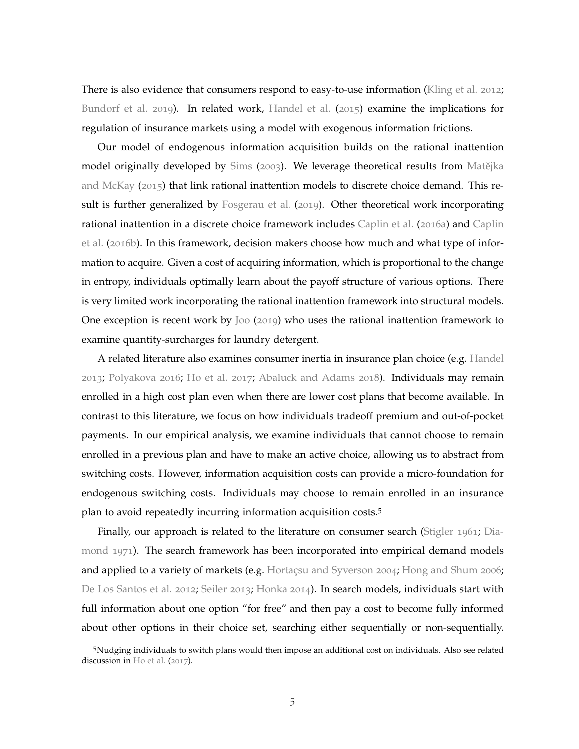There is also evidence that consumers respond to easy-to-use information [\(Kling et al.](#page-43-4) [2012](#page-43-4); [Bundorf et al.](#page-42-4) [2019](#page-42-4)). In related work, [Handel et al.](#page-43-5) ([2015](#page-43-5)) examine the implications for regulation of insurance markets using a model with exogenous information frictions.

Our model of endogenous information acquisition builds on the rational inattention model originally developed by [Sims](#page-44-0) ([2003](#page-44-0)). We leverage theoretical results from Matějka [and McKay](#page-43-0) ( $2015$ ) that link rational inattention models to discrete choice demand. This result is further generalized by [Fosgerau et al.](#page-43-6) ([2019](#page-43-6)). Other theoretical work incorporating rational inattention in a discrete choice framework includes [Caplin et al.](#page-42-5) ([2016](#page-42-5)a) and [Caplin](#page-42-6) [et al.](#page-42-6) ([2016](#page-42-6)b). In this framework, decision makers choose how much and what type of information to acquire. Given a cost of acquiring information, which is proportional to the change in entropy, individuals optimally learn about the payoff structure of various options. There is very limited work incorporating the rational inattention framework into structural models. One exception is recent work by [Joo](#page-43-7) ([2019](#page-43-7)) who uses the rational inattention framework to examine quantity-surcharges for laundry detergent.

A related literature also examines consumer inertia in insurance plan choice (e.g. [Handel](#page-43-8) [2013](#page-43-8); [Polyakova](#page-44-1) [2016](#page-44-1); [Ho et al.](#page-43-9) [2017](#page-43-9); [Abaluck and Adams](#page-42-7) [2018](#page-42-7)). Individuals may remain enrolled in a high cost plan even when there are lower cost plans that become available. In contrast to this literature, we focus on how individuals tradeoff premium and out-of-pocket payments. In our empirical analysis, we examine individuals that cannot choose to remain enrolled in a previous plan and have to make an active choice, allowing us to abstract from switching costs. However, information acquisition costs can provide a micro-foundation for endogenous switching costs. Individuals may choose to remain enrolled in an insurance plan to avoid repeatedly incurring information acquisition costs.<sup>5</sup>

Finally, our approach is related to the literature on consumer search [\(Stigler](#page-44-2) [1961](#page-44-2); [Dia](#page-43-10)[mond](#page-43-10) [1971](#page-43-10)). The search framework has been incorporated into empirical demand models and applied to a variety of markets (e.g. [Hortaçsu and Syverson](#page-43-11) [2004](#page-43-11); [Hong and Shum](#page-43-12) [2006](#page-43-12); [De Los Santos et al.](#page-44-3) [2012](#page-44-3); [Seiler](#page-44-4) [2013](#page-44-4); [Honka](#page-43-13) [2014](#page-43-13)). In search models, individuals start with full information about one option "for free" and then pay a cost to become fully informed about other options in their choice set, searching either sequentially or non-sequentially.

<sup>5</sup>Nudging individuals to switch plans would then impose an additional cost on individuals. Also see related discussion in [Ho et al.](#page-43-9) ([2017](#page-43-9)).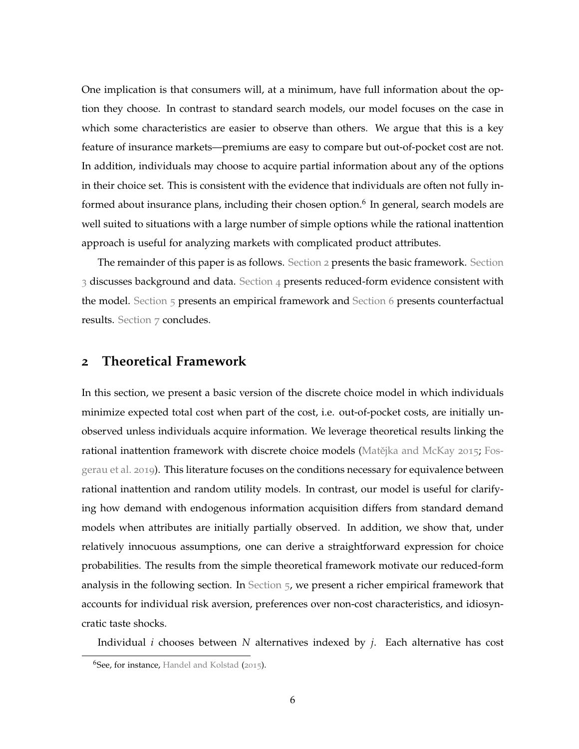One implication is that consumers will, at a minimum, have full information about the option they choose. In contrast to standard search models, our model focuses on the case in which some characteristics are easier to observe than others. We argue that this is a key feature of insurance markets—premiums are easy to compare but out-of-pocket cost are not. In addition, individuals may choose to acquire partial information about any of the options in their choice set. This is consistent with the evidence that individuals are often not fully informed about insurance plans, including their chosen option.<sup>6</sup> In general, search models are well suited to situations with a large number of simple options while the rational inattention approach is useful for analyzing markets with complicated product attributes.

The remainder of this paper is as follows. [Section](#page-6-0) 2 presents the basic framework. [Section](#page-13-0)  $3$  discusses background and data. [Section](#page-17-0)  $4$  presents reduced-form evidence consistent with the model. [Section](#page-34-0)  $5$  presents an empirical framework and Section 6 presents counterfactual results. [Section](#page-41-0) 7 concludes.

## <span id="page-6-0"></span>**2 Theoretical Framework**

In this section, we present a basic version of the discrete choice model in which individuals minimize expected total cost when part of the cost, i.e. out-of-pocket costs, are initially unobserved unless individuals acquire information. We leverage theoretical results linking the rational inattention framework with discrete choice models (Matějka and McKay [2015](#page-43-0); [Fos](#page-43-6)[gerau et al.](#page-43-6) [2019](#page-43-6)). This literature focuses on the conditions necessary for equivalence between rational inattention and random utility models. In contrast, our model is useful for clarifying how demand with endogenous information acquisition differs from standard demand models when attributes are initially partially observed. In addition, we show that, under relatively innocuous assumptions, one can derive a straightforward expression for choice probabilities. The results from the simple theoretical framework motivate our reduced-form analysis in the following section. In [Section](#page-23-0) 5, we present a richer empirical framework that accounts for individual risk aversion, preferences over non-cost characteristics, and idiosyncratic taste shocks.

Individual *i* chooses between *N* alternatives indexed by *j*. Each alternative has cost

<sup>&</sup>lt;sup>6</sup>See, for instance, [Handel and Kolstad](#page-43-3) ([2015](#page-43-3)).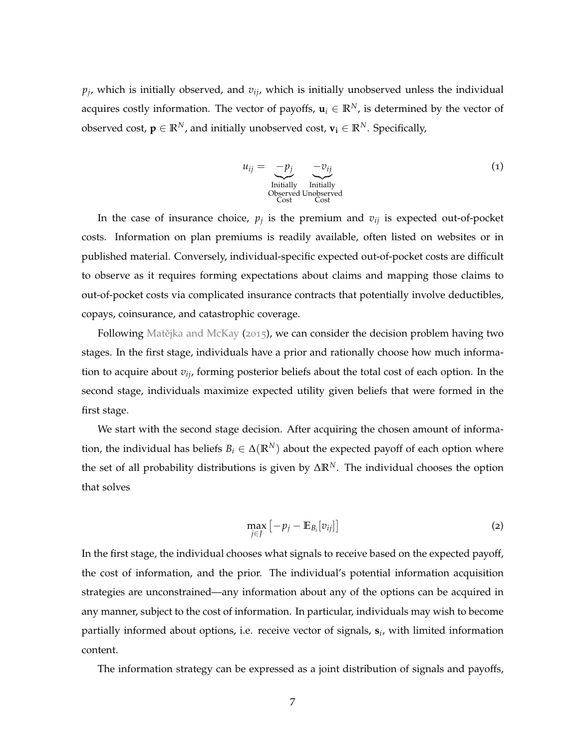*pj* , which is initially observed, and *vij*, which is initially unobserved unless the individual acquires costly information. The vector of payoffs,  $\mathbf{u}_i \in \mathbb{R}^N$ , is determined by the vector of observed cost,  $\mathbf{p} \in \mathbb{R}^N$ , and initially unobserved cost,  $\mathbf{v}_i \in \mathbb{R}^N$ . Specifically,

<span id="page-7-0"></span>
$$
u_{ij} = -p_j \underbrace{-v_{ij}}_{\text{Initially}} -v_{ij}_{\text{Initially}}
$$
\n
$$
\underbrace{\text{Initially}}_{\text{Cost}} \underbrace{\text{Initially}}_{\text{Cost}}
$$
\n
$$
(1)
$$

In the case of insurance choice,  $p_j$  is the premium and  $v_{ij}$  is expected out-of-pocket costs. Information on plan premiums is readily available, often listed on websites or in published material. Conversely, individual-specific expected out-of-pocket costs are difficult to observe as it requires forming expectations about claims and mapping those claims to out-of-pocket costs via complicated insurance contracts that potentially involve deductibles, copays, coinsurance, and catastrophic coverage.

Following Matějka and McKay ([2015](#page-43-0)), we can consider the decision problem having two stages. In the first stage, individuals have a prior and rationally choose how much information to acquire about *vij*, forming posterior beliefs about the total cost of each option. In the second stage, individuals maximize expected utility given beliefs that were formed in the first stage.

We start with the second stage decision. After acquiring the chosen amount of information, the individual has beliefs  $B_i \in \Delta(\mathbb{R}^N)$  about the expected payoff of each option where the set of all probability distributions is given by ∆**R***N*. The individual chooses the option that solves

$$
\max_{j\in J} \left[ -p_j - \mathbb{E}_{B_i}[v_{ij}] \right] \tag{2}
$$

In the first stage, the individual chooses what signals to receive based on the expected payoff, the cost of information, and the prior. The individual's potential information acquisition strategies are unconstrained—any information about any of the options can be acquired in any manner, subject to the cost of information. In particular, individuals may wish to become partially informed about options, i.e. receive vector of signals, **s***<sup>i</sup>* , with limited information content.

The information strategy can be expressed as a joint distribution of signals and payoffs,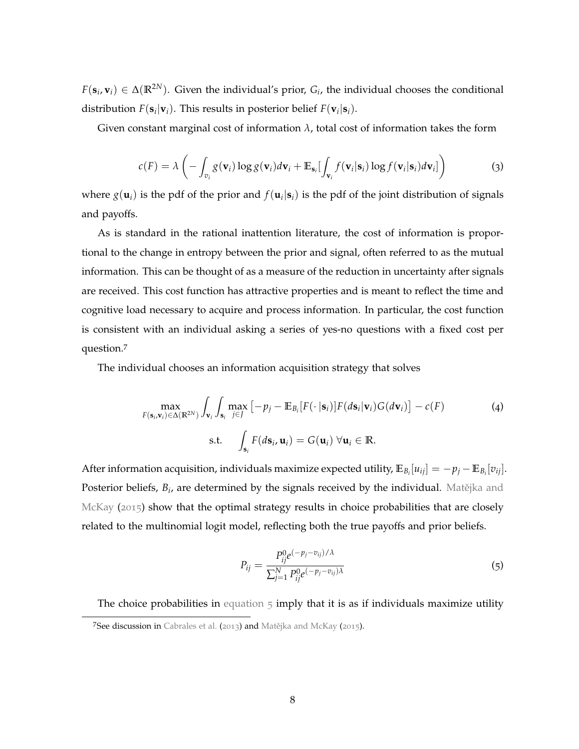$F(\mathbf{s}_i, \mathbf{v}_i) \in \Delta(\mathbb{R}^{2N})$ . Given the individual's prior,  $G_i$ , the individual chooses the conditional distribution  $F(\mathbf{s}_i|\mathbf{v}_i)$ . This results in posterior belief  $F(\mathbf{v}_i|\mathbf{s}_i)$ .

Given constant marginal cost of information  $\lambda$ , total cost of information takes the form

<span id="page-8-1"></span>
$$
c(F) = \lambda \left( - \int_{v_i} g(\mathbf{v}_i) \log g(\mathbf{v}_i) d\mathbf{v}_i + \mathbb{E}_{\mathbf{s}_i} \left[ \int_{\mathbf{v}_i} f(\mathbf{v}_i | \mathbf{s}_i) \log f(\mathbf{v}_i | \mathbf{s}_i) d\mathbf{v}_i \right] \right)
$$
(3)

where  $g(\mathbf{u}_i)$  is the pdf of the prior and  $f(\mathbf{u}_i|\mathbf{s}_i)$  is the pdf of the joint distribution of signals and payoffs.

As is standard in the rational inattention literature, the cost of information is proportional to the change in entropy between the prior and signal, often referred to as the mutual information. This can be thought of as a measure of the reduction in uncertainty after signals are received. This cost function has attractive properties and is meant to reflect the time and cognitive load necessary to acquire and process information. In particular, the cost function is consistent with an individual asking a series of yes-no questions with a fixed cost per question.<sup>7</sup>

The individual chooses an information acquisition strategy that solves

$$
\max_{F(\mathbf{s}_i, \mathbf{v}_i) \in \Delta(\mathbb{R}^{2N})} \int_{\mathbf{v}_i} \int_{\mathbf{s}_i} \max_{j \in J} \left[ -p_j - \mathbb{E}_{B_i} [F(\cdot | \mathbf{s}_i)] F(d\mathbf{s}_i | \mathbf{v}_i) G(d\mathbf{v}_i) \right] - c(F)
$$
\n
$$
\text{s.t.} \quad \int_{\mathbf{s}_i} F(d\mathbf{s}_i, \mathbf{u}_i) = G(\mathbf{u}_i) \ \forall \mathbf{u}_i \in \mathbb{R}.
$$
\n(4)

After information acquisition, individuals maximize expected utility,  $\mathbb{E}_{B_i}[u_{ij}] = -p_j - \mathbb{E}_{B_i}[v_{ij}]$ . Posterior beliefs*, B<sub>i</sub>,* are determined by the signals received by the individual. Matějka and [McKay](#page-43-0) ([2015](#page-43-0)) show that the optimal strategy results in choice probabilities that are closely related to the multinomial logit model, reflecting both the true payoffs and prior beliefs.

<span id="page-8-0"></span>
$$
P_{ij} = \frac{P_{ij}^{0} e^{(-p_j - v_{ij})/\lambda}}{\sum_{j=1}^{N} P_{ij}^{0} e^{(-p_j - v_{ij})\lambda}}
$$
(5)

The choice probabilities in [equation](#page-9-0)  $\frac{1}{2}$  imply that it is as if individuals maximize utility

<sup>7</sup>See discussion in [Cabrales et al.](#page-42-8) ([2013](#page-42-8)) and Matějka and McKay ([2015](#page-43-0)).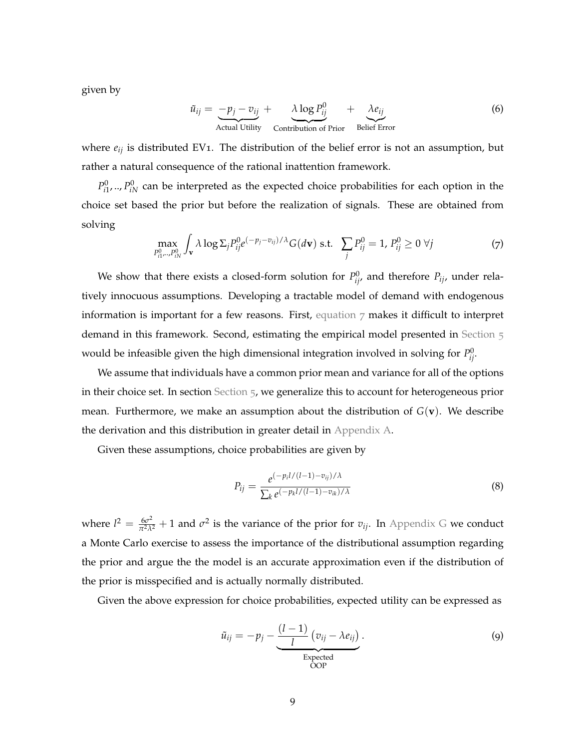given by

$$
\tilde{u}_{ij} = -p_j - v_{ij} + \lambda \log P_{ij}^0 + \lambda e_{ij}
$$
\nActual Utility

\nContinuity

\nContinuity of Prior

\nBelief Error

where *eij* is distributed EV1. The distribution of the belief error is not an assumption, but rather a natural consequence of the rational inattention framework.

 $P_{i1}^0$ , ...,  $P_{iN}^0$  can be interpreted as the expected choice probabilities for each option in the choice set based the prior but before the realization of signals. These are obtained from solving

<span id="page-9-1"></span>
$$
\max_{P_{ij}^0\ldots P_{iN}^0} \int_{\mathbf{v}} \lambda \log \Sigma_j P_{ij}^0 e^{(-p_j - v_{ij})/\lambda} G(d\mathbf{v}) \text{ s.t. } \sum_j P_{ij}^0 = 1, P_{ij}^0 \ge 0 \ \forall j
$$
 (7)

We show that there exists a closed-form solution for  $P_{ij}^0$ , and therefore  $P_{ij}$ , under relatively innocuous assumptions. Developing a tractable model of demand with endogenous information is important for a few reasons. First, [equation](#page-9-1)  $\gamma$  makes it difficult to interpret demand in this framework. Second, estimating the empirical model presented in [Section](#page-23-0)  $5$ would be infeasible given the high dimensional integration involved in solving for  $P_{ij}^0$ .

We assume that individuals have a common prior mean and variance for all of the options in their choice set. In section [Section](#page-23-0) 5, we generalize this to account for heterogeneous prior mean. Furthermore, we make an assumption about the distribution of  $G(\mathbf{v})$ . We describe the derivation and this distribution in greater detail in [Appendix A.](#page-45-0)

Given these assumptions, choice probabilities are given by

<span id="page-9-0"></span>
$$
P_{ij} = \frac{e^{(-p_i l/(l-1) - v_{ij})/\lambda}}{\sum_{k} e^{(-p_k l/(l-1) - v_{ik})/\lambda}}
$$
(8)

where  $l^2 = \frac{6\sigma^2}{\pi^2\lambda^2} + 1$  and  $\sigma^2$  is the variance of the prior for  $v_{ij}$ . In [Appendix G](#page-67-0) we conduct a Monte Carlo exercise to assess the importance of the distributional assumption regarding the prior and argue the the model is an accurate approximation even if the distribution of the prior is misspecified and is actually normally distributed.

Given the above expression for choice probabilities, expected utility can be expressed as

$$
\tilde{u}_{ij} = -p_j - \underbrace{\frac{(l-1)}{l} (v_{ij} - \lambda e_{ij})}_{\text{Expected}}.
$$
\n(9)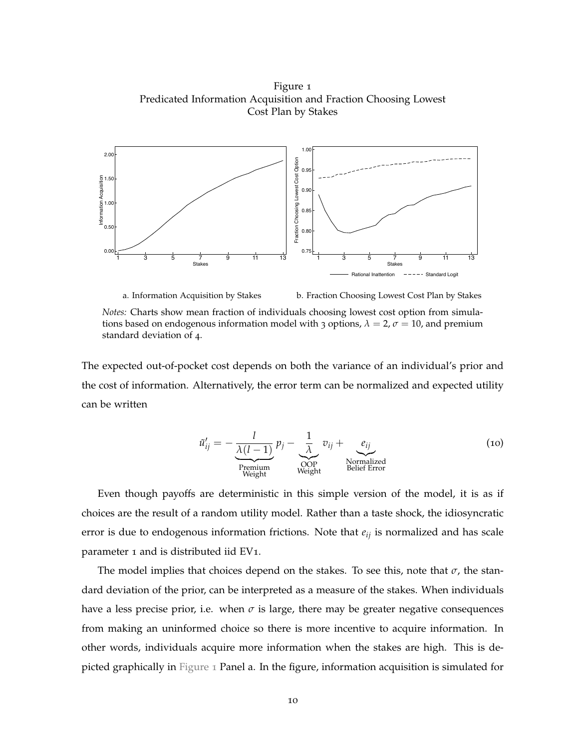<span id="page-10-0"></span>Figure 1 Predicated Information Acquisition and Fraction Choosing Lowest Cost Plan by Stakes



a. Information Acquisition by Stakes b. Fraction Choosing Lowest Cost Plan by Stakes

*Notes:* Charts show mean fraction of individuals choosing lowest cost option from simulations based on endogenous information model with 3 options,  $\lambda = 2$ ,  $\sigma = 10$ , and premium standard deviation of 4.

The expected out-of-pocket cost depends on both the variance of an individual's prior and the cost of information. Alternatively, the error term can be normalized and expected utility can be written

<span id="page-10-1"></span>
$$
\tilde{u}'_{ij} = -\frac{l}{\underbrace{\lambda(l-1)}_{\text{Premium}}} p_j - \underbrace{\frac{1}{\lambda}}_{\text{Weyht}} v_{ij} + \underbrace{e_{ij}}_{\text{Nonmalized}} \tag{10}
$$

Even though payoffs are deterministic in this simple version of the model, it is as if choices are the result of a random utility model. Rather than a taste shock, the idiosyncratic error is due to endogenous information frictions. Note that *eij* is normalized and has scale parameter 1 and is distributed iid EV1.

The model implies that choices depend on the stakes. To see this, note that  $\sigma$ , the standard deviation of the prior, can be interpreted as a measure of the stakes. When individuals have a less precise prior, i.e. when  $\sigma$  is large, there may be greater negative consequences from making an uninformed choice so there is more incentive to acquire information. In other words, individuals acquire more information when the stakes are high. This is depicted graphically in [Figure](#page-10-0) 1 Panel a. In the figure, information acquisition is simulated for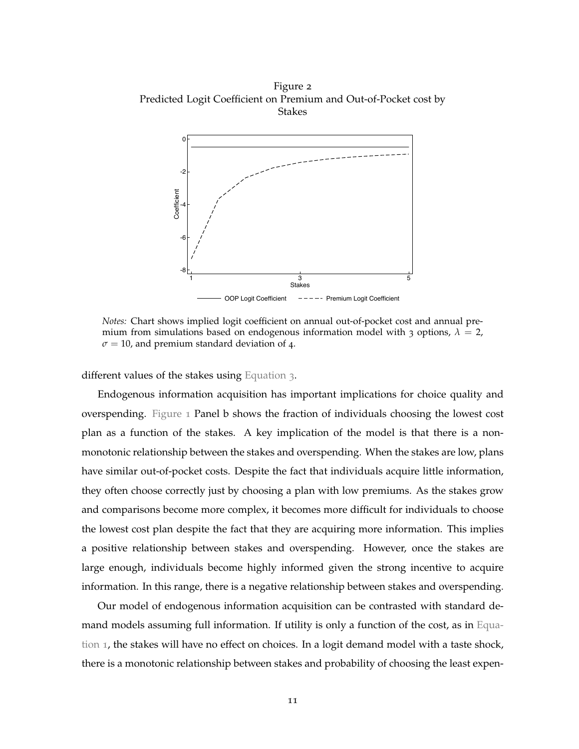<span id="page-11-0"></span>Figure 2 Predicted Logit Coefficient on Premium and Out-of-Pocket cost by Stakes



*Notes:* Chart shows implied logit coefficient on annual out-of-pocket cost and annual premium from simulations based on endogenous information model with 3 options,  $\lambda = 2$ ,  $\sigma$  = 10, and premium standard deviation of 4.

different values of the stakes using [Equation](#page-8-1) 3.

Endogenous information acquisition has important implications for choice quality and overspending. [Figure](#page-10-0) 1 Panel b shows the fraction of individuals choosing the lowest cost plan as a function of the stakes. A key implication of the model is that there is a nonmonotonic relationship between the stakes and overspending. When the stakes are low, plans have similar out-of-pocket costs. Despite the fact that individuals acquire little information, they often choose correctly just by choosing a plan with low premiums. As the stakes grow and comparisons become more complex, it becomes more difficult for individuals to choose the lowest cost plan despite the fact that they are acquiring more information. This implies a positive relationship between stakes and overspending. However, once the stakes are large enough, individuals become highly informed given the strong incentive to acquire information. In this range, there is a negative relationship between stakes and overspending.

Our model of endogenous information acquisition can be contrasted with standard demand models assuming full information. If utility is only a function of the cost, as in [Equa](#page-7-0)[tion](#page-7-0) 1, the stakes will have no effect on choices. In a logit demand model with a taste shock, there is a monotonic relationship between stakes and probability of choosing the least expen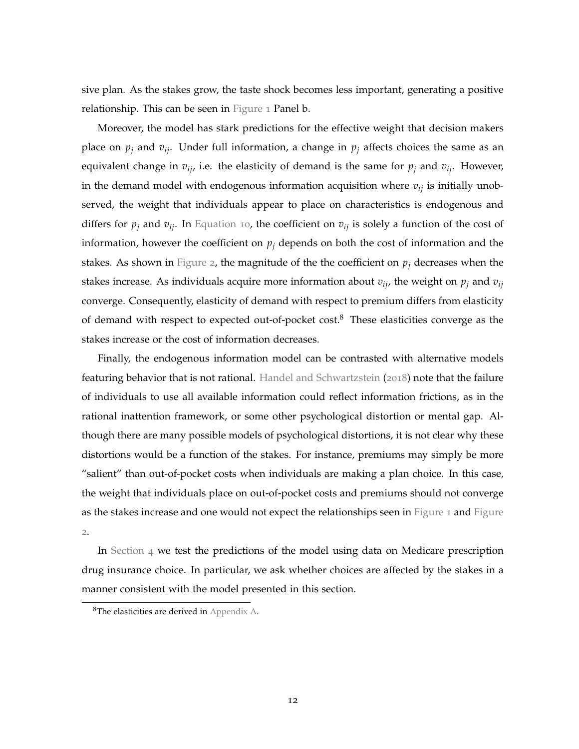sive plan. As the stakes grow, the taste shock becomes less important, generating a positive relationship. This can be seen in [Figure](#page-10-0) 1 Panel b.

Moreover, the model has stark predictions for the effective weight that decision makers place on  $p_j$  and  $v_{ij}$ . Under full information, a change in  $p_j$  affects choices the same as an equivalent change in  $v_{ij}$ , i.e. the elasticity of demand is the same for  $p_j$  and  $v_{ij}$ . However, in the demand model with endogenous information acquisition where *vij* is initially unobserved, the weight that individuals appear to place on characteristics is endogenous and differs for  $p_j$  and  $v_{ij}$ . In [Equation](#page-10-1) 10, the coefficient on  $v_{ij}$  is solely a function of the cost of information, however the coefficient on  $p_j$  depends on both the cost of information and the stakes. As shown in [Figure](#page-11-0) 2, the magnitude of the the coefficient on  $p_j$  decreases when the stakes increase. As individuals acquire more information about  $v_{ij}$ , the weight on  $p_j$  and  $v_{ij}$ converge. Consequently, elasticity of demand with respect to premium differs from elasticity of demand with respect to expected out-of-pocket cost.<sup>8</sup> These elasticities converge as the stakes increase or the cost of information decreases.

Finally, the endogenous information model can be contrasted with alternative models featuring behavior that is not rational. [Handel and Schwartzstein](#page-43-14) ([2018](#page-43-14)) note that the failure of individuals to use all available information could reflect information frictions, as in the rational inattention framework, or some other psychological distortion or mental gap. Although there are many possible models of psychological distortions, it is not clear why these distortions would be a function of the stakes. For instance, premiums may simply be more "salient" than out-of-pocket costs when individuals are making a plan choice. In this case, the weight that individuals place on out-of-pocket costs and premiums should not converge as the stakes increase and one would not expect the relationships seen in [Figure](#page-11-0) 1 and Figure [2](#page-11-0).

In [Section](#page-17-0) 4 we test the predictions of the model using data on Medicare prescription drug insurance choice. In particular, we ask whether choices are affected by the stakes in a manner consistent with the model presented in this section.

<sup>8</sup>The elasticities are derived in [Appendix A.](#page-45-0)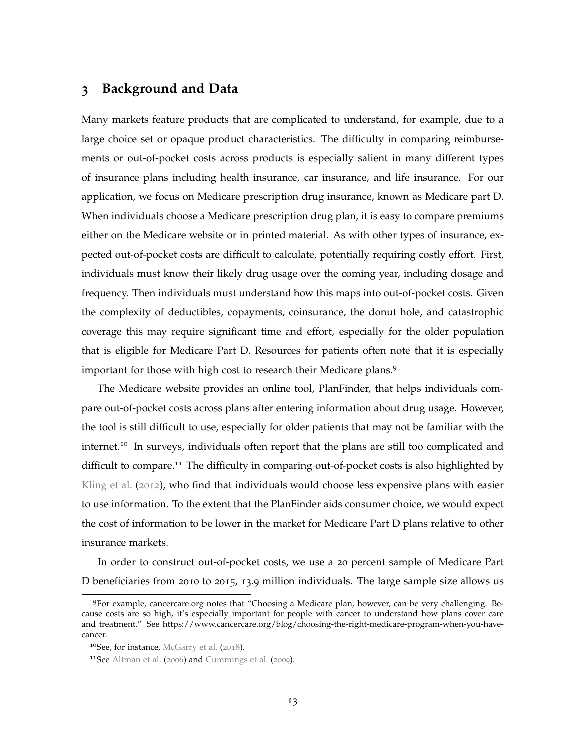## <span id="page-13-0"></span>**3 Background and Data**

Many markets feature products that are complicated to understand, for example, due to a large choice set or opaque product characteristics. The difficulty in comparing reimbursements or out-of-pocket costs across products is especially salient in many different types of insurance plans including health insurance, car insurance, and life insurance. For our application, we focus on Medicare prescription drug insurance, known as Medicare part D. When individuals choose a Medicare prescription drug plan, it is easy to compare premiums either on the Medicare website or in printed material. As with other types of insurance, expected out-of-pocket costs are difficult to calculate, potentially requiring costly effort. First, individuals must know their likely drug usage over the coming year, including dosage and frequency. Then individuals must understand how this maps into out-of-pocket costs. Given the complexity of deductibles, copayments, coinsurance, the donut hole, and catastrophic coverage this may require significant time and effort, especially for the older population that is eligible for Medicare Part D. Resources for patients often note that it is especially important for those with high cost to research their Medicare plans.<sup>9</sup>

The Medicare website provides an online tool, PlanFinder, that helps individuals compare out-of-pocket costs across plans after entering information about drug usage. However, the tool is still difficult to use, especially for older patients that may not be familiar with the internet.<sup>10</sup> In surveys, individuals often report that the plans are still too complicated and difficult to compare.<sup>11</sup> The difficulty in comparing out-of-pocket costs is also highlighted by [Kling et al.](#page-43-4) ([2012](#page-43-4)), who find that individuals would choose less expensive plans with easier to use information. To the extent that the PlanFinder aids consumer choice, we would expect the cost of information to be lower in the market for Medicare Part D plans relative to other insurance markets.

In order to construct out-of-pocket costs, we use a 20 percent sample of Medicare Part D beneficiaries from 2010 to 2015, 13.9 million individuals. The large sample size allows us

<sup>9</sup>For example, cancercare.org notes that "Choosing a Medicare plan, however, can be very challenging. Because costs are so high, it's especially important for people with cancer to understand how plans cover care and treatment." See https://www.cancercare.org/blog/choosing-the-right-medicare-program-when-you-havecancer.

<sup>&</sup>lt;sup>10</sup>See, for instance, [McGarry et al.](#page-44-5) ([2018](#page-44-5)).

<sup>11</sup>See [Altman et al.](#page-42-0) ([2006](#page-42-0)) and [Cummings et al.](#page-42-9) ([2009](#page-42-9)).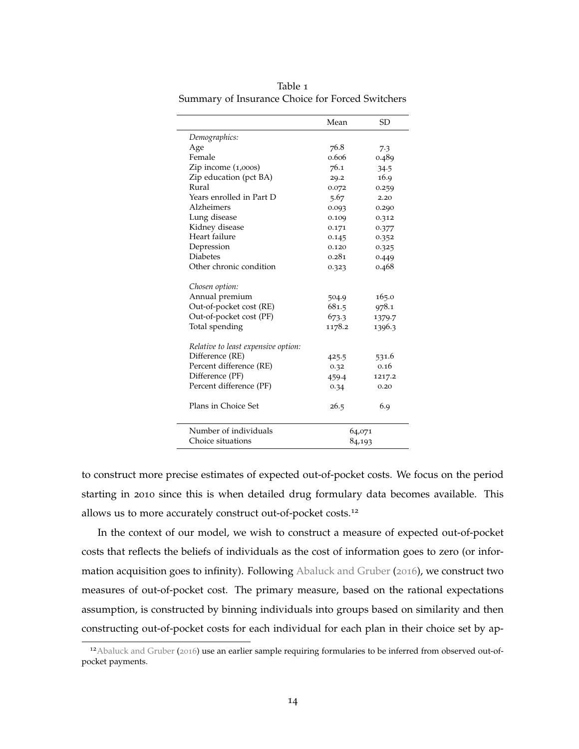| Demographics:<br>Age<br>76.8<br>7.3<br>Female<br>0.606<br>0.489<br>Zip income (1,000s)<br>76.1<br>34.5<br>Zip education (pct BA)<br>16.9<br>29.2<br>Rural<br>0.072<br>0.259<br>Years enrolled in Part D<br>5.67<br>2.20<br>Alzheimers<br>0.093<br>0.290<br>Lung disease<br>0.109<br>0.312<br>Kidney disease<br>0.171<br>0.377 |               | Mean  | <b>SD</b> |
|-------------------------------------------------------------------------------------------------------------------------------------------------------------------------------------------------------------------------------------------------------------------------------------------------------------------------------|---------------|-------|-----------|
|                                                                                                                                                                                                                                                                                                                               |               |       |           |
|                                                                                                                                                                                                                                                                                                                               |               |       |           |
|                                                                                                                                                                                                                                                                                                                               |               |       |           |
|                                                                                                                                                                                                                                                                                                                               |               |       |           |
|                                                                                                                                                                                                                                                                                                                               |               |       |           |
|                                                                                                                                                                                                                                                                                                                               |               |       |           |
|                                                                                                                                                                                                                                                                                                                               |               |       |           |
|                                                                                                                                                                                                                                                                                                                               |               |       |           |
|                                                                                                                                                                                                                                                                                                                               |               |       |           |
|                                                                                                                                                                                                                                                                                                                               |               |       |           |
|                                                                                                                                                                                                                                                                                                                               | Heart failure | 0.145 | 0.352     |
| Depression<br>0.120<br>0.325                                                                                                                                                                                                                                                                                                  |               |       |           |
| <b>Diabetes</b><br>0.281<br>0.449                                                                                                                                                                                                                                                                                             |               |       |           |
| Other chronic condition<br>0.468<br>0.323                                                                                                                                                                                                                                                                                     |               |       |           |
| Chosen option:                                                                                                                                                                                                                                                                                                                |               |       |           |
| Annual premium<br>165.0<br>504.9                                                                                                                                                                                                                                                                                              |               |       |           |
| Out-of-pocket cost (RE)<br>681.5<br>978.1                                                                                                                                                                                                                                                                                     |               |       |           |
| Out-of-pocket cost (PF)<br>673.3<br>1379.7                                                                                                                                                                                                                                                                                    |               |       |           |
| Total spending<br>1178.2<br>1396.3                                                                                                                                                                                                                                                                                            |               |       |           |
| Relative to least expensive option:                                                                                                                                                                                                                                                                                           |               |       |           |
| Difference (RE)<br>531.6<br>425.5                                                                                                                                                                                                                                                                                             |               |       |           |
| Percent difference (RE)<br>0.16<br>0.32                                                                                                                                                                                                                                                                                       |               |       |           |
| Difference (PF)<br>1217.2<br>459.4                                                                                                                                                                                                                                                                                            |               |       |           |
| Percent difference (PF)<br>0.20<br>0.34                                                                                                                                                                                                                                                                                       |               |       |           |
| Plans in Choice Set<br>26.5<br>6.9                                                                                                                                                                                                                                                                                            |               |       |           |
| Number of individuals<br>64,071                                                                                                                                                                                                                                                                                               |               |       |           |
| Choice situations<br>84,193                                                                                                                                                                                                                                                                                                   |               |       |           |

<span id="page-14-0"></span>Table 1 Summary of Insurance Choice for Forced Switchers

to construct more precise estimates of expected out-of-pocket costs. We focus on the period starting in 2010 since this is when detailed drug formulary data becomes available. This allows us to more accurately construct out-of-pocket costs.<sup>12</sup>

 $\overline{\phantom{0}}$ 

In the context of our model, we wish to construct a measure of expected out-of-pocket costs that reflects the beliefs of individuals as the cost of information goes to zero (or information acquisition goes to infinity). Following [Abaluck and Gruber](#page-42-10) ([2016](#page-42-10)), we construct two measures of out-of-pocket cost. The primary measure, based on the rational expectations assumption, is constructed by binning individuals into groups based on similarity and then constructing out-of-pocket costs for each individual for each plan in their choice set by ap-

<sup>&</sup>lt;sup>12</sup> [Abaluck and Gruber](#page-42-10) ([2016](#page-42-10)) use an earlier sample requiring formularies to be inferred from observed out-ofpocket payments.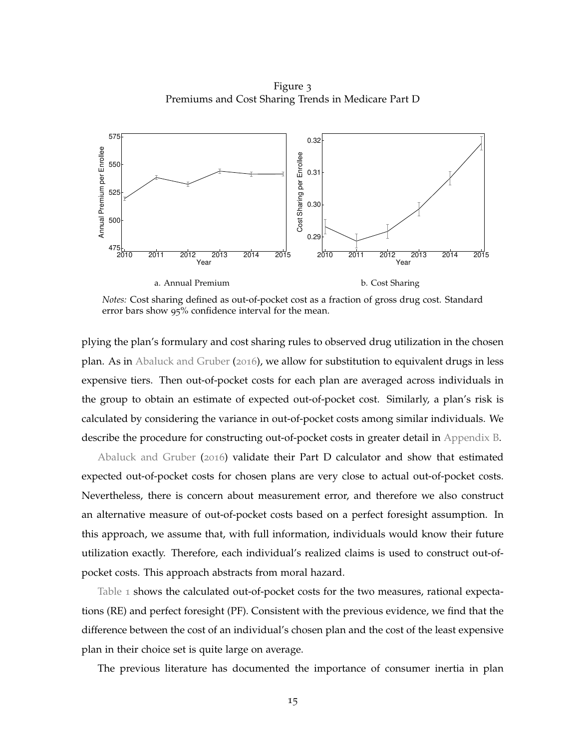Figure 3 Premiums and Cost Sharing Trends in Medicare Part D

<span id="page-15-0"></span>

*Notes:* Cost sharing defined as out-of-pocket cost as a fraction of gross drug cost. Standard error bars show 95% confidence interval for the mean.

plying the plan's formulary and cost sharing rules to observed drug utilization in the chosen plan. As in [Abaluck and Gruber](#page-42-10) ([2016](#page-42-10)), we allow for substitution to equivalent drugs in less expensive tiers. Then out-of-pocket costs for each plan are averaged across individuals in the group to obtain an estimate of expected out-of-pocket cost. Similarly, a plan's risk is calculated by considering the variance in out-of-pocket costs among similar individuals. We describe the procedure for constructing out-of-pocket costs in greater detail in [Appendix B.](#page-52-0)

[Abaluck and Gruber](#page-42-10) ([2016](#page-42-10)) validate their Part D calculator and show that estimated expected out-of-pocket costs for chosen plans are very close to actual out-of-pocket costs. Nevertheless, there is concern about measurement error, and therefore we also construct an alternative measure of out-of-pocket costs based on a perfect foresight assumption. In this approach, we assume that, with full information, individuals would know their future utilization exactly. Therefore, each individual's realized claims is used to construct out-ofpocket costs. This approach abstracts from moral hazard.

[Table](#page-14-0) 1 shows the calculated out-of-pocket costs for the two measures, rational expectations (RE) and perfect foresight (PF). Consistent with the previous evidence, we find that the difference between the cost of an individual's chosen plan and the cost of the least expensive plan in their choice set is quite large on average.

The previous literature has documented the importance of consumer inertia in plan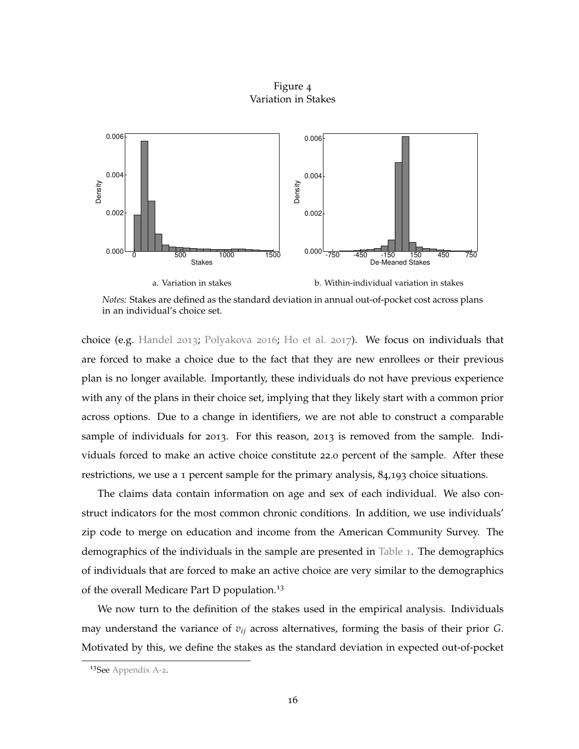Figure 4 Variation in Stakes



*Notes:* Stakes are defined as the standard deviation in annual out-of-pocket cost across plans in an individual's choice set.

choice (e.g. [Handel](#page-43-8) [2013](#page-43-8); [Polyakova](#page-44-1) [2016](#page-44-1); [Ho et al.](#page-43-9) [2017](#page-43-9)). We focus on individuals that are forced to make a choice due to the fact that they are new enrollees or their previous plan is no longer available. Importantly, these individuals do not have previous experience with any of the plans in their choice set, implying that they likely start with a common prior across options. Due to a change in identifiers, we are not able to construct a comparable sample of individuals for 2013. For this reason, 2013 is removed from the sample. Individuals forced to make an active choice constitute 22.0 percent of the sample. After these restrictions, we use a 1 percent sample for the primary analysis, 84,193 choice situations.

The claims data contain information on age and sex of each individual. We also construct indicators for the most common chronic conditions. In addition, we use individuals' zip code to merge on education and income from the American Community Survey. The demographics of the individuals in the sample are presented in [Table](#page-14-0) 1. The demographics of individuals that are forced to make an active choice are very similar to the demographics of the overall Medicare Part D population.<sup>13</sup>

We now turn to the definition of the stakes used in the empirical analysis. Individuals may understand the variance of *vij* across alternatives, forming the basis of their prior *G*. Motivated by this, we define the stakes as the standard deviation in expected out-of-pocket

<sup>13</sup>See [Appendix A-](#page-56-0)2.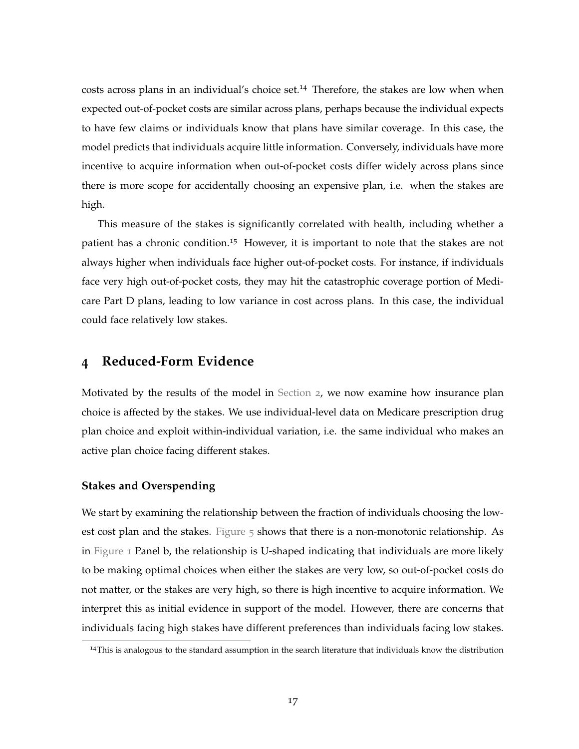costs across plans in an individual's choice set.<sup>14</sup> Therefore, the stakes are low when when expected out-of-pocket costs are similar across plans, perhaps because the individual expects to have few claims or individuals know that plans have similar coverage. In this case, the model predicts that individuals acquire little information. Conversely, individuals have more incentive to acquire information when out-of-pocket costs differ widely across plans since there is more scope for accidentally choosing an expensive plan, i.e. when the stakes are high.

This measure of the stakes is significantly correlated with health, including whether a patient has a chronic condition.<sup>15</sup> However, it is important to note that the stakes are not always higher when individuals face higher out-of-pocket costs. For instance, if individuals face very high out-of-pocket costs, they may hit the catastrophic coverage portion of Medicare Part D plans, leading to low variance in cost across plans. In this case, the individual could face relatively low stakes.

## <span id="page-17-0"></span>**4 Reduced-Form Evidence**

Motivated by the results of the model in [Section](#page-6-0) 2, we now examine how insurance plan choice is affected by the stakes. We use individual-level data on Medicare prescription drug plan choice and exploit within-individual variation, i.e. the same individual who makes an active plan choice facing different stakes.

#### **Stakes and Overspending**

We start by examining the relationship between the fraction of individuals choosing the lowest cost plan and the stakes. [Figure](#page-18-0) 5 shows that there is a non-monotonic relationship. As in [Figure](#page-10-0) 1 Panel b, the relationship is U-shaped indicating that individuals are more likely to be making optimal choices when either the stakes are very low, so out-of-pocket costs do not matter, or the stakes are very high, so there is high incentive to acquire information. We interpret this as initial evidence in support of the model. However, there are concerns that individuals facing high stakes have different preferences than individuals facing low stakes.

<sup>14</sup>This is analogous to the standard assumption in the search literature that individuals know the distribution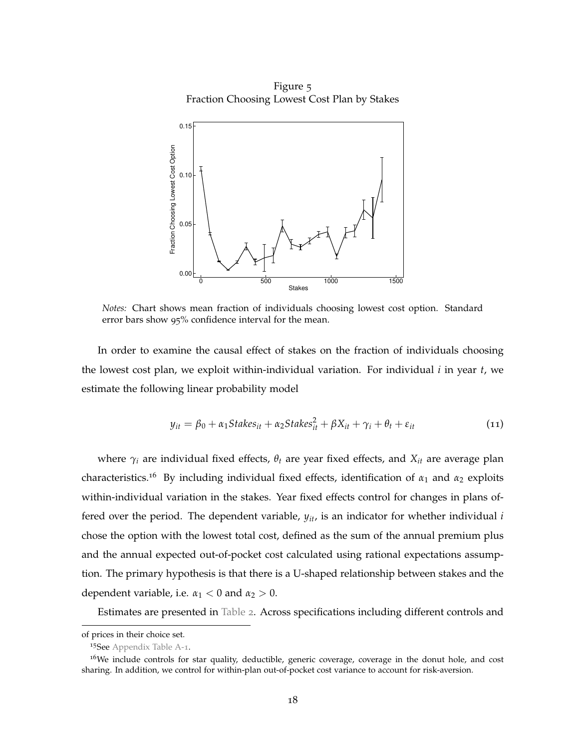Figure 5 Fraction Choosing Lowest Cost Plan by Stakes

<span id="page-18-0"></span>

*Notes:* Chart shows mean fraction of individuals choosing lowest cost option. Standard error bars show 95% confidence interval for the mean.

In order to examine the causal effect of stakes on the fraction of individuals choosing the lowest cost plan, we exploit within-individual variation. For individual *i* in year *t*, we estimate the following linear probability model

$$
y_{it} = \beta_0 + \alpha_1 \text{Stakes}_{it} + \alpha_2 \text{Stakes}_{it}^2 + \beta X_{it} + \gamma_i + \theta_t + \varepsilon_{it}
$$
\n
$$
\tag{11}
$$

where  $\gamma_i$  are individual fixed effects,  $\theta_t$  are year fixed effects, and  $X_{it}$  are average plan characteristics.<sup>16</sup> By including individual fixed effects, identification of *α*<sup>1</sup> and *α*<sup>2</sup> exploits within-individual variation in the stakes. Year fixed effects control for changes in plans offered over the period. The dependent variable, *yit*, is an indicator for whether individual *i* chose the option with the lowest total cost, defined as the sum of the annual premium plus and the annual expected out-of-pocket cost calculated using rational expectations assumption. The primary hypothesis is that there is a U-shaped relationship between stakes and the dependent variable, i.e.  $\alpha_1 < 0$  and  $\alpha_2 > 0$ .

Estimates are presented in [Table](#page-19-0) 2. Across specifications including different controls and

of prices in their choice set.

<sup>&</sup>lt;sup>15</sup>See [Appendix Table A-](#page-55-0)1.

 $16$ We include controls for star quality, deductible, generic coverage, coverage in the donut hole, and cost sharing. In addition, we control for within-plan out-of-pocket cost variance to account for risk-aversion.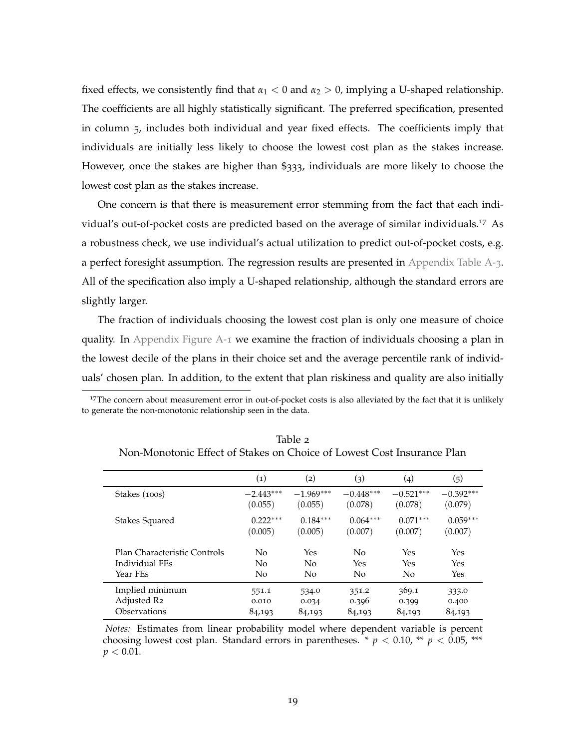fixed effects, we consistently find that  $\alpha_1 < 0$  and  $\alpha_2 > 0$ , implying a U-shaped relationship. The coefficients are all highly statistically significant. The preferred specification, presented in column 5, includes both individual and year fixed effects. The coefficients imply that individuals are initially less likely to choose the lowest cost plan as the stakes increase. However, once the stakes are higher than \$333, individuals are more likely to choose the lowest cost plan as the stakes increase.

One concern is that there is measurement error stemming from the fact that each individual's out-of-pocket costs are predicted based on the average of similar individuals.<sup>17</sup> As a robustness check, we use individual's actual utilization to predict out-of-pocket costs, e.g. a perfect foresight assumption. The regression results are presented in [Appendix Table A-](#page-56-1)3. All of the specification also imply a U-shaped relationship, although the standard errors are slightly larger.

The fraction of individuals choosing the lowest cost plan is only one measure of choice quality. In [Appendix Figure A-](#page-64-0)1 we examine the fraction of individuals choosing a plan in the lowest decile of the plans in their choice set and the average percentile rank of individuals' chosen plan. In addition, to the extent that plan riskiness and quality are also initially

<sup>17</sup>The concern about measurement error in out-of-pocket costs is also alleviated by the fact that it is unlikely to generate the non-monotonic relationship seen in the data.

|                              | $\left( 1\right)$ | $\left( 2\right)$ | (3)         | $\left( 4 \right)$ | (5)         |
|------------------------------|-------------------|-------------------|-------------|--------------------|-------------|
| Stakes (100s)                | $-2.443***$       | $-1.969***$       | $-0.448***$ | $-0.521***$        | $-0.392***$ |
|                              | (0.055)           | (0.055)           | (0.078)     | (0.078)            | (0.079)     |
| Stakes Squared               | $0.222***$        | $0.184***$        | $0.064***$  | $0.071***$         | $0.059***$  |
|                              | (0.005)           | (0.005)           | (0.007)     | (0.007)            | (0.007)     |
| Plan Characteristic Controls | N <sub>0</sub>    | Yes               | No          | Yes                | Yes         |
| Individual FEs               | N <sub>0</sub>    | No                | Yes         | <b>Yes</b>         | Yes         |
| Year FEs                     | N <sub>0</sub>    | No                | No          | No                 | Yes         |
| Implied minimum              | 551.1             | 534.0             | 351.2       | 369.1              | 333.0       |
| Adjusted R2                  | 0.010             | 0.034             | 0.396       | 0.399              | 0.400       |
| Observations                 | 84,193            | 84,193            | 84,193      | 84,193             | 84,193      |

<span id="page-19-0"></span>Table 2 Non-Monotonic Effect of Stakes on Choice of Lowest Cost Insurance Plan

*Notes:* Estimates from linear probability model where dependent variable is percent choosing lowest cost plan. Standard errors in parentheses. \*  $p < 0.10$ , \*\*  $p < 0.05$ , \*\*\*  $p < 0.01$ .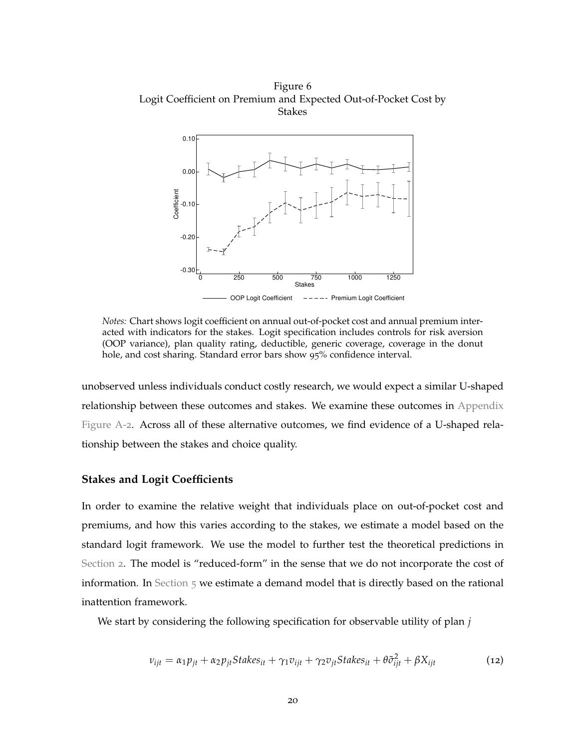<span id="page-20-0"></span>Figure 6 Logit Coefficient on Premium and Expected Out-of-Pocket Cost by Stakes



*Notes:* Chart shows logit coefficient on annual out-of-pocket cost and annual premium interacted with indicators for the stakes. Logit specification includes controls for risk aversion (OOP variance), plan quality rating, deductible, generic coverage, coverage in the donut hole, and cost sharing. Standard error bars show 95% confidence interval.

unobserved unless individuals conduct costly research, we would expect a similar U-shaped relationship between these outcomes and stakes. We examine these outcomes in [Appendix](#page-64-1) [Figure A-](#page-64-1)2. Across all of these alternative outcomes, we find evidence of a U-shaped relationship between the stakes and choice quality.

#### **Stakes and Logit Coefficients**

In order to examine the relative weight that individuals place on out-of-pocket cost and premiums, and how this varies according to the stakes, we estimate a model based on the standard logit framework. We use the model to further test the theoretical predictions in [Section](#page-6-0) 2. The model is "reduced-form" in the sense that we do not incorporate the cost of information. In [Section](#page-23-0) 5 we estimate a demand model that is directly based on the rational inattention framework.

We start by considering the following specification for observable utility of plan *j*

<span id="page-20-1"></span>
$$
v_{ijt} = \alpha_1 p_{jt} + \alpha_2 p_{jt} Stakes_{it} + \gamma_1 v_{ijt} + \gamma_2 v_{jt} Stakes_{it} + \theta \tilde{\sigma}_{ijt}^2 + \beta X_{ijt}
$$
(12)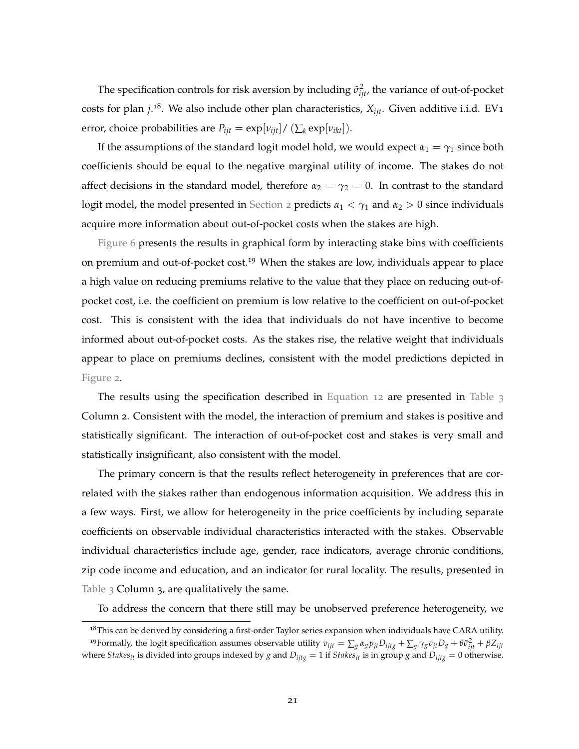The specification controls for risk aversion by including  $\tilde{\sigma}^2_{ijt}$ , the variance of out-of-pocket costs for plan *j*. <sup>18</sup>. We also include other plan characteristics, *Xijt*. Given additive i.i.d. EV1 error, choice probabilities are  $P_{ijt} = \exp[v_{ijt}]/(\sum_k \exp[v_{ikt}]).$ 

If the assumptions of the standard logit model hold, we would expect  $\alpha_1 = \gamma_1$  since both coefficients should be equal to the negative marginal utility of income. The stakes do not affect decisions in the standard model, therefore  $\alpha_2 = \gamma_2 = 0$ . In contrast to the standard logit model, the model presented in [Section](#page-6-0) 2 predicts  $\alpha_1 < \gamma_1$  and  $\alpha_2 > 0$  since individuals acquire more information about out-of-pocket costs when the stakes are high.

[Figure](#page-20-0) 6 presents the results in graphical form by interacting stake bins with coefficients on premium and out-of-pocket cost.<sup>19</sup> When the stakes are low, individuals appear to place a high value on reducing premiums relative to the value that they place on reducing out-ofpocket cost, i.e. the coefficient on premium is low relative to the coefficient on out-of-pocket cost. This is consistent with the idea that individuals do not have incentive to become informed about out-of-pocket costs. As the stakes rise, the relative weight that individuals appear to place on premiums declines, consistent with the model predictions depicted in [Figure](#page-11-0) 2.

The results using the specification described in [Equation](#page-20-1) 12 are presented in [Table](#page-22-0) 3 Column 2. Consistent with the model, the interaction of premium and stakes is positive and statistically significant. The interaction of out-of-pocket cost and stakes is very small and statistically insignificant, also consistent with the model.

The primary concern is that the results reflect heterogeneity in preferences that are correlated with the stakes rather than endogenous information acquisition. We address this in a few ways. First, we allow for heterogeneity in the price coefficients by including separate coefficients on observable individual characteristics interacted with the stakes. Observable individual characteristics include age, gender, race indicators, average chronic conditions, zip code income and education, and an indicator for rural locality. The results, presented in [Table](#page-22-0)  $3$  Column  $3$ , are qualitatively the same.

To address the concern that there still may be unobserved preference heterogeneity, we

 $18$ This can be derived by considering a first-order Taylor series expansion when individuals have CARA utility. <sup>19</sup>Formally, the logit specification assumes observable utility  $v_{ijt} = \sum_g \alpha_g p_{jt} D_{ijtg} + \sum_g \gamma_g v_{jt} D_g + \theta \tilde{\sigma}_{ijt}^2 + \beta Z_{ijt}$ where *Stakes*<sub>it</sub> is divided into groups indexed by *g* and  $D_{ijtg} = 1$  if *Stakes*<sub>it</sub> is in group *g* and  $D_{ijtg} = 0$  otherwise.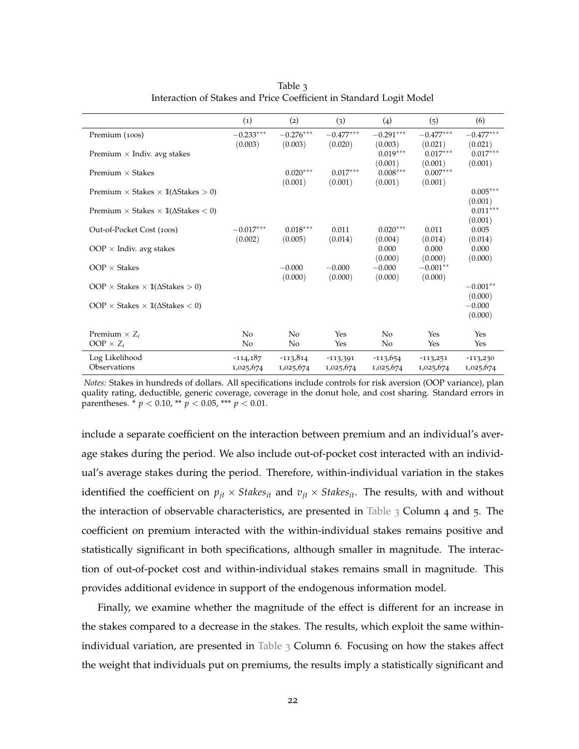<span id="page-22-0"></span>

|                                                            | (1)                              | (2)                     | (3)                     | (4)                              | (5)                              | (6)                              |
|------------------------------------------------------------|----------------------------------|-------------------------|-------------------------|----------------------------------|----------------------------------|----------------------------------|
| Premium (100s)                                             | $-0.233***$                      | $-0.276***$             | $-0.477***$             | $-0.291***$                      | $-0.477***$                      | $-0.477***$                      |
| Premium $\times$ Indiv. avg stakes                         | (0.003)                          | (0.003)                 | (0.020)                 | (0.003)<br>$0.019***$<br>(0.001) | (0.021)<br>$0.017***$<br>(0.001) | (0.021)<br>$0.017***$<br>(0.001) |
| Premium $\times$ Stakes                                    |                                  | $0.020***$              | $0.017***$              | $0.008***$                       | $0.007***$                       |                                  |
| Premium $\times$ Stakes $\times$ 1( $\Delta$ Stakes $>$ 0) |                                  | (0.001)                 | (0.001)                 | (0.001)                          | (0.001)                          | $0.005***$<br>(0.001)            |
| Premium $\times$ Stakes $\times$ 1( $\Delta$ Stakes $<$ 0) |                                  |                         |                         |                                  |                                  | $0.011***$                       |
| Out-of-Pocket Cost (100s)                                  | $-0.017***$<br>(0.002)           | $0.018***$<br>(0.005)   | 0.011<br>(0.014)        | $0.020***$<br>(0.004)            | 0.011<br>(0.014)                 | (0.001)<br>0.005<br>(0.014)      |
| OOP $\times$ Indiv. avg stakes                             |                                  |                         |                         | 0.000                            | 0.000                            | 0.000                            |
| $OOP \times$ Stakes                                        |                                  | $-0.000$<br>(0.000)     | $-0.000$<br>(0.000)     | (0.000)<br>$-0.000$<br>(0.000)   | (0.000)<br>$-0.001**$<br>(0.000) | (0.000)                          |
| OOP $\times$ Stakes $\times$ 1( $\Delta$ Stakes $>$ 0)     |                                  |                         |                         |                                  |                                  | $-0.001**$                       |
| OOP $\times$ Stakes $\times$ 1( $\Delta$ Stakes $<$ 0)     |                                  |                         |                         |                                  |                                  | (0.000)<br>$-0.000$<br>(0.000)   |
| Premium $\times Z_i$<br>OOP $\times Z_i$                   | N <sub>0</sub><br>N <sub>0</sub> | N <sub>0</sub><br>No    | Yes<br>Yes              | N <sub>o</sub><br>No             | Yes<br>Yes                       | Yes<br>Yes                       |
| Log Likelihood<br>Observations                             | $-114,187$<br>1,025,674          | $-113,814$<br>1,025,674 | $-113,391$<br>1,025,674 | $-113,654$<br>1,025,674          | $-113,251$<br>1,025,674          | $-113,230$<br>1,025,674          |

Table 3 Interaction of Stakes and Price Coefficient in Standard Logit Model

*Notes:* Stakes in hundreds of dollars. All specifications include controls for risk aversion (OOP variance), plan quality rating, deductible, generic coverage, coverage in the donut hole, and cost sharing. Standard errors in parentheses. \* *p* < 0.10, \*\* *p* < 0.05, \*\*\* *p* < 0.01.

include a separate coefficient on the interaction between premium and an individual's average stakes during the period. We also include out-of-pocket cost interacted with an individual's average stakes during the period. Therefore, within-individual variation in the stakes identified the coefficient on  $p_{it} \times$  *Stakes*<sub>*it*</sub> and  $v_{it} \times$  *Stakes*<sub>*it*</sub>. The results, with and without the interaction of observable characteristics, are presented in [Table](#page-22-0)  $\beta$  Column 4 and 5. The coefficient on premium interacted with the within-individual stakes remains positive and statistically significant in both specifications, although smaller in magnitude. The interaction of out-of-pocket cost and within-individual stakes remains small in magnitude. This provides additional evidence in support of the endogenous information model.

Finally, we examine whether the magnitude of the effect is different for an increase in the stakes compared to a decrease in the stakes. The results, which exploit the same within-individual variation, are presented in [Table](#page-22-0)  $\beta$  Column 6. Focusing on how the stakes affect the weight that individuals put on premiums, the results imply a statistically significant and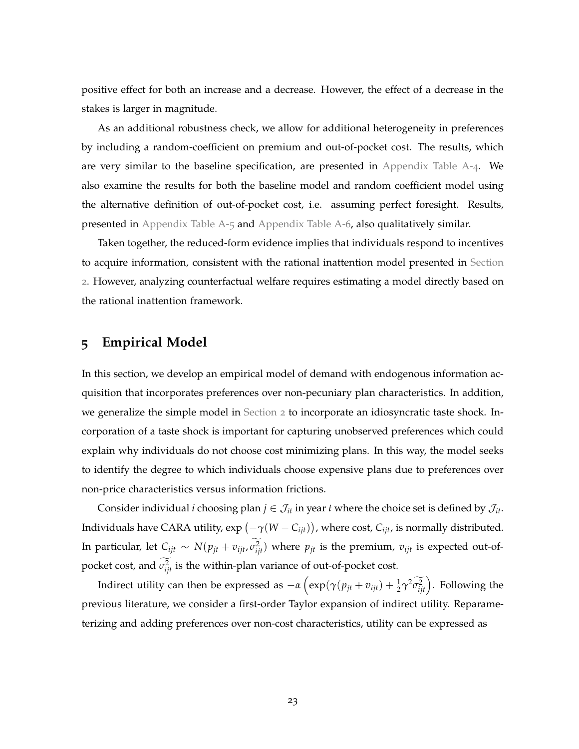positive effect for both an increase and a decrease. However, the effect of a decrease in the stakes is larger in magnitude.

As an additional robustness check, we allow for additional heterogeneity in preferences by including a random-coefficient on premium and out-of-pocket cost. The results, which are very similar to the baseline specification, are presented in [Appendix Table A-](#page-57-0)4. We also examine the results for both the baseline model and random coefficient model using the alternative definition of out-of-pocket cost, i.e. assuming perfect foresight. Results, presented in [Appendix Table A-](#page-58-0)5 and [Appendix Table A-](#page-59-0)6, also qualitatively similar.

Taken together, the reduced-form evidence implies that individuals respond to incentives to acquire information, consistent with the rational inattention model presented in [Section](#page-6-0) [2](#page-6-0). However, analyzing counterfactual welfare requires estimating a model directly based on the rational inattention framework.

## <span id="page-23-0"></span>**5 Empirical Model**

In this section, we develop an empirical model of demand with endogenous information acquisition that incorporates preferences over non-pecuniary plan characteristics. In addition, we generalize the simple model in [Section](#page-6-0) 2 to incorporate an idiosyncratic taste shock. Incorporation of a taste shock is important for capturing unobserved preferences which could explain why individuals do not choose cost minimizing plans. In this way, the model seeks to identify the degree to which individuals choose expensive plans due to preferences over non-price characteristics versus information frictions.

Consider individual *i* choosing plan  $j \in \mathcal{J}_{it}$  in year *t* where the choice set is defined by  $\mathcal{J}_{it}$ . Individuals have CARA utility,  $\exp \left( -\gamma (W - \hat{C}_{ijt}) \right)$ , where cost,  $\hat{C}_{ijt}$ , is normally distributed. In particular, let  $C_{ijt} \sim N(p_{jt} + v_{ijt}, \sigma_{ijt}^2)$  where  $p_{jt}$  is the premium,  $v_{ijt}$  is expected out-ofpocket cost, and  $\sigma_{ijt}^2$  is the within-plan variance of out-of-pocket cost.

Indirect utility can then be expressed as  $-\alpha \left( \exp(\gamma(p_{jt}+v_{ijt})+\frac{1}{2}\gamma^2\widetilde{\sigma_{ijt}^2}\right)$ . Following the previous literature, we consider a first-order Taylor expansion of indirect utility. Reparameterizing and adding preferences over non-cost characteristics, utility can be expressed as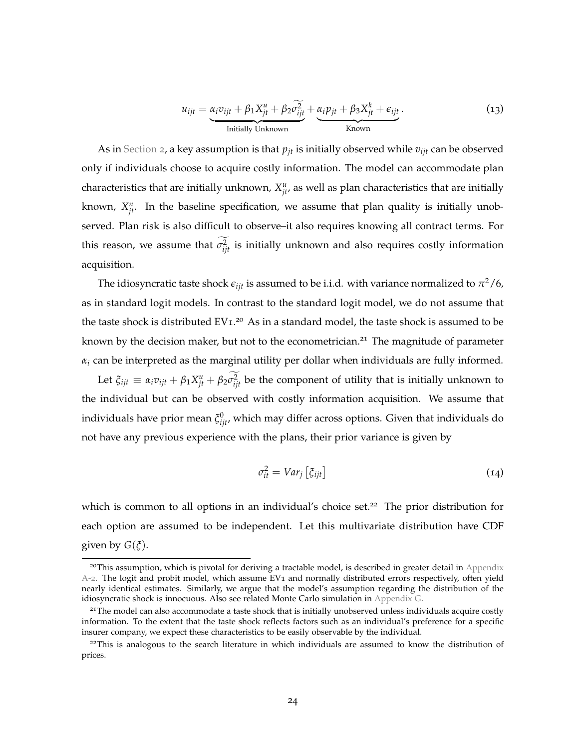$$
u_{ijt} = \underbrace{\alpha_i v_{ijt} + \beta_1 X_{jt}^u + \beta_2 \widehat{\sigma_{ijt}^2}}_{\text{Initially Unknown}} + \underbrace{\alpha_i p_{jt} + \beta_3 X_{jt}^k + \epsilon_{ijt}}_{\text{Known}}.
$$
 (13)

As in [Section](#page-6-0) 2, a key assumption is that  $p_{jt}$  is initially observed while  $v_{ijt}$  can be observed only if individuals choose to acquire costly information. The model can accommodate plan characteristics that are initially unknown,  $X_{jt}^u$ , as well as plan characteristics that are initially known,  $X_{jt}^n$ . In the baseline specification, we assume that plan quality is initially unobserved. Plan risk is also difficult to observe–it also requires knowing all contract terms. For this reason, we assume that  $\sigma_{ijt}^2$  is initially unknown and also requires costly information acquisition.

The idiosyncratic taste shock  $\epsilon_{ijt}$  is assumed to be i.i.d. with variance normalized to  $\pi^2/6$ , as in standard logit models. In contrast to the standard logit model, we do not assume that the taste shock is distributed EV<sub>1</sub>.<sup>20</sup> As in a standard model, the taste shock is assumed to be known by the decision maker, but not to the econometrician.<sup>21</sup> The magnitude of parameter  $\alpha_i$  can be interpreted as the marginal utility per dollar when individuals are fully informed.

Let  $\xi_{ijt} \equiv \alpha_i v_{ijt} + \beta_1 X_{jt}^u + \beta_2 \sigma_{ijt}^2$  be the component of utility that is initially unknown to the individual but can be observed with costly information acquisition. We assume that individuals have prior mean  $\xi_{ijt}^0$ , which may differ across options. Given that individuals do not have any previous experience with the plans, their prior variance is given by

$$
\sigma_{it}^2 = Var_j \left[ \xi_{ijt} \right] \tag{14}
$$

which is common to all options in an individual's choice set.<sup>22</sup> The prior distribution for each option are assumed to be independent. Let this multivariate distribution have CDF given by  $G(\xi)$ .

 $^{20}$ This assumption, which is pivotal for deriving a tractable model, is described in greater detail in [Appendix](#page-47-0) [A-](#page-47-0)2. The logit and probit model, which assume EV1 and normally distributed errors respectively, often yield nearly identical estimates. Similarly, we argue that the model's assumption regarding the distribution of the idiosyncratic shock is innocuous. Also see related Monte Carlo simulation in [Appendix G.](#page-67-0)

 $21$ The model can also accommodate a taste shock that is initially unobserved unless individuals acquire costly information. To the extent that the taste shock reflects factors such as an individual's preference for a specific insurer company, we expect these characteristics to be easily observable by the individual.

<sup>&</sup>lt;sup>22</sup>This is analogous to the search literature in which individuals are assumed to know the distribution of prices.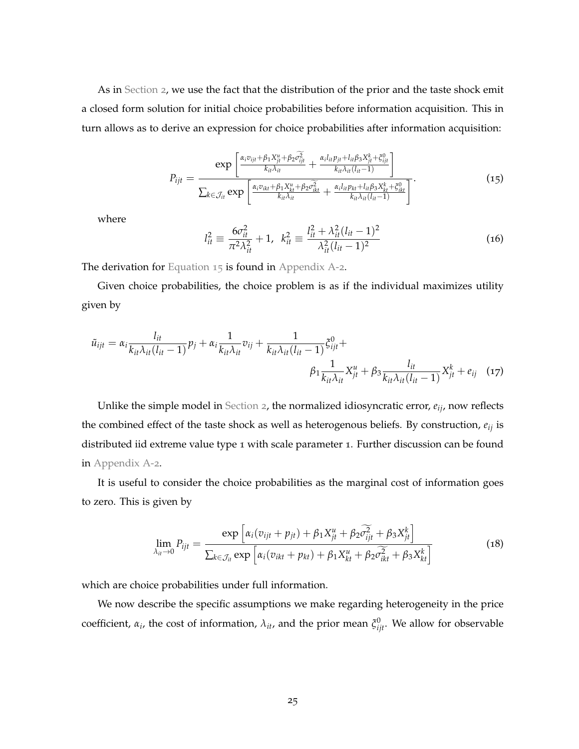As in [Section](#page-6-0) 2, we use the fact that the distribution of the prior and the taste shock emit a closed form solution for initial choice probabilities before information acquisition. This in turn allows as to derive an expression for choice probabilities after information acquisition:

<span id="page-25-0"></span>
$$
P_{ijt} = \frac{\exp\left[\frac{\alpha_i v_{ijt} + \beta_1 X_{ji}^u + \beta_2 \widehat{c_{ijt}^2}}{k_{it} \lambda_{it}} + \frac{\alpha_i l_{it} p_{jt} + l_{it} \beta_3 X_{jt}^k + \xi_{ijt}^0}{k_{it} \lambda_{it}(l_{it}-1)}\right]}{\sum_{k \in \mathcal{J}_{it}} \exp\left[\frac{\alpha_i v_{ikt} + \beta_1 X_{kt}^u + \beta_2 \widehat{c_{ikt}^2}}{k_{it} \lambda_{it}} + \frac{\alpha_i l_{it} p_{kt} + l_{it} \beta_3 X_{kt}^k + \xi_{ikt}^0}{k_{it} \lambda_{it}(l_{it}-1)}\right]}.
$$
(15)

where

$$
l_{it}^{2} \equiv \frac{6\sigma_{it}^{2}}{\pi^{2}\lambda_{it}^{2}} + 1, \ \ k_{it}^{2} \equiv \frac{l_{it}^{2} + \lambda_{it}^{2}(l_{it} - 1)^{2}}{\lambda_{it}^{2}(l_{it} - 1)^{2}}
$$
(16)

The derivation for [Equation](#page-25-0) 15 is found in [Appendix A-](#page-47-0)2.

Given choice probabilities, the choice problem is as if the individual maximizes utility given by

$$
\tilde{u}_{ijt} = \alpha_i \frac{l_{it}}{k_{it}\lambda_{it}(l_{it}-1)} p_j + \alpha_i \frac{1}{k_{it}\lambda_{it}} v_{ij} + \frac{1}{k_{it}\lambda_{it}(l_{it}-1)} \xi_{ijt}^0 + \beta_i \frac{1}{k_{it}\lambda_{it}} \chi_{jt}^u + \beta_i \frac{l_{it}}{k_{it}\lambda_{it}(l_{it}-1)} X_{jt}^k + e_{ij} \quad (17)
$$

Unlike the simple model in [Section](#page-6-0) 2, the normalized idiosyncratic error, *eij*, now reflects the combined effect of the taste shock as well as heterogenous beliefs. By construction, *eij* is distributed iid extreme value type 1 with scale parameter 1. Further discussion can be found in [Appendix A-](#page-47-0)2.

It is useful to consider the choice probabilities as the marginal cost of information goes to zero. This is given by

<span id="page-25-1"></span>
$$
\lim_{\lambda_{it}\to 0} P_{ijt} = \frac{\exp\left[\alpha_i(v_{ijt} + p_{jt}) + \beta_1 X_{jt}^u + \beta_2 \widetilde{c}_{ijt}^2 + \beta_3 X_{jt}^k\right]}{\sum_{k \in \mathcal{J}_{it}} \exp\left[\alpha_i(v_{ikt} + p_{kt}) + \beta_1 X_{kt}^u + \beta_2 \widetilde{c}_{ikt}^2 + \beta_3 X_{kt}^k\right]}
$$
(18)

which are choice probabilities under full information.

We now describe the specific assumptions we make regarding heterogeneity in the price coefficient,  $\alpha_i$ , the cost of information,  $\lambda_{it}$ , and the prior mean  $\xi_{ijt}^0$ . We allow for observable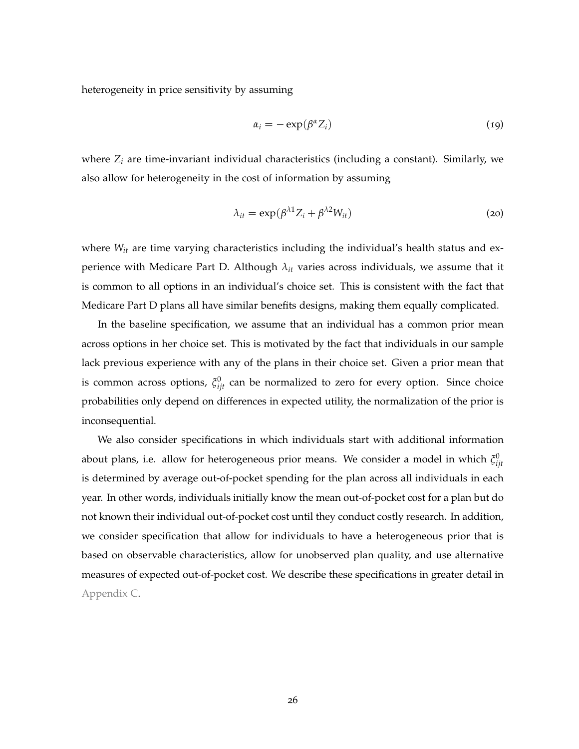heterogeneity in price sensitivity by assuming

$$
\alpha_i = -\exp(\beta^\alpha Z_i) \tag{19}
$$

where *Z<sup>i</sup>* are time-invariant individual characteristics (including a constant). Similarly, we also allow for heterogeneity in the cost of information by assuming

$$
\lambda_{it} = \exp(\beta^{\lambda 1} Z_i + \beta^{\lambda 2} W_{it})
$$
\n(20)

where  $W_{it}$  are time varying characteristics including the individual's health status and experience with Medicare Part D. Although *λit* varies across individuals, we assume that it is common to all options in an individual's choice set. This is consistent with the fact that Medicare Part D plans all have similar benefits designs, making them equally complicated.

In the baseline specification, we assume that an individual has a common prior mean across options in her choice set. This is motivated by the fact that individuals in our sample lack previous experience with any of the plans in their choice set. Given a prior mean that is common across options,  $\xi_{ijt}^0$  can be normalized to zero for every option. Since choice probabilities only depend on differences in expected utility, the normalization of the prior is inconsequential.

We also consider specifications in which individuals start with additional information about plans, i.e. allow for heterogeneous prior means. We consider a model in which  $ξ_{ijt}^0$ is determined by average out-of-pocket spending for the plan across all individuals in each year. In other words, individuals initially know the mean out-of-pocket cost for a plan but do not known their individual out-of-pocket cost until they conduct costly research. In addition, we consider specification that allow for individuals to have a heterogeneous prior that is based on observable characteristics, allow for unobserved plan quality, and use alternative measures of expected out-of-pocket cost. We describe these specifications in greater detail in [Appendix C.](#page-53-0)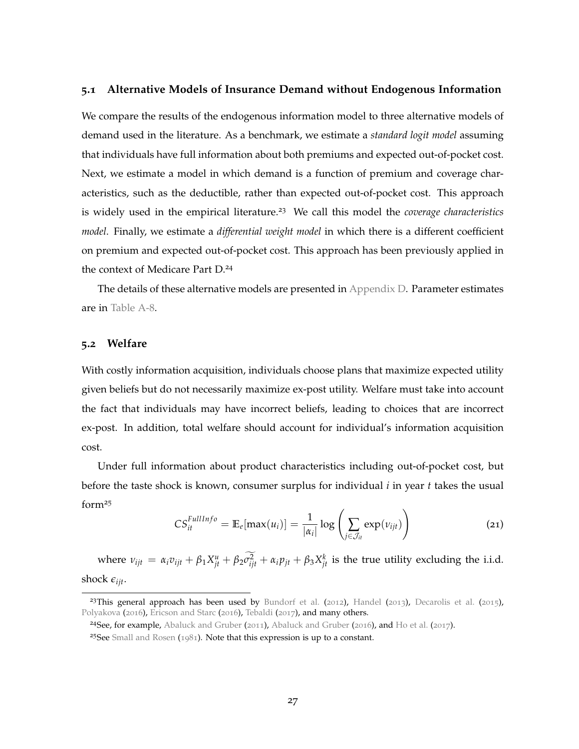#### **5.1 Alternative Models of Insurance Demand without Endogenous Information**

We compare the results of the endogenous information model to three alternative models of demand used in the literature. As a benchmark, we estimate a *standard logit model* assuming that individuals have full information about both premiums and expected out-of-pocket cost. Next, we estimate a model in which demand is a function of premium and coverage characteristics, such as the deductible, rather than expected out-of-pocket cost. This approach is widely used in the empirical literature.<sup>23</sup> We call this model the *coverage characteristics model*. Finally, we estimate a *differential weight model* in which there is a different coefficient on premium and expected out-of-pocket cost. This approach has been previously applied in the context of Medicare Part D.<sup>24</sup>

The details of these alternative models are presented in [Appendix D.](#page-54-0) Parameter estimates are in [Table A-](#page-60-0)8.

#### <span id="page-27-0"></span>**5.2 Welfare**

With costly information acquisition, individuals choose plans that maximize expected utility given beliefs but do not necessarily maximize ex-post utility. Welfare must take into account the fact that individuals may have incorrect beliefs, leading to choices that are incorrect ex-post. In addition, total welfare should account for individual's information acquisition cost.

Under full information about product characteristics including out-of-pocket cost, but before the taste shock is known, consumer surplus for individual *i* in year *t* takes the usual form<sup>25</sup>

$$
CS_{it}^{FullInfo} = \mathbb{E}_e[\max(u_i)] = \frac{1}{|\alpha_i|} \log \left( \sum_{j \in \mathcal{J}_{it}} \exp(v_{ijt}) \right) \tag{21}
$$

where  $v_{ijt} = \alpha_i v_{ijt} + \beta_1 X_{jt}^u + \beta_2 \sigma_{ijt}^2 + \alpha_i p_{jt} + \beta_3 X_{jt}^k$  is the true utility excluding the i.i.d. shock  $\epsilon_{ijt}$ .

<sup>&</sup>lt;sup>23</sup>This general approach has been used by [Bundorf et al.](#page-42-11) ([2012](#page-42-11)), [Handel](#page-43-8) ([2013](#page-43-8)), [Decarolis et al.](#page-42-12) ([2015](#page-42-12)), [Polyakova](#page-44-1) ([2016](#page-43-1)), [Ericson and Starc](#page-43-1) (2016), [Tebaldi](#page-44-6) ([2017](#page-44-6)), and many others.

<sup>&</sup>lt;sup>24</sup>See, for example, [Abaluck and Gruber](#page-42-10) ([2011](#page-42-2)), Abaluck and Gruber ([2016](#page-42-10)), and [Ho et al.](#page-43-9) ([2017](#page-43-9)).

<sup>25</sup>See [Small and Rosen](#page-44-7) ([1981](#page-44-7)). Note that this expression is up to a constant.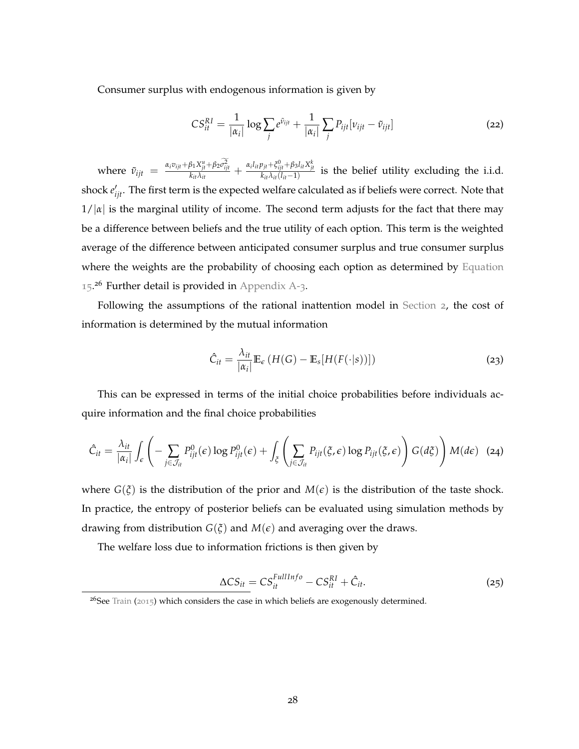Consumer surplus with endogenous information is given by

$$
CS_{it}^{RI} = \frac{1}{|\alpha_i|} \log \sum_j e^{\tilde{v}_{ijt}} + \frac{1}{|\alpha_i|} \sum_j P_{ijt} [v_{ijt} - \tilde{v}_{ijt}]
$$
 (22)

where  $\tilde{v}_{ijt} = \frac{\alpha_i v_{ijt} + \beta_1 X_{jt}^u + \beta_2 \sigma_{ijt}^2}{k_{it} \lambda_{it}} + \frac{\alpha_i l_{it} p_{jt} + \xi_{ijt}^0 + \beta_3 l_{it} X_{jt}^k}{k_{it} \lambda_{it} (l_{it}-1)}$  is the belief utility excluding the i.i.d. shock  $e'_{ijt}$ . The first term is the expected welfare calculated as if beliefs were correct. Note that  $1/|\alpha|$  is the marginal utility of income. The second term adjusts for the fact that there may be a difference between beliefs and the true utility of each option. This term is the weighted average of the difference between anticipated consumer surplus and true consumer surplus where the weights are the probability of choosing each option as determined by [Equation](#page-25-0) [15](#page-25-0).<sup>26</sup> Further detail is provided in [Appendix A-](#page-51-0)3.

Following the assumptions of the rational inattention model in [Section](#page-6-0) 2, the cost of information is determined by the mutual information

$$
\hat{C}_{it} = \frac{\lambda_{it}}{|\alpha_i|} \mathbb{E}_{\epsilon} \left( H(G) - \mathbb{E}_{s}[H(F(\cdot|s))] \right)
$$
(23)

This can be expressed in terms of the initial choice probabilities before individuals acquire information and the final choice probabilities

<span id="page-28-0"></span>
$$
\hat{C}_{it} = \frac{\lambda_{it}}{|\alpha_i|} \int_{\epsilon} \left( - \sum_{j \in \mathcal{J}_{it}} P_{ijt}^0(\epsilon) \log P_{ijt}^0(\epsilon) + \int_{\xi} \left( \sum_{j \in \mathcal{J}_{it}} P_{ijt}(\xi, \epsilon) \log P_{ijt}(\xi, \epsilon) \right) G(d\xi) \right) M(d\epsilon) \tag{24}
$$

where  $G(\xi)$  is the distribution of the prior and  $M(\epsilon)$  is the distribution of the taste shock. In practice, the entropy of posterior beliefs can be evaluated using simulation methods by drawing from distribution  $G(\xi)$  and  $M(\epsilon)$  and averaging over the draws.

The welfare loss due to information frictions is then given by

$$
\Delta CS_{it} = CS_{it}^{FullInfo} - CS_{it}^{RI} + \hat{C}_{it}.
$$
\n(25)

 $26$ See [Train](#page-44-8) ([2015](#page-44-8)) which considers the case in which beliefs are exogenously determined.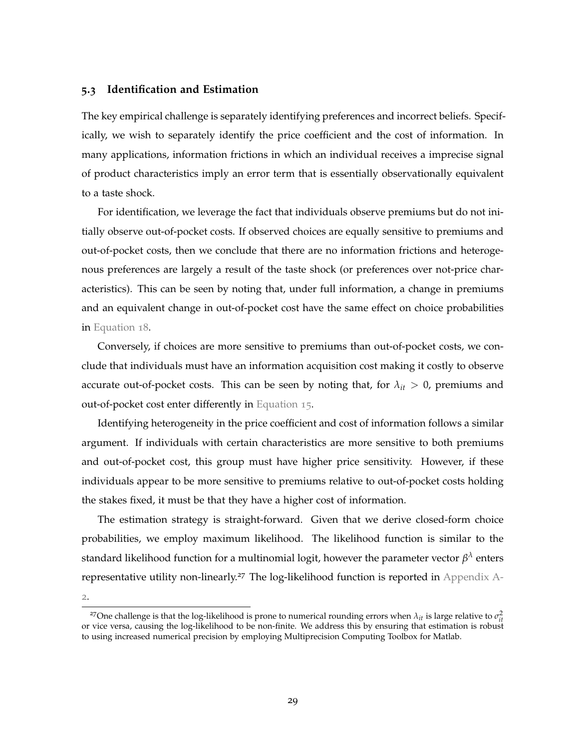#### **5.3 Identification and Estimation**

The key empirical challenge is separately identifying preferences and incorrect beliefs. Specifically, we wish to separately identify the price coefficient and the cost of information. In many applications, information frictions in which an individual receives a imprecise signal of product characteristics imply an error term that is essentially observationally equivalent to a taste shock.

For identification, we leverage the fact that individuals observe premiums but do not initially observe out-of-pocket costs. If observed choices are equally sensitive to premiums and out-of-pocket costs, then we conclude that there are no information frictions and heterogenous preferences are largely a result of the taste shock (or preferences over not-price characteristics). This can be seen by noting that, under full information, a change in premiums and an equivalent change in out-of-pocket cost have the same effect on choice probabilities in [Equation](#page-25-1) 18.

Conversely, if choices are more sensitive to premiums than out-of-pocket costs, we conclude that individuals must have an information acquisition cost making it costly to observe accurate out-of-pocket costs. This can be seen by noting that, for  $\lambda_{it} > 0$ , premiums and out-of-pocket cost enter differently in [Equation](#page-25-0) 15.

Identifying heterogeneity in the price coefficient and cost of information follows a similar argument. If individuals with certain characteristics are more sensitive to both premiums and out-of-pocket cost, this group must have higher price sensitivity. However, if these individuals appear to be more sensitive to premiums relative to out-of-pocket costs holding the stakes fixed, it must be that they have a higher cost of information.

The estimation strategy is straight-forward. Given that we derive closed-form choice probabilities, we employ maximum likelihood. The likelihood function is similar to the standard likelihood function for a multinomial logit, however the parameter vector  $\beta^\lambda$  enters representative utility non-linearly.<sup>27</sup> The log-likelihood function is reported in [Appendix A-](#page-47-0)

[2](#page-47-0).

<sup>&</sup>lt;sup>27</sup>One challenge is that the log-likelihood is prone to numerical rounding errors when  $\lambda_{it}$  is large relative to  $\sigma_{it}^2$ or vice versa, causing the log-likelihood to be non-finite. We address this by ensuring that estimation is robust to using increased numerical precision by employing Multiprecision Computing Toolbox for Matlab.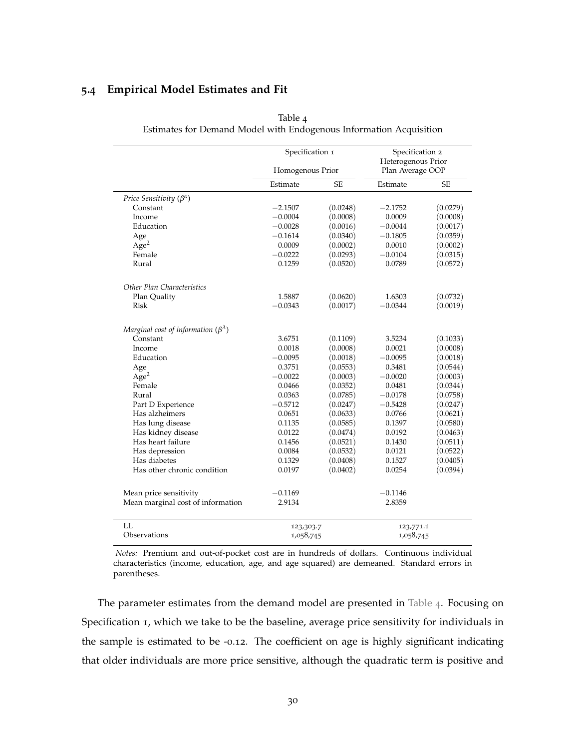#### **5.4 Empirical Model Estimates and Fit**

|                                                  | Specification 1<br>Homogenous Prior |           | Specification 2<br>Heterogenous Prior<br>Plan Average OOP |           |
|--------------------------------------------------|-------------------------------------|-----------|-----------------------------------------------------------|-----------|
|                                                  | Estimate                            | <b>SE</b> | Estimate                                                  | <b>SE</b> |
| Price Sensitivity $(\beta^{\alpha})$             |                                     |           |                                                           |           |
| Constant                                         | $-2.1507$                           | (0.0248)  | $-2.1752$                                                 | (0.0279)  |
| Income                                           | $-0.0004$                           | (0.0008)  | 0.0009                                                    | (0.0008)  |
| Education                                        | $-0.0028$                           | (0.0016)  | $-0.0044$                                                 | (0.0017)  |
| Age                                              | $-0.1614$                           | (0.0340)  | $-0.1805$                                                 | (0.0359)  |
| Age <sup>2</sup>                                 | 0.0009                              | (0.0002)  | 0.0010                                                    | (0.0002)  |
| Female                                           | $-0.0222$                           | (0.0293)  | $-0.0104$                                                 | (0.0315)  |
| Rural                                            | 0.1259                              | (0.0520)  | 0.0789                                                    | (0.0572)  |
| Other Plan Characteristics                       |                                     |           |                                                           |           |
| Plan Quality                                     | 1.5887                              | (0.0620)  | 1.6303                                                    | (0.0732)  |
| Risk                                             | $-0.0343$                           | (0.0017)  | $-0.0344$                                                 | (0.0019)  |
| Marginal cost of information $(\beta^{\lambda})$ |                                     |           |                                                           |           |
| Constant                                         | 3.6751                              | (0.1109)  | 3.5234                                                    | (0.1033)  |
| Income                                           | 0.0018                              | (0.0008)  | 0.0021                                                    | (0.0008)  |
| Education                                        | $-0.0095$                           | (0.0018)  | $-0.0095$                                                 | (0.0018)  |
| Age                                              | 0.3751                              | (0.0553)  | 0.3481                                                    | (0.0544)  |
| Age <sup>2</sup>                                 | $-0.0022$                           | (0.0003)  | $-0.0020$                                                 | (0.0003)  |
| Female                                           | 0.0466                              | (0.0352)  | 0.0481                                                    | (0.0344)  |
| Rural                                            | 0.0363                              | (0.0785)  | $-0.0178$                                                 | (0.0758)  |
| Part D Experience                                | $-0.5712$                           | (0.0247)  | $-0.5428$                                                 | (0.0247)  |
| Has alzheimers                                   | 0.0651                              | (0.0633)  | 0.0766                                                    | (0.0621)  |
| Has lung disease                                 | 0.1135                              | (0.0585)  | 0.1397                                                    | (0.0580)  |
| Has kidney disease                               | 0.0122                              | (0.0474)  | 0.0192                                                    | (0.0463)  |
| Has heart failure                                | 0.1456                              | (0.0521)  | 0.1430                                                    | (0.0511)  |
| Has depression                                   | 0.0084                              | (0.0532)  | 0.0121                                                    | (0.0522)  |
| Has diabetes                                     | 0.1329                              | (0.0408)  | 0.1527                                                    | (0.0405)  |
| Has other chronic condition                      | 0.0197                              | (0.0402)  | 0.0254                                                    | (0.0394)  |
| Mean price sensitivity                           | $-0.1169$                           |           | $-0.1146$                                                 |           |
| Mean marginal cost of information                | 2.9134                              |           | 2.8359                                                    |           |
| LL.                                              | 123,303.7                           |           | 123,771.1                                                 |           |
| Observations                                     | 1,058,745                           |           | 1,058,745                                                 |           |

<span id="page-30-0"></span>

| Table 4                                                            |  |
|--------------------------------------------------------------------|--|
| Estimates for Demand Model with Endogenous Information Acquisition |  |

*Notes:* Premium and out-of-pocket cost are in hundreds of dollars. Continuous individual characteristics (income, education, age, and age squared) are demeaned. Standard errors in parentheses.

The parameter estimates from the demand model are presented in [Table](#page-30-0) 4. Focusing on Specification 1, which we take to be the baseline, average price sensitivity for individuals in the sample is estimated to be -0.12. The coefficient on age is highly significant indicating that older individuals are more price sensitive, although the quadratic term is positive and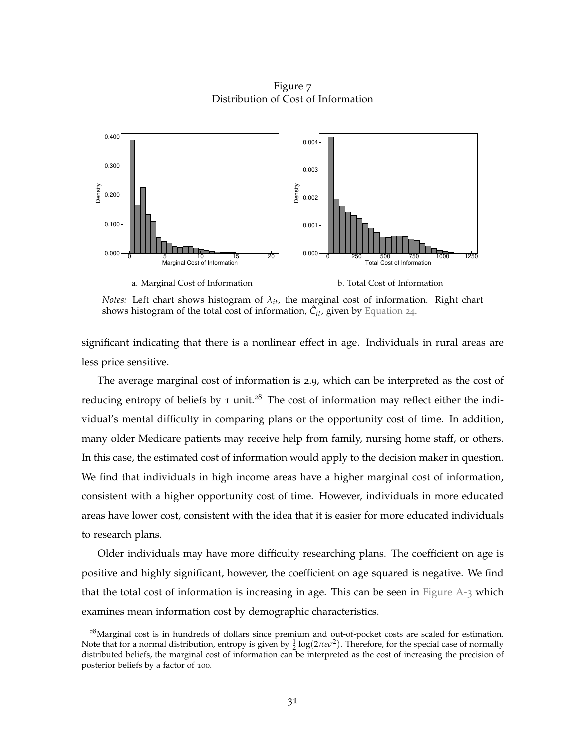Figure 7 Distribution of Cost of Information

<span id="page-31-0"></span>

*Notes:* Left chart shows histogram of *λit*, the marginal cost of information. Right chart shows histogram of the total cost of information,  $\hat{C}_{it}$ , given by [Equation](#page-28-0) 24.

significant indicating that there is a nonlinear effect in age. Individuals in rural areas are less price sensitive.

The average marginal cost of information is 2.9, which can be interpreted as the cost of reducing entropy of beliefs by 1 unit.<sup>28</sup> The cost of information may reflect either the individual's mental difficulty in comparing plans or the opportunity cost of time. In addition, many older Medicare patients may receive help from family, nursing home staff, or others. In this case, the estimated cost of information would apply to the decision maker in question. We find that individuals in high income areas have a higher marginal cost of information, consistent with a higher opportunity cost of time. However, individuals in more educated areas have lower cost, consistent with the idea that it is easier for more educated individuals to research plans.

Older individuals may have more difficulty researching plans. The coefficient on age is positive and highly significant, however, the coefficient on age squared is negative. We find that the total cost of information is increasing in age. This can be seen in Figure  $A-3$  which examines mean information cost by demographic characteristics.

<sup>&</sup>lt;sup>28</sup>Marginal cost is in hundreds of dollars since premium and out-of-pocket costs are scaled for estimation. Note that for a normal distribution, entropy is given by  $\frac{1}{2} \log(2\pi e \sigma^2)$ . Therefore, for the special case of normally distributed beliefs, the marginal cost of information can be interpreted as the cost of increasing the precision of posterior beliefs by a factor of 100.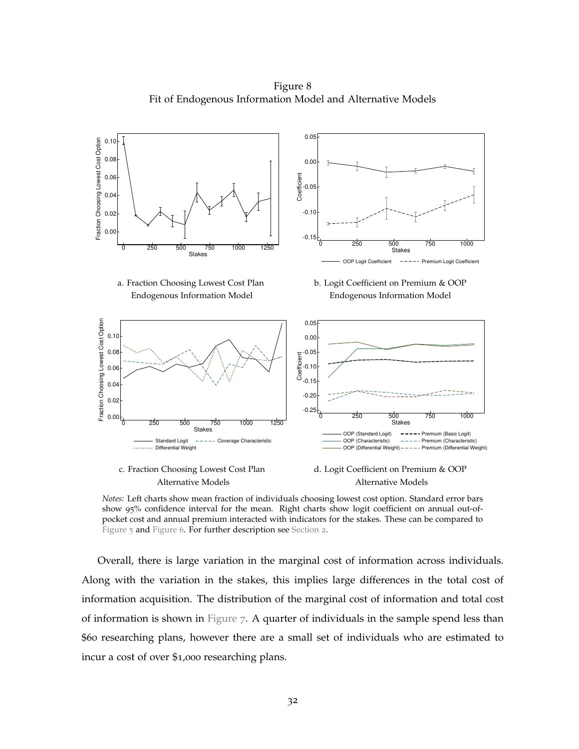Figure 8 Fit of Endogenous Information Model and Alternative Models

<span id="page-32-0"></span>

Alternative Models **Alternative Models** 

*Notes:* Left charts show mean fraction of individuals choosing lowest cost option. Standard error bars show 95% confidence interval for the mean. Right charts show logit coefficient on annual out-ofpocket cost and annual premium interacted with indicators for the stakes. These can be compared to [Figure](#page-18-0) 5 and [Figure](#page-20-0) 6. For further description see [Section](#page-6-0) 2.

Overall, there is large variation in the marginal cost of information across individuals. Along with the variation in the stakes, this implies large differences in the total cost of information acquisition. The distribution of the marginal cost of information and total cost of information is shown in [Figure](#page-31-0) 7. A quarter of individuals in the sample spend less than \$60 researching plans, however there are a small set of individuals who are estimated to incur a cost of over \$1,000 researching plans.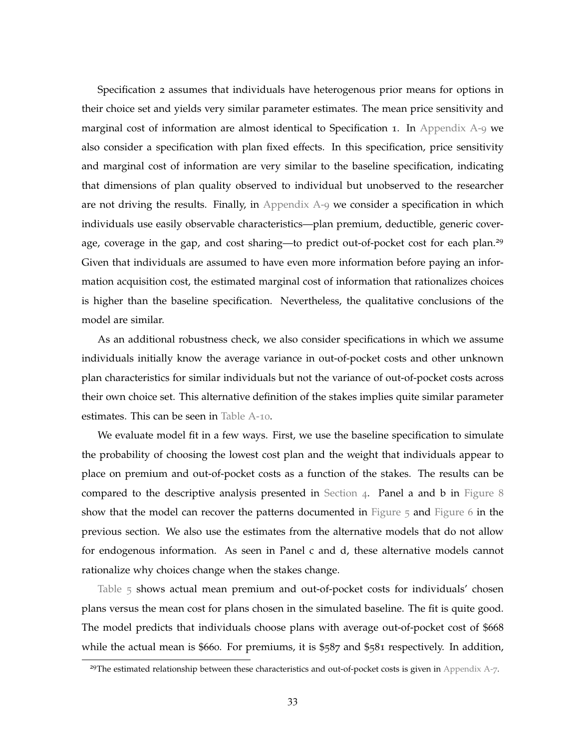Specification 2 assumes that individuals have heterogenous prior means for options in their choice set and yields very similar parameter estimates. The mean price sensitivity and marginal cost of information are almost identical to Specification 1. In [Appendix A-](#page-61-0)9 we also consider a specification with plan fixed effects. In this specification, price sensitivity and marginal cost of information are very similar to the baseline specification, indicating that dimensions of plan quality observed to individual but unobserved to the researcher are not driving the results. Finally, in Appendix  $A - 9$  we consider a specification in which individuals use easily observable characteristics—plan premium, deductible, generic coverage, coverage in the gap, and cost sharing—to predict out-of-pocket cost for each plan.<sup>29</sup> Given that individuals are assumed to have even more information before paying an information acquisition cost, the estimated marginal cost of information that rationalizes choices is higher than the baseline specification. Nevertheless, the qualitative conclusions of the model are similar.

As an additional robustness check, we also consider specifications in which we assume individuals initially know the average variance in out-of-pocket costs and other unknown plan characteristics for similar individuals but not the variance of out-of-pocket costs across their own choice set. This alternative definition of the stakes implies quite similar parameter estimates. This can be seen in [Table A-](#page-62-0)10.

We evaluate model fit in a few ways. First, we use the baseline specification to simulate the probability of choosing the lowest cost plan and the weight that individuals appear to place on premium and out-of-pocket costs as a function of the stakes. The results can be compared to the descriptive analysis presented in [Section](#page-17-0) 4. Panel a and b in [Figure](#page-32-0) 8 show that the model can recover the patterns documented in [Figure](#page-20-0)  $5$  and Figure 6 in the previous section. We also use the estimates from the alternative models that do not allow for endogenous information. As seen in Panel c and d, these alternative models cannot rationalize why choices change when the stakes change.

[Table](#page-35-0) 5 shows actual mean premium and out-of-pocket costs for individuals' chosen plans versus the mean cost for plans chosen in the simulated baseline. The fit is quite good. The model predicts that individuals choose plans with average out-of-pocket cost of \$668 while the actual mean is \$660. For premiums, it is \$587 and \$581 respectively. In addition,

<sup>&</sup>lt;sup>29</sup>The estimated relationship between these characteristics and out-of-pocket costs is given in [Appendix A-](#page-59-1)7.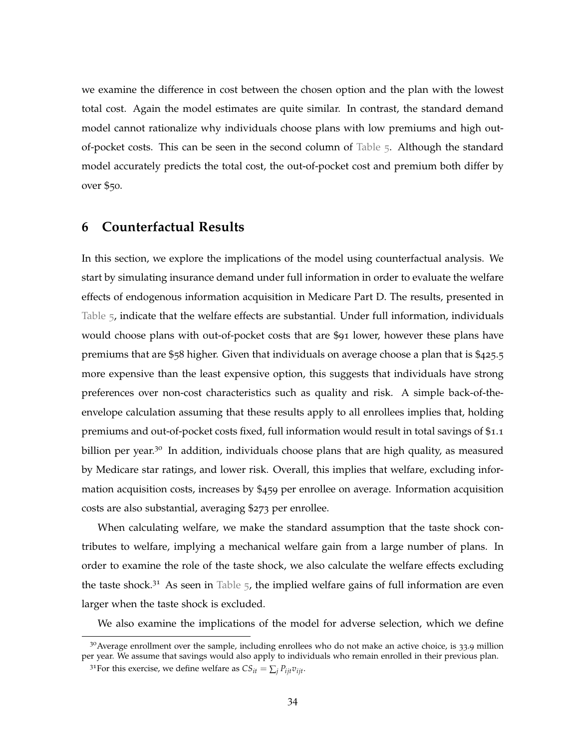we examine the difference in cost between the chosen option and the plan with the lowest total cost. Again the model estimates are quite similar. In contrast, the standard demand model cannot rationalize why individuals choose plans with low premiums and high outof-pocket costs. This can be seen in the second column of [Table](#page-35-0) 5. Although the standard model accurately predicts the total cost, the out-of-pocket cost and premium both differ by over \$50.

## <span id="page-34-0"></span>**6 Counterfactual Results**

In this section, we explore the implications of the model using counterfactual analysis. We start by simulating insurance demand under full information in order to evaluate the welfare effects of endogenous information acquisition in Medicare Part D. The results, presented in [Table](#page-35-0) 5, indicate that the welfare effects are substantial. Under full information, individuals would choose plans with out-of-pocket costs that are \$91 lower, however these plans have premiums that are \$58 higher. Given that individuals on average choose a plan that is \$425.5 more expensive than the least expensive option, this suggests that individuals have strong preferences over non-cost characteristics such as quality and risk. A simple back-of-theenvelope calculation assuming that these results apply to all enrollees implies that, holding premiums and out-of-pocket costs fixed, full information would result in total savings of \$1.1 billion per year.<sup>30</sup> In addition, individuals choose plans that are high quality, as measured by Medicare star ratings, and lower risk. Overall, this implies that welfare, excluding information acquisition costs, increases by \$459 per enrollee on average. Information acquisition costs are also substantial, averaging \$273 per enrollee.

When calculating welfare, we make the standard assumption that the taste shock contributes to welfare, implying a mechanical welfare gain from a large number of plans. In order to examine the role of the taste shock, we also calculate the welfare effects excluding the taste shock.<sup>31</sup> As seen in [Table](#page-35-0)  $5$ , the implied welfare gains of full information are even larger when the taste shock is excluded.

We also examine the implications of the model for adverse selection, which we define

 $30$ Average enrollment over the sample, including enrollees who do not make an active choice, is 33.9 million per year. We assume that savings would also apply to individuals who remain enrolled in their previous plan.

<sup>&</sup>lt;sup>31</sup>For this exercise, we define welfare as  $CS_{it} = \sum_i P_{iit}v_{iit}$ .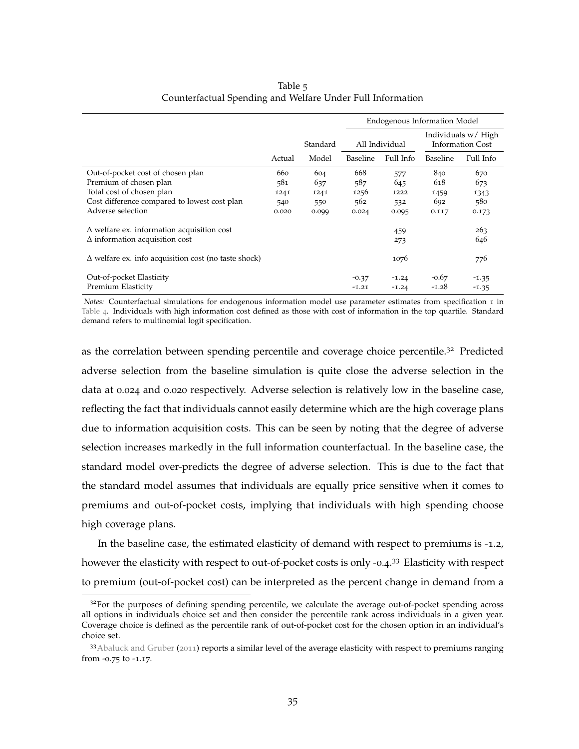<span id="page-35-0"></span>

|                                                             |        |          |          | <b>Endogenous Information Model</b> |                 |                                                |
|-------------------------------------------------------------|--------|----------|----------|-------------------------------------|-----------------|------------------------------------------------|
|                                                             |        | Standard |          | All Individual                      |                 | Individuals w/ High<br><b>Information Cost</b> |
|                                                             | Actual | Model    | Baseline | Full Info                           | <b>Baseline</b> | Full Info                                      |
| Out-of-pocket cost of chosen plan                           | 660    | 604      | 668      | 577                                 | 840             | 670                                            |
| Premium of chosen plan                                      | 581    | 637      | 587      | 645                                 | 618             | 673                                            |
| Total cost of chosen plan                                   | 1241   | 1241     | 1256     | 1222                                | 1459            | 1343                                           |
| Cost difference compared to lowest cost plan                | 540    | 550      | 562      | 532                                 | 692             | 580                                            |
| Adverse selection                                           | 0.020  | 0.099    | 0.024    | 0.095                               | 0.117           | 0.173                                          |
| $\Delta$ welfare ex. information acquisition cost           |        |          |          | 459                                 |                 | 263                                            |
| $\Delta$ information acquisition cost                       |        |          |          | 273                                 |                 | 646                                            |
| $\Delta$ welfare ex. info acquisition cost (no taste shock) |        |          |          | 1076                                |                 | 776                                            |
| Out-of-pocket Elasticity                                    |        |          | $-0.37$  | $-1.24$                             | $-0.67$         | $-1.35$                                        |
| Premium Elasticity                                          |        |          | $-1.21$  | $-1.24$                             | $-1.28$         | $-1.35$                                        |

Table 5 Counterfactual Spending and Welfare Under Full Information

*Notes:* Counterfactual simulations for endogenous information model use parameter estimates from specification 1 in [Table](#page-30-0) 4. Individuals with high information cost defined as those with cost of information in the top quartile. Standard demand refers to multinomial logit specification.

as the correlation between spending percentile and coverage choice percentile.<sup>32</sup> Predicted adverse selection from the baseline simulation is quite close the adverse selection in the data at 0.024 and 0.020 respectively. Adverse selection is relatively low in the baseline case, reflecting the fact that individuals cannot easily determine which are the high coverage plans due to information acquisition costs. This can be seen by noting that the degree of adverse selection increases markedly in the full information counterfactual. In the baseline case, the standard model over-predicts the degree of adverse selection. This is due to the fact that the standard model assumes that individuals are equally price sensitive when it comes to premiums and out-of-pocket costs, implying that individuals with high spending choose high coverage plans.

In the baseline case, the estimated elasticity of demand with respect to premiums is -1.2, however the elasticity with respect to out-of-pocket costs is only -0.4.<sup>33</sup> Elasticity with respect to premium (out-of-pocket cost) can be interpreted as the percent change in demand from a

 $3<sup>2</sup>$  For the purposes of defining spending percentile, we calculate the average out-of-pocket spending across all options in individuals choice set and then consider the percentile rank across individuals in a given year. Coverage choice is defined as the percentile rank of out-of-pocket cost for the chosen option in an individual's choice set.

<sup>33</sup> [Abaluck and Gruber](#page-42-2) ([2011](#page-42-2)) reports a similar level of the average elasticity with respect to premiums ranging from -0.75 to -1.17.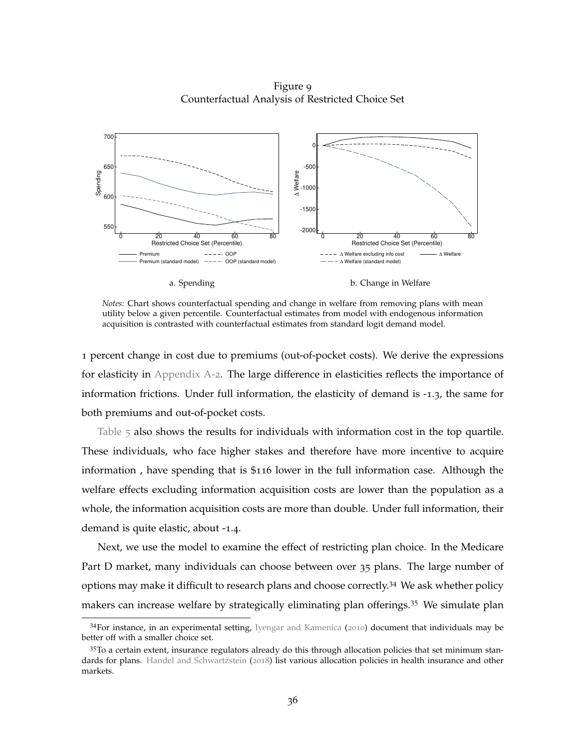Figure 9 Counterfactual Analysis of Restricted Choice Set

<span id="page-36-0"></span>

*Notes:* Chart shows counterfactual spending and change in welfare from removing plans with mean utility below a given percentile. Counterfactual estimates from model with endogenous information acquisition is contrasted with counterfactual estimates from standard logit demand model.

1 percent change in cost due to premiums (out-of-pocket costs). We derive the expressions for elasticity in [Appendix A-](#page-47-0)2. The large difference in elasticities reflects the importance of information frictions. Under full information, the elasticity of demand is -1.3, the same for both premiums and out-of-pocket costs.

[Table](#page-35-0)  $\overline{5}$  also shows the results for individuals with information cost in the top quartile. These individuals, who face higher stakes and therefore have more incentive to acquire information , have spending that is \$116 lower in the full information case. Although the welfare effects excluding information acquisition costs are lower than the population as a whole, the information acquisition costs are more than double. Under full information, their demand is quite elastic, about -1.4.

Next, we use the model to examine the effect of restricting plan choice. In the Medicare Part D market, many individuals can choose between over 35 plans. The large number of options may make it difficult to research plans and choose correctly.<sup>34</sup> We ask whether policy makers can increase welfare by strategically eliminating plan offerings.<sup>35</sup> We simulate plan

<sup>34</sup>For instance, in an experimental setting, [Iyengar and Kamenica](#page-43-15) ([2010](#page-43-15)) document that individuals may be better off with a smaller choice set.

<sup>35</sup>To a certain extent, insurance regulators already do this through allocation policies that set minimum standards for plans. [Handel and Schwartzstein](#page-43-14) ([2018](#page-43-14)) list various allocation policies in health insurance and other markets.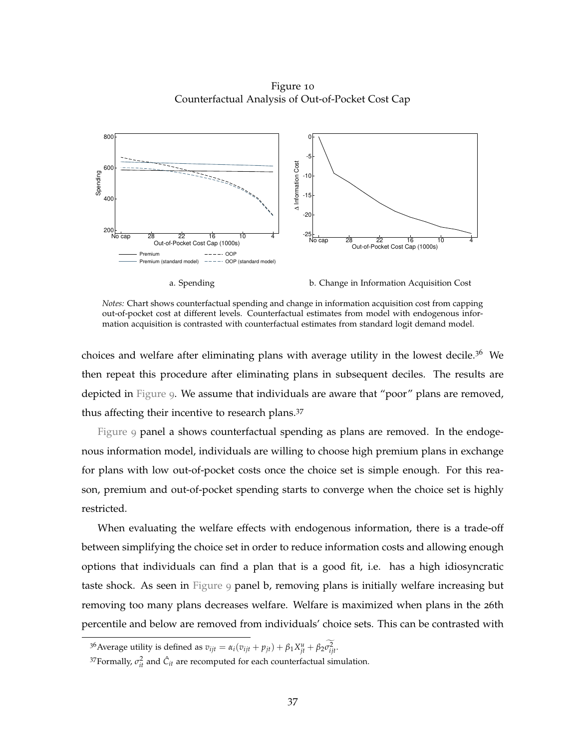Figure 10 Counterfactual Analysis of Out-of-Pocket Cost Cap

<span id="page-37-0"></span>

a. Spending b. Change in Information Acquisition Cost

*Notes:* Chart shows counterfactual spending and change in information acquisition cost from capping out-of-pocket cost at different levels. Counterfactual estimates from model with endogenous information acquisition is contrasted with counterfactual estimates from standard logit demand model.

choices and welfare after eliminating plans with average utility in the lowest decile.<sup>36</sup> We then repeat this procedure after eliminating plans in subsequent deciles. The results are depicted in [Figure](#page-36-0) 9. We assume that individuals are aware that "poor" plans are removed, thus affecting their incentive to research plans.<sup>37</sup>

[Figure](#page-36-0) 9 panel a shows counterfactual spending as plans are removed. In the endogenous information model, individuals are willing to choose high premium plans in exchange for plans with low out-of-pocket costs once the choice set is simple enough. For this reason, premium and out-of-pocket spending starts to converge when the choice set is highly restricted.

When evaluating the welfare effects with endogenous information, there is a trade-off between simplifying the choice set in order to reduce information costs and allowing enough options that individuals can find a plan that is a good fit, i.e. has a high idiosyncratic taste shock. As seen in [Figure](#page-36-0) 9 panel b, removing plans is initially welfare increasing but removing too many plans decreases welfare. Welfare is maximized when plans in the 26th percentile and below are removed from individuals' choice sets. This can be contrasted with

<sup>&</sup>lt;sup>36</sup> Average utility is defined as  $v_{ijt} = \alpha_i (v_{ijt} + p_{jt}) + \beta_1 X_{jt}^u + \beta_2 \sigma_{ijt}^2$ .

<sup>&</sup>lt;sup>37</sup> Formally,  $\sigma_{it}^2$  and  $\hat{C}_{it}$  are recomputed for each counterfactual simulation.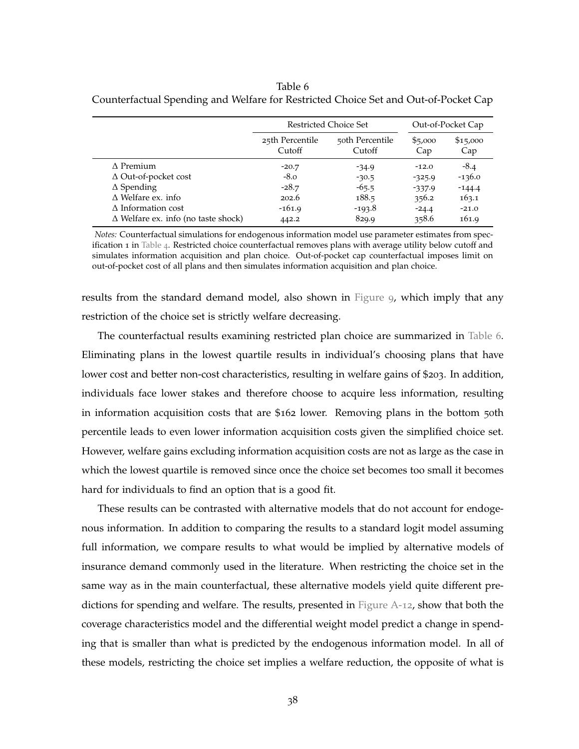<span id="page-38-0"></span>Table 6 Counterfactual Spending and Welfare for Restricted Choice Set and Out-of-Pocket Cap

|                                            | Restricted Choice Set     |                           |                | Out-of-Pocket Cap |
|--------------------------------------------|---------------------------|---------------------------|----------------|-------------------|
|                                            | 25th Percentile<br>Cutoff | 50th Percentile<br>Cutoff | \$5,000<br>Cap | \$15,000<br>Cap   |
| $\Lambda$ Premium                          | $-20.7$                   | $-34.9$                   | $-12.0$        | $-8.4$            |
| $\Delta$ Out-of-pocket cost                | $-8.0$                    | $-30.5$                   | $-325.9$       | $-136.0$          |
| $\Delta$ Spending                          | $-28.7$                   | $-65.5$                   | $-337.9$       | $-144.4$          |
| $\Delta$ Welfare ex. info                  | 202.6                     | 188.5                     | 356.2          | 163.1             |
| $\Delta$ Information cost                  | $-161.9$                  | $-193.8$                  | $-24.4$        | $-21.0$           |
| $\Delta$ Welfare ex. info (no taste shock) | 442.2                     | 829.9                     | 358.6          | 161.9             |

*Notes:* Counterfactual simulations for endogenous information model use parameter estimates from spec-ification 1 in [Table](#page-30-0) 4. Restricted choice counterfactual removes plans with average utility below cutoff and simulates information acquisition and plan choice. Out-of-pocket cap counterfactual imposes limit on out-of-pocket cost of all plans and then simulates information acquisition and plan choice.

results from the standard demand model, also shown in [Figure](#page-36-0) 9, which imply that any restriction of the choice set is strictly welfare decreasing.

The counterfactual results examining restricted plan choice are summarized in [Table](#page-38-0) 6. Eliminating plans in the lowest quartile results in individual's choosing plans that have lower cost and better non-cost characteristics, resulting in welfare gains of \$203. In addition, individuals face lower stakes and therefore choose to acquire less information, resulting in information acquisition costs that are \$162 lower. Removing plans in the bottom 50th percentile leads to even lower information acquisition costs given the simplified choice set. However, welfare gains excluding information acquisition costs are not as large as the case in which the lowest quartile is removed since once the choice set becomes too small it becomes hard for individuals to find an option that is a good fit.

These results can be contrasted with alternative models that do not account for endogenous information. In addition to comparing the results to a standard logit model assuming full information, we compare results to what would be implied by alternative models of insurance demand commonly used in the literature. When restricting the choice set in the same way as in the main counterfactual, these alternative models yield quite different predictions for spending and welfare. The results, presented in [Figure A-](#page-63-0)12, show that both the coverage characteristics model and the differential weight model predict a change in spending that is smaller than what is predicted by the endogenous information model. In all of these models, restricting the choice set implies a welfare reduction, the opposite of what is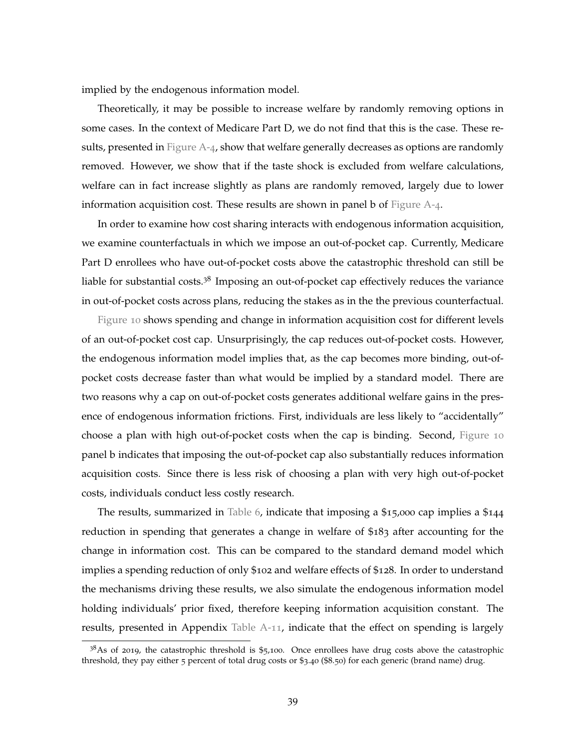implied by the endogenous information model.

Theoretically, it may be possible to increase welfare by randomly removing options in some cases. In the context of Medicare Part D, we do not find that this is the case. These results, presented in Figure  $A_{-4}$ , show that welfare generally decreases as options are randomly removed. However, we show that if the taste shock is excluded from welfare calculations, welfare can in fact increase slightly as plans are randomly removed, largely due to lower information acquisition cost. These results are shown in panel b of [Figure A-](#page-66-0)4.

In order to examine how cost sharing interacts with endogenous information acquisition, we examine counterfactuals in which we impose an out-of-pocket cap. Currently, Medicare Part D enrollees who have out-of-pocket costs above the catastrophic threshold can still be liable for substantial costs.<sup>38</sup> Imposing an out-of-pocket cap effectively reduces the variance in out-of-pocket costs across plans, reducing the stakes as in the the previous counterfactual.

[Figure](#page-37-0) 10 shows spending and change in information acquisition cost for different levels of an out-of-pocket cost cap. Unsurprisingly, the cap reduces out-of-pocket costs. However, the endogenous information model implies that, as the cap becomes more binding, out-ofpocket costs decrease faster than what would be implied by a standard model. There are two reasons why a cap on out-of-pocket costs generates additional welfare gains in the presence of endogenous information frictions. First, individuals are less likely to "accidentally" choose a plan with high out-of-pocket costs when the cap is binding. Second, [Figure](#page-37-0) 10 panel b indicates that imposing the out-of-pocket cap also substantially reduces information acquisition costs. Since there is less risk of choosing a plan with very high out-of-pocket costs, individuals conduct less costly research.

The results, summarized in [Table](#page-38-0) 6, indicate that imposing a \$15,000 cap implies a \$144 reduction in spending that generates a change in welfare of \$183 after accounting for the change in information cost. This can be compared to the standard demand model which implies a spending reduction of only \$102 and welfare effects of \$128. In order to understand the mechanisms driving these results, we also simulate the endogenous information model holding individuals' prior fixed, therefore keeping information acquisition constant. The results, presented in Appendix [Table A-](#page-63-1)11, indicate that the effect on spending is largely

 $38$ As of 2019, the catastrophic threshold is \$5,100. Once enrollees have drug costs above the catastrophic threshold, they pay either 5 percent of total drug costs or \$3.40 (\$8.50) for each generic (brand name) drug.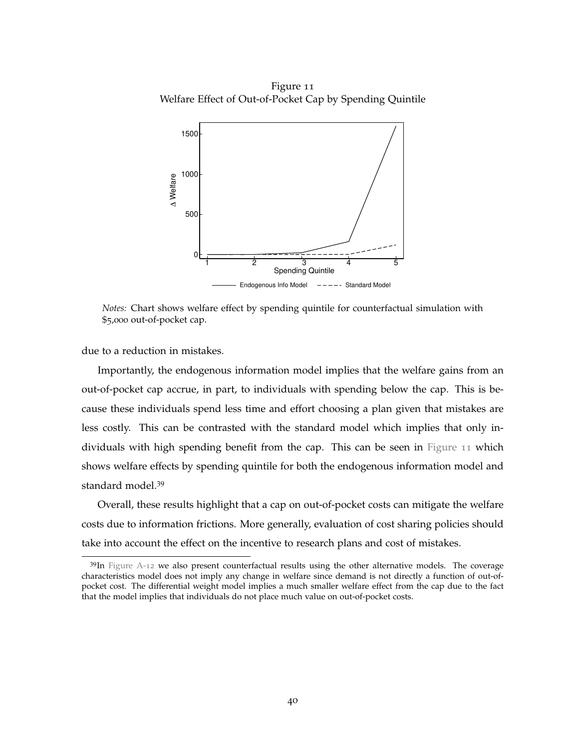<span id="page-40-0"></span>Figure 11 Welfare Effect of Out-of-Pocket Cap by Spending Quintile



*Notes:* Chart shows welfare effect by spending quintile for counterfactual simulation with \$5,000 out-of-pocket cap.

due to a reduction in mistakes.

Importantly, the endogenous information model implies that the welfare gains from an out-of-pocket cap accrue, in part, to individuals with spending below the cap. This is because these individuals spend less time and effort choosing a plan given that mistakes are less costly. This can be contrasted with the standard model which implies that only individuals with high spending benefit from the cap. This can be seen in [Figure](#page-40-0) 11 which shows welfare effects by spending quintile for both the endogenous information model and standard model.<sup>39</sup>

Overall, these results highlight that a cap on out-of-pocket costs can mitigate the welfare costs due to information frictions. More generally, evaluation of cost sharing policies should take into account the effect on the incentive to research plans and cost of mistakes.

 $39$ In [Figure A-](#page-63-0)12 we also present counterfactual results using the other alternative models. The coverage characteristics model does not imply any change in welfare since demand is not directly a function of out-ofpocket cost. The differential weight model implies a much smaller welfare effect from the cap due to the fact that the model implies that individuals do not place much value on out-of-pocket costs.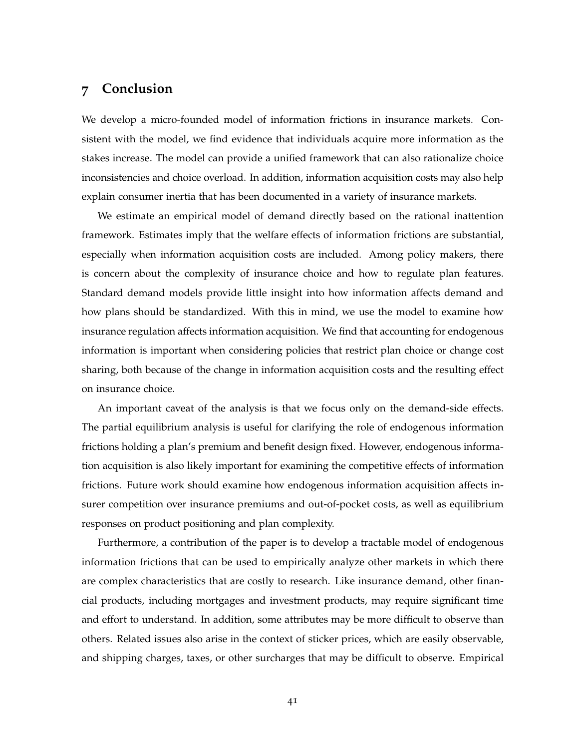## <span id="page-41-0"></span>**7 Conclusion**

We develop a micro-founded model of information frictions in insurance markets. Consistent with the model, we find evidence that individuals acquire more information as the stakes increase. The model can provide a unified framework that can also rationalize choice inconsistencies and choice overload. In addition, information acquisition costs may also help explain consumer inertia that has been documented in a variety of insurance markets.

We estimate an empirical model of demand directly based on the rational inattention framework. Estimates imply that the welfare effects of information frictions are substantial, especially when information acquisition costs are included. Among policy makers, there is concern about the complexity of insurance choice and how to regulate plan features. Standard demand models provide little insight into how information affects demand and how plans should be standardized. With this in mind, we use the model to examine how insurance regulation affects information acquisition. We find that accounting for endogenous information is important when considering policies that restrict plan choice or change cost sharing, both because of the change in information acquisition costs and the resulting effect on insurance choice.

An important caveat of the analysis is that we focus only on the demand-side effects. The partial equilibrium analysis is useful for clarifying the role of endogenous information frictions holding a plan's premium and benefit design fixed. However, endogenous information acquisition is also likely important for examining the competitive effects of information frictions. Future work should examine how endogenous information acquisition affects insurer competition over insurance premiums and out-of-pocket costs, as well as equilibrium responses on product positioning and plan complexity.

Furthermore, a contribution of the paper is to develop a tractable model of endogenous information frictions that can be used to empirically analyze other markets in which there are complex characteristics that are costly to research. Like insurance demand, other financial products, including mortgages and investment products, may require significant time and effort to understand. In addition, some attributes may be more difficult to observe than others. Related issues also arise in the context of sticker prices, which are easily observable, and shipping charges, taxes, or other surcharges that may be difficult to observe. Empirical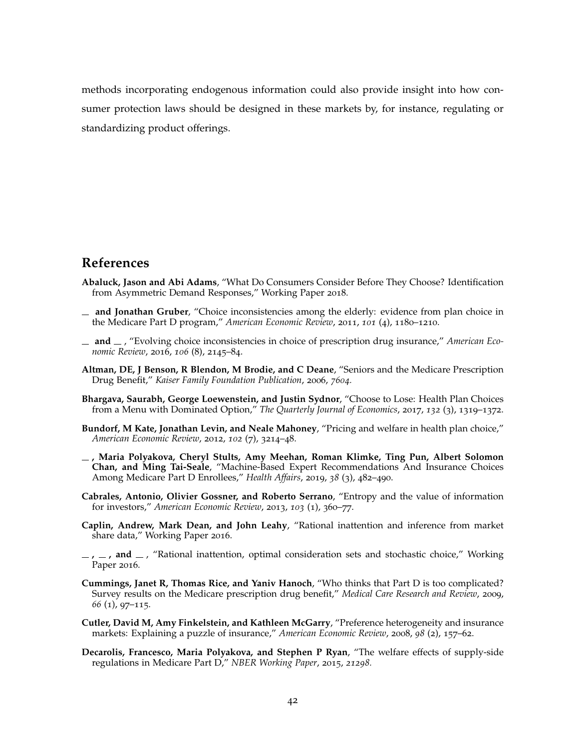methods incorporating endogenous information could also provide insight into how consumer protection laws should be designed in these markets by, for instance, regulating or standardizing product offerings.

## **References**

- <span id="page-42-7"></span>**Abaluck, Jason and Abi Adams**, "What Do Consumers Consider Before They Choose? Identification from Asymmetric Demand Responses," Working Paper 2018.
- <span id="page-42-2"></span>**and Jonathan Gruber**, "Choice inconsistencies among the elderly: evidence from plan choice in the Medicare Part D program," *American Economic Review*, 2011, *101* (4), 1180–1210.
- <span id="page-42-10"></span>**and** , "Evolving choice inconsistencies in choice of prescription drug insurance," *American Economic Review*, 2016, *106* (8), 2145–84.
- <span id="page-42-0"></span>**Altman, DE, J Benson, R Blendon, M Brodie, and C Deane**, "Seniors and the Medicare Prescription Drug Benefit," *Kaiser Family Foundation Publication*, 2006, *7604.*
- <span id="page-42-3"></span>**Bhargava, Saurabh, George Loewenstein, and Justin Sydnor**, "Choose to Lose: Health Plan Choices from a Menu with Dominated Option," *The Quarterly Journal of Economics*, 2017, *132* (3), 1319–1372.
- <span id="page-42-11"></span>**Bundorf, M Kate, Jonathan Levin, and Neale Mahoney**, "Pricing and welfare in health plan choice," *American Economic Review*, 2012, *102* (7), 3214–48.
- <span id="page-42-4"></span>**, Maria Polyakova, Cheryl Stults, Amy Meehan, Roman Klimke, Ting Pun, Albert Solomon Chan, and Ming Tai-Seale**, "Machine-Based Expert Recommendations And Insurance Choices Among Medicare Part D Enrollees," *Health Affairs*, 2019, *38* (3), 482–490.
- <span id="page-42-8"></span>**Cabrales, Antonio, Olivier Gossner, and Roberto Serrano**, "Entropy and the value of information for investors," *American Economic Review*, 2013, *103* (1), 360–77.
- <span id="page-42-5"></span>**Caplin, Andrew, Mark Dean, and John Leahy**, "Rational inattention and inference from market share data," Working Paper 2016.
- <span id="page-42-6"></span> $\mu$ ,  $\mu$ , and  $\mu$ , "Rational inattention, optimal consideration sets and stochastic choice," Working Paper 2016.
- <span id="page-42-9"></span>**Cummings, Janet R, Thomas Rice, and Yaniv Hanoch**, "Who thinks that Part D is too complicated? Survey results on the Medicare prescription drug benefit," *Medical Care Research and Review*, 2009, *66* (1), 97–115.
- <span id="page-42-1"></span>**Cutler, David M, Amy Finkelstein, and Kathleen McGarry**, "Preference heterogeneity and insurance markets: Explaining a puzzle of insurance," *American Economic Review*, 2008, *98* (2), 157–62.
- <span id="page-42-12"></span>**Decarolis, Francesco, Maria Polyakova, and Stephen P Ryan**, "The welfare effects of supply-side regulations in Medicare Part D," *NBER Working Paper*, 2015, *21298.*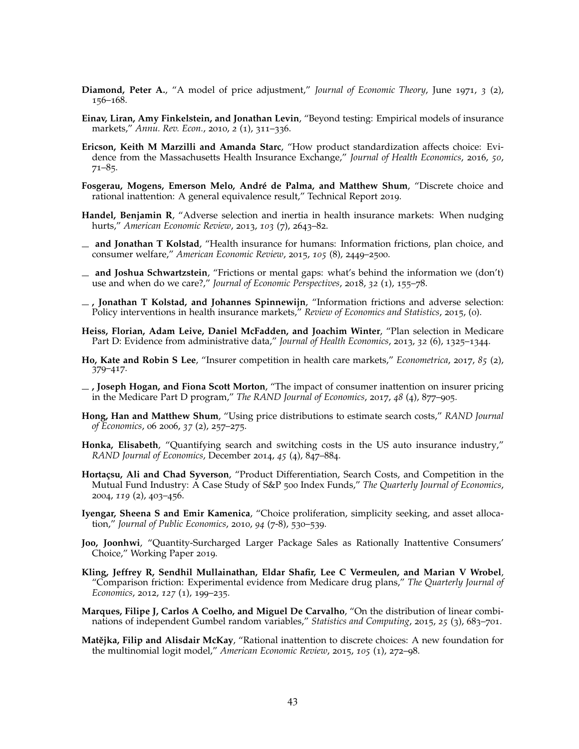- <span id="page-43-10"></span>**Diamond, Peter A.**, "A model of price adjustment," *Journal of Economic Theory*, June 1971, *3* (2), 156–168.
- <span id="page-43-18"></span>**Einav, Liran, Amy Finkelstein, and Jonathan Levin**, "Beyond testing: Empirical models of insurance markets," *Annu. Rev. Econ.*, 2010, *2* (1), 311–336.
- <span id="page-43-1"></span>**Ericson, Keith M Marzilli and Amanda Starc**, "How product standardization affects choice: Evidence from the Massachusetts Health Insurance Exchange," *Journal of Health Economics*, 2016, *50*,  $71-85.$
- <span id="page-43-6"></span>**Fosgerau, Mogens, Emerson Melo, André de Palma, and Matthew Shum**, "Discrete choice and rational inattention: A general equivalence result," Technical Report 2019.
- <span id="page-43-8"></span>**Handel, Benjamin R**, "Adverse selection and inertia in health insurance markets: When nudging hurts," *American Economic Review*, 2013, *103* (7), 2643–82.
- <span id="page-43-3"></span>**and Jonathan T Kolstad**, "Health insurance for humans: Information frictions, plan choice, and consumer welfare," *American Economic Review*, 2015, *105* (8), 2449–2500.
- <span id="page-43-14"></span>**and Joshua Schwartzstein**, "Frictions or mental gaps: what's behind the information we (don't) use and when do we care?," *Journal of Economic Perspectives*, 2018, *32* (1), 155–78.
- <span id="page-43-5"></span>**, Jonathan T Kolstad, and Johannes Spinnewijn**, "Information frictions and adverse selection: Policy interventions in health insurance markets," *Review of Economics and Statistics*, 2015, (0).
- <span id="page-43-2"></span>**Heiss, Florian, Adam Leive, Daniel McFadden, and Joachim Winter**, "Plan selection in Medicare Part D: Evidence from administrative data," *Journal of Health Economics*, 2013, *32* (6), 1325–1344.
- <span id="page-43-17"></span>**Ho, Kate and Robin S Lee**, "Insurer competition in health care markets," *Econometrica*, 2017, *85* (2), 379–417.
- <span id="page-43-9"></span>**, Joseph Hogan, and Fiona Scott Morton**, "The impact of consumer inattention on insurer pricing in the Medicare Part D program," *The RAND Journal of Economics*, 2017, *48* (4), 877–905.
- <span id="page-43-12"></span>**Hong, Han and Matthew Shum**, "Using price distributions to estimate search costs," *RAND Journal of Economics*, 06 2006, *37* (2), 257–275.
- <span id="page-43-13"></span>**Honka, Elisabeth**, "Quantifying search and switching costs in the US auto insurance industry," *RAND Journal of Economics*, December 2014, *45* (4), 847–884.
- <span id="page-43-11"></span>**Hortaçsu, Ali and Chad Syverson**, "Product Differentiation, Search Costs, and Competition in the Mutual Fund Industry: A Case Study of S&P 500 Index Funds," *The Quarterly Journal of Economics*, 2004, *119* (2), 403–456.
- <span id="page-43-15"></span>**Iyengar, Sheena S and Emir Kamenica**, "Choice proliferation, simplicity seeking, and asset allocation," *Journal of Public Economics*, 2010, *94* (7-8), 530–539.
- <span id="page-43-7"></span>**Joo, Joonhwi**, "Quantity-Surcharged Larger Package Sales as Rationally Inattentive Consumers' Choice," Working Paper 2019.
- <span id="page-43-4"></span>**Kling, Jeffrey R, Sendhil Mullainathan, Eldar Shafir, Lee C Vermeulen, and Marian V Wrobel**, "Comparison friction: Experimental evidence from Medicare drug plans," *The Quarterly Journal of Economics*, 2012, *127* (1), 199–235.
- <span id="page-43-16"></span>**Marques, Filipe J, Carlos A Coelho, and Miguel De Carvalho**, "On the distribution of linear combinations of independent Gumbel random variables," *Statistics and Computing*, 2015, *25* (3), 683–701.
- <span id="page-43-0"></span>**Matějka, Filip and Alisdair McKay**, "Rational inattention to discrete choices: A new foundation for the multinomial logit model," *American Economic Review*, 2015, *105* (1), 272–98.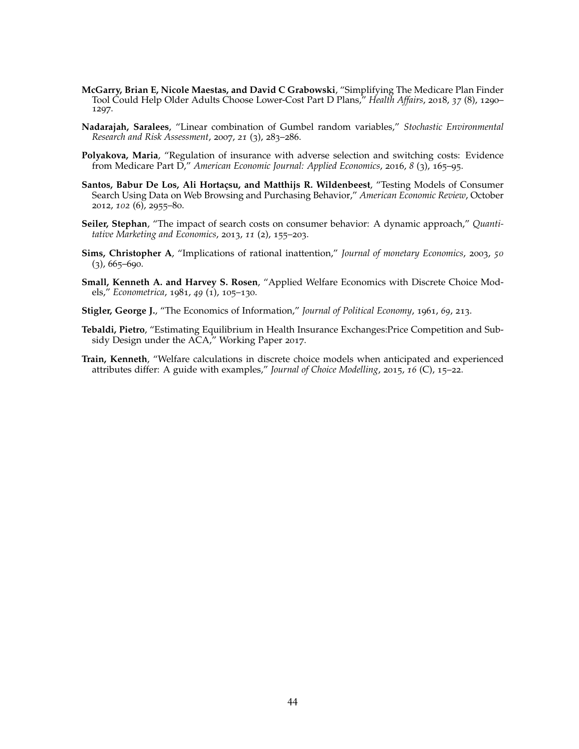- <span id="page-44-5"></span>**McGarry, Brian E, Nicole Maestas, and David C Grabowski**, "Simplifying The Medicare Plan Finder Tool Could Help Older Adults Choose Lower-Cost Part D Plans," *Health Affairs*, 2018, *37* (8), 1290– 1297.
- <span id="page-44-9"></span>**Nadarajah, Saralees**, "Linear combination of Gumbel random variables," *Stochastic Environmental Research and Risk Assessment*, 2007, *21* (3), 283–286.
- <span id="page-44-1"></span>**Polyakova, Maria**, "Regulation of insurance with adverse selection and switching costs: Evidence from Medicare Part D," *American Economic Journal: Applied Economics*, 2016, *8* (3), 165–95.
- <span id="page-44-3"></span>**Santos, Babur De Los, Ali Hortaçsu, and Matthijs R. Wildenbeest**, "Testing Models of Consumer Search Using Data on Web Browsing and Purchasing Behavior," *American Economic Review*, October 2012, *102* (6), 2955–80.
- <span id="page-44-4"></span>**Seiler, Stephan**, "The impact of search costs on consumer behavior: A dynamic approach," *Quantitative Marketing and Economics*, 2013, *11* (2), 155–203.
- <span id="page-44-0"></span>**Sims, Christopher A**, "Implications of rational inattention," *Journal of monetary Economics*, 2003, *50*  $(3)$ , 665–690.
- <span id="page-44-7"></span>**Small, Kenneth A. and Harvey S. Rosen**, "Applied Welfare Economics with Discrete Choice Models," *Econometrica*, 1981, *49* (1), 105–130.
- <span id="page-44-2"></span>**Stigler, George J.**, "The Economics of Information," *Journal of Political Economy*, 1961, *69*, 213.
- <span id="page-44-6"></span>**Tebaldi, Pietro**, "Estimating Equilibrium in Health Insurance Exchanges:Price Competition and Subsidy Design under the ACA," Working Paper 2017.
- <span id="page-44-8"></span>**Train, Kenneth**, "Welfare calculations in discrete choice models when anticipated and experienced attributes differ: A guide with examples," *Journal of Choice Modelling*, 2015, *16* (C), 15–22.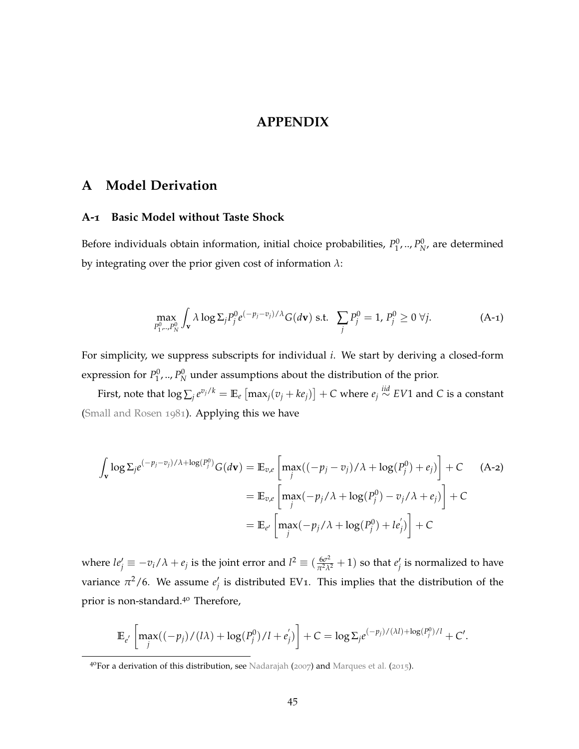### <span id="page-45-1"></span>**APPENDIX**

## <span id="page-45-0"></span>**A Model Derivation**

#### <span id="page-45-2"></span>**A-1 Basic Model without Taste Shock**

Before individuals obtain information, initial choice probabilities,  $P_1^0$ , ..,  $P_N^0$ , are determined by integrating over the prior given cost of information *λ*:

$$
\max_{P_1^0,\dots,P_N^0} \int_{\mathbf{v}} \lambda \log \Sigma_j P_j^0 e^{(-p_j - v_j)/\lambda} G(d\mathbf{v}) \text{ s.t. } \sum_j P_j^0 = 1, P_j^0 \ge 0 \ \forall j. \tag{A-1}
$$

For simplicity, we suppress subscripts for individual *i*. We start by deriving a closed-form expression for  $P_1^0, \ldots, P_N^0$  under assumptions about the distribution of the prior.

First, note that  $\log \sum_j e^{v_j/k} = \mathbb{E}_e\left[\max_j(v_j+ke_j)\right] + C$  where  $e_j \stackrel{iid}{\sim} EV1$  and  $C$  is a constant [\(Small and Rosen](#page-44-7) [1981](#page-44-7)). Applying this we have

$$
\int_{\mathbf{v}} \log \Sigma_j e^{(-p_j - v_j)/\lambda + \log(P_j^0)} G(d\mathbf{v}) = \mathbb{E}_{v,e} \left[ \max_j ((-p_j - v_j)/\lambda + \log(P_j^0) + e_j) \right] + C \quad \text{(A-2)}
$$
\n
$$
= \mathbb{E}_{v,e} \left[ \max_j (-p_j/\lambda + \log(P_j^0) - v_j/\lambda + e_j) \right] + C
$$
\n
$$
= \mathbb{E}_{e'} \left[ \max_j (-p_j/\lambda + \log(P_j^0) + le_j') \right] + C
$$

where  $le'_{j} \equiv -v_i/\lambda + e_j$  is the joint error and  $l^2 \equiv (\frac{6\sigma^2}{\pi^2\lambda^2} + 1)$  so that  $e'_j$  is normalized to have variance  $\pi^2/6$ . We assume  $e'_j$  is distributed EV1. This implies that the distribution of the prior is non-standard.<sup>40</sup> Therefore,

$$
\mathbb{E}_{e'}\left[\max_{j}((-p_j)/(l\lambda)+\log(P_j^0)/l+e'_j)\right]+C=\log \Sigma_j e^{(-p_j)/(\lambda l)+\log(P_j^0)/l}+C'.
$$

<sup>4&</sup>lt;sup>o</sup>For a derivation of this distribution, see [Nadarajah](#page-44-9) ([2007](#page-44-9)) and [Marques et al.](#page-43-16) ([2015](#page-43-16)).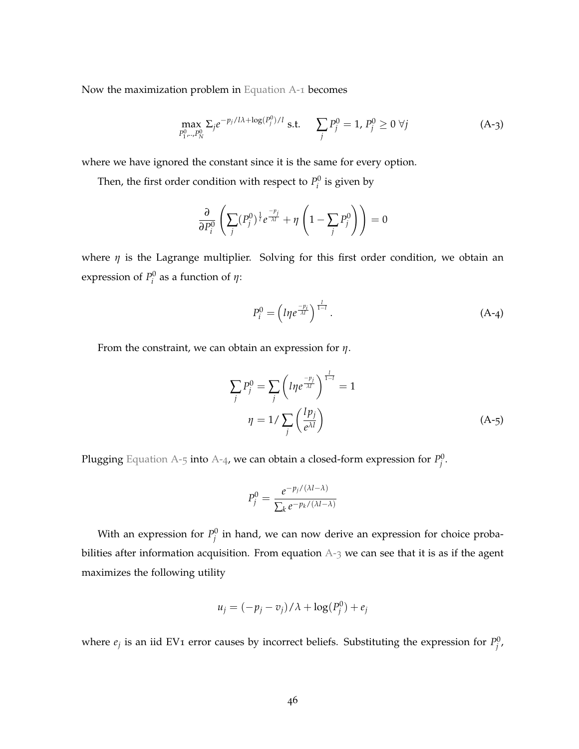Now the maximization problem in [Equation A-](#page-45-1)1 becomes

<span id="page-46-2"></span>
$$
\max_{P_1^0,\dots,P_N^0} \Sigma_j e^{-p_j/l\lambda + \log(P_j^0)/l} \text{ s.t. } \sum_j P_j^0 = 1, P_j^0 \ge 0 \ \forall j
$$
 (A-3)

where we have ignored the constant since it is the same for every option.

Then, the first order condition with respect to  $P_i^0$  is given by

$$
\frac{\partial}{\partial P_i^0}\left(\sum_j (P_j^0)^\frac{1}{l}e^{\frac{-p_j}{\lambda l}}+\eta\left(1-\sum_j P_j^0\right)\right)=0
$$

where *η* is the Lagrange multiplier. Solving for this first order condition, we obtain an expression of  $P_i^0$  as a function of  $\eta$ :

<span id="page-46-1"></span>
$$
P_i^0 = \left(l\eta e^{\frac{-p_i}{\lambda l}}\right)^{\frac{l}{1-l}}.\tag{A-4}
$$

From the constraint, we can obtain an expression for *η*.

$$
\sum_{j} P_j^0 = \sum_{j} \left( l \eta e^{\frac{-p_j}{\lambda l}} \right)^{\frac{l}{1-l}} = 1
$$
  

$$
\eta = 1 / \sum_{j} \left( \frac{l p_j}{e^{\lambda l}} \right)
$$
 (A-5)

Plugging [Equation A-](#page-46-0)5 into [A-](#page-46-1)4, we can obtain a closed-form expression for  $P^0_j$ .

<span id="page-46-0"></span>
$$
P_j^0 = \frac{e^{-p_j/(\lambda l - \lambda)}}{\sum_k e^{-p_k/(\lambda l - \lambda)}}
$$

With an expression for  $P_j^0$  in hand, we can now derive an expression for choice probabilities after information acquisition. From equation  $A-3$  $A-3$  we can see that it is as if the agent maximizes the following utility

$$
u_j = (-p_j - v_j) / \lambda + \log(P_j^0) + e_j
$$

where  $e_j$  is an iid EV1 error causes by incorrect beliefs. Substituting the expression for  $P_j^0$ ,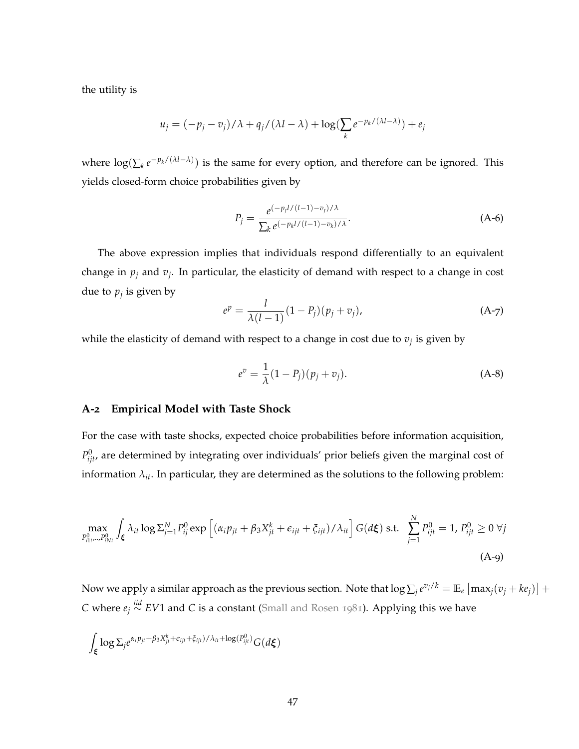the utility is

$$
u_j = (-p_j - v_j) / \lambda + q_j / (\lambda l - \lambda) + \log(\sum_k e^{-p_k / (\lambda l - \lambda)}) + e_j
$$

where  $\log(\sum_{k} e^{-p_k/(\lambda l - \lambda)})$  is the same for every option, and therefore can be ignored. This yields closed-form choice probabilities given by

<span id="page-47-2"></span>
$$
P_j = \frac{e^{(-p_j l/(l-1)-v_j)/\lambda}}{\sum_k e^{(-p_k l/(l-1)-v_k)/\lambda}}.
$$
 (A-6)

The above expression implies that individuals respond differentially to an equivalent change in *p<sup>j</sup>* and *v<sup>j</sup>* . In particular, the elasticity of demand with respect to a change in cost due to *p<sup>j</sup>* is given by

$$
e^{p} = \frac{l}{\lambda(l-1)}(1 - P_j)(p_j + v_j), \tag{A-7}
$$

while the elasticity of demand with respect to a change in cost due to *v<sup>j</sup>* is given by

<span id="page-47-1"></span>
$$
e^{v} = \frac{1}{\lambda}(1 - P_j)(p_j + v_j).
$$
 (A-8)

#### <span id="page-47-0"></span>**A-2 Empirical Model with Taste Shock**

For the case with taste shocks, expected choice probabilities before information acquisition,  $P_{ijt}^0$ , are determined by integrating over individuals' prior beliefs given the marginal cost of information  $\lambda_{it}$ . In particular, they are determined as the solutions to the following problem:

$$
\max_{P_{i1t}^0\ldots P_{iNt}^0} \int_{\xi} \lambda_{it} \log \Sigma_{j=1}^N P_{ij}^0 \exp \left[ (\alpha_i p_{jt} + \beta_3 X_{jt}^k + \epsilon_{ijt} + \xi_{ijt}) / \lambda_{it} \right] G(d\xi) \text{ s.t. } \sum_{j=1}^N P_{ijt}^0 = 1, P_{ijt}^0 \ge 0 \ \forall j
$$
\n(A-g)

Now we apply a similar approach as the previous section. Note that  $\log \sum_j e^{v_j/k} = \mathbb{E}_e\left[\max_j(v_j + ke_j)\right] +$ *C* where *e<sup>j</sup> iid*∼ *EV*1 and *C* is a constant [\(Small and Rosen](#page-44-7) [1981](#page-44-7)). Applying this we have

$$
\int_{\pmb{\xi}} \log \Sigma_j e^{\alpha_i p_{jt} + \beta_3 X_{jt}^k + \epsilon_{ijt} + \xi_{ijt})/\lambda_{it} + \log(P_{ijt}^0)} G(d\pmb{\xi})
$$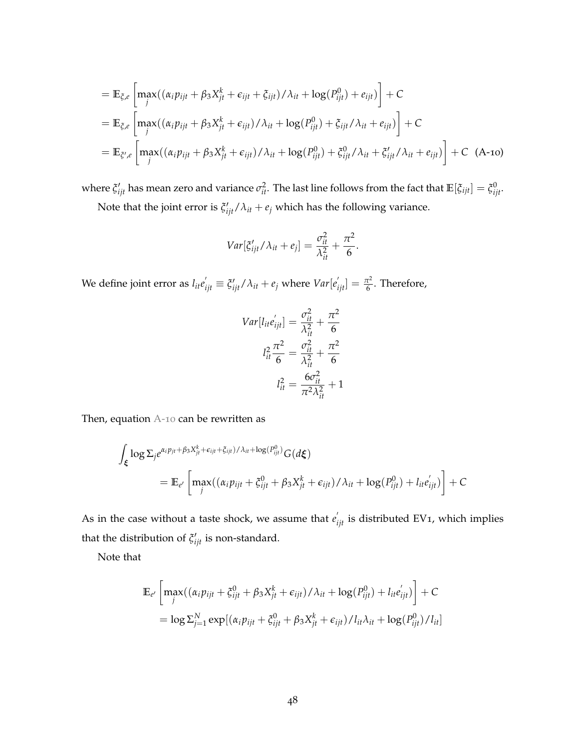$$
= \mathbb{E}_{\xi,e} \left[ \max_{j} ((\alpha_i p_{ijt} + \beta_3 X_{jt}^k + \epsilon_{ijt} + \xi_{ijt})/\lambda_{it} + \log(P_{ijt}^0) + e_{ijt}) \right] + C
$$
  
\n
$$
= \mathbb{E}_{\xi,e} \left[ \max_{j} ((\alpha_i p_{ijt} + \beta_3 X_{jt}^k + \epsilon_{ijt})/\lambda_{it} + \log(P_{ijt}^0) + \xi_{ijt}/\lambda_{it} + e_{ijt}) \right] + C
$$
  
\n
$$
= \mathbb{E}_{\xi',e} \left[ \max_{j} ((\alpha_i p_{ijt} + \beta_3 X_{jt}^k + \epsilon_{ijt})/\lambda_{it} + \log(P_{ijt}^0) + \xi_{ijt}^0/\lambda_{it} + \xi_{ijt}/\lambda_{it} + e_{ijt}) \right] + C \quad (A\text{-}10)
$$

where  $\xi'_{ijt}$  has mean zero and variance  $\sigma_{it}^2$ . The last line follows from the fact that  $\mathbb{E}[\xi_{ijt}] = \xi_{ijt}^0$ . Note that the joint error is  $\xi'_{ijt}/\lambda_{it} + e_j$  which has the following variance.

<span id="page-48-0"></span>
$$
Var[\xi'_{ijt}/\lambda_{it} + e_j] = \frac{\sigma_{it}^2}{\lambda_{it}^2} + \frac{\pi^2}{6}.
$$

We define joint error as  $l_{it}e^{'}_{ijt}\equiv \xi'_{ijt}/\lambda_{it}+e_j$  where  $Var[e^{'}_{ijt}]=\frac{\pi^2}{6}$  $\frac{7}{6}$ . Therefore,

$$
Var[l_{it}e'_{ijt}] = \frac{\sigma_{it}^2}{\lambda_{it}^2} + \frac{\pi^2}{6}
$$

$$
l_{it}^2 \frac{\pi^2}{6} = \frac{\sigma_{it}^2}{\lambda_{it}^2} + \frac{\pi^2}{6}
$$

$$
l_{it}^2 = \frac{6\sigma_{it}^2}{\pi^2 \lambda_{it}^2} + 1
$$

Then, equation [A-](#page-48-0)10 can be rewritten as

$$
\int_{\xi} \log \Sigma_{j} e^{\alpha_{i} p_{jt} + \beta_{3} X_{jt}^{k} + \epsilon_{ijt} + \xi_{ijt})/\lambda_{it} + \log(P_{ijt}^{0})} G(d\xi)
$$
\n
$$
= \mathbb{E}_{e'} \left[ \max_{j} ((\alpha_{i} p_{ijt} + \xi_{ijt}^{0} + \beta_{3} X_{jt}^{k} + \epsilon_{ijt})/\lambda_{it} + \log(P_{ijt}^{0}) + l_{it} e_{ijt}') \right] + C
$$

As in the case without a taste shock, we assume that  $e_{ijt}'$  is distributed EV<sub>1</sub>, which implies that the distribution of  $\xi'_{ijt}$  is non-standard.

Note that

$$
\mathbb{E}_{e'}\left[\max_{j}((\alpha_{i}p_{ijt}+\xi_{ijt}^{0}+\beta_{3}X_{jt}^{k}+\epsilon_{ijt})/\lambda_{it}+\log(P_{ijt}^{0})+l_{it}e'_{ijt})\right]+C
$$
\n
$$
=\log \sum_{j=1}^{N} \exp[(\alpha_{i}p_{ijt}+\xi_{ijt}^{0}+\beta_{3}X_{jt}^{k}+\epsilon_{ijt})/l_{it}\lambda_{it}+\log(P_{ijt}^{0})/l_{it}]
$$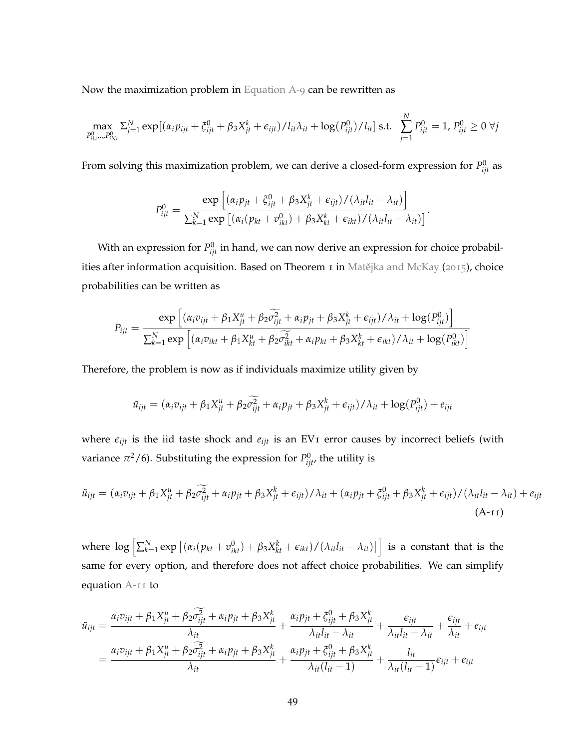Now the maximization problem in [Equation A-](#page-47-1)9 can be rewritten as

$$
\max_{P_{i1t}^0 \ldots P_{iNt}^0} \sum_{j=1}^N \exp[(\alpha_i p_{ijt} + \xi_{ijt}^0 + \beta_3 X_{jt}^k + \epsilon_{ijt})/l_{it}\lambda_{it} + \log(P_{ijt}^0)/l_{it}] \text{ s.t. } \sum_{j=1}^N P_{ijt}^0 = 1, P_{ijt}^0 \ge 0 \ \forall j
$$

From solving this maximization problem, we can derive a closed-form expression for  $P_{ijt}^0$  as

$$
P_{ijt}^0 = \frac{\exp\left[ (\alpha_i p_{jt} + \xi_{ijt}^0 + \beta_3 X_{jt}^k + \epsilon_{ijt})/(\lambda_{it} l_{it} - \lambda_{it}) \right]}{\sum_{k=1}^N \exp\left[ (\alpha_i (p_{kt} + v_{ikt}^0) + \beta_3 X_{kt}^k + \epsilon_{ikt})/(\lambda_{it} l_{it} - \lambda_{it}) \right]}.
$$

With an expression for  $P_{ijt}^0$  in hand, we can now derive an expression for choice probabil-ities after information acquisition. Based on Theorem 1 in Matějka and McKay ([2015](#page-43-0)), choice probabilities can be written as

$$
P_{ijt} = \frac{\exp\left[ (\alpha_i v_{ijt} + \beta_1 X_{jt}^u + \beta_2 \widetilde{\sigma}_{ijt}^2 + \alpha_i p_{jt} + \beta_3 X_{jt}^k + \epsilon_{ijt})/\lambda_{it} + \log(P_{ijt}^0) \right]}{\sum_{k=1}^N \exp\left[ (\alpha_i v_{ikt} + \beta_1 X_{kt}^u + \beta_2 \widetilde{\sigma}_{ikt}^2 + \alpha_i p_{kt} + \beta_3 X_{kt}^k + \epsilon_{ikt})/\lambda_{it} + \log(P_{ikt}^0) \right]}
$$

Therefore, the problem is now as if individuals maximize utility given by

<span id="page-49-0"></span>
$$
\tilde{u}_{ijt} = (\alpha_i v_{ijt} + \beta_1 X_{jt}^u + \beta_2 \widetilde{\sigma_{ijt}^2} + \alpha_i p_{jt} + \beta_3 X_{jt}^k + \epsilon_{ijt})/\lambda_{it} + \log(P_{ijt}^0) + \epsilon_{ijt}
$$

where  $\epsilon_{ijt}$  is the iid taste shock and  $e_{ijt}$  is an EV1 error causes by incorrect beliefs (with variance  $\pi^2/6$ ). Substituting the expression for  $P_{ijt}^0$ , the utility is

$$
\tilde{u}_{ijt} = (\alpha_i v_{ijt} + \beta_1 X_{jt}^u + \beta_2 \widetilde{\sigma_{ijt}^2} + \alpha_i p_{jt} + \beta_3 X_{jt}^k + \epsilon_{ijt})/\lambda_{it} + (\alpha_i p_{jt} + \xi_{ijt}^0 + \beta_3 X_{jt}^k + \epsilon_{ijt})/(\lambda_{it} l_{it} - \lambda_{it}) + e_{ijt}
$$
\n(A-11)

where  $\log\left[\sum_{k=1}^N\exp\left[(\alpha_i(p_{kt}+v_{ikt}^0)+\beta_3X_{kt}^k+\epsilon_{ikt})/(\lambda_{it}l_{it}-\lambda_{it})\right]\right]$  is a constant that is the same for every option, and therefore does not affect choice probabilities. We can simplify equation [A-](#page-49-0)11 to

$$
\tilde{u}_{ijt} = \frac{\alpha_i v_{ijt} + \beta_1 X_{jt}^u + \beta_2 \sigma_{ijt}^2 + \alpha_i p_{jt} + \beta_3 X_{jt}^k}{\lambda_{it}} + \frac{\alpha_i p_{jt} + \xi_{ijt}^0 + \beta_3 X_{jt}^k}{\lambda_{it} l_{it} - \lambda_{it}} + \frac{\epsilon_{ijt}}{\lambda_{it} l_{it} - \lambda_{it}} + \frac{\epsilon_{ijt}}{\lambda_{it}} + e_{ijt}
$$
\n
$$
= \frac{\alpha_i v_{ijt} + \beta_1 X_{jt}^u + \beta_2 \sigma_{ijt}^2 + \alpha_i p_{jt} + \beta_3 X_{jt}^k}{\lambda_{it}} + \frac{\alpha_i p_{jt} + \xi_{ijt}^0 + \beta_3 X_{jt}^k}{\lambda_{it} (l_{it} - 1)} + \frac{l_{it}}{\lambda_{it} (l_{it} - 1)} \epsilon_{ijt} + e_{ijt}
$$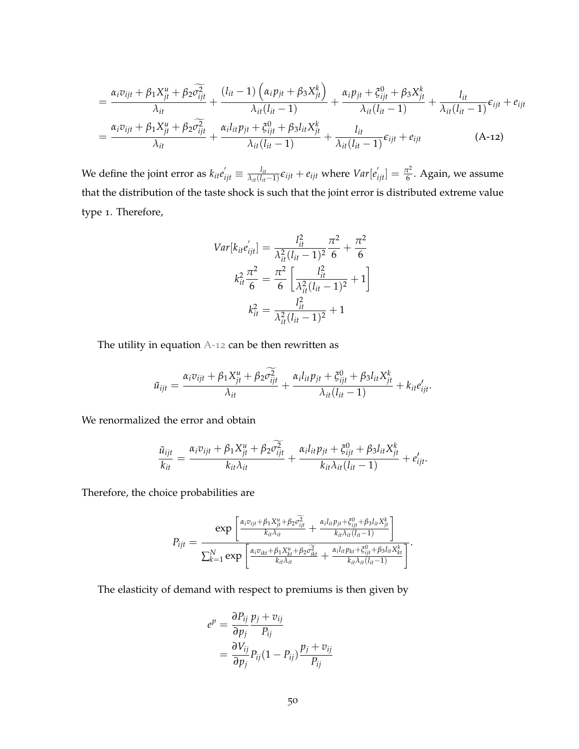$$
= \frac{\alpha_i v_{ijt} + \beta_1 X_{jt}^u + \beta_2 \widetilde{\sigma}_{ijt}^2}{\lambda_{it}} + \frac{(l_{it} - 1) \left(\alpha_i p_{jt} + \beta_3 X_{jt}^k\right)}{\lambda_{it} (l_{it} - 1)} + \frac{\alpha_i p_{jt} + \xi_{ijt}^0 + \beta_3 X_{jt}^k}{\lambda_{it} (l_{it} - 1)} + \frac{l_{it}}{\lambda_{it} (l_{it} - 1)} \varepsilon_{ijt} + e_{ijt}
$$
\n
$$
= \frac{\alpha_i v_{ijt} + \beta_1 X_{jt}^u + \beta_2 \widetilde{\sigma}_{ijt}^2}{\lambda_{it}} + \frac{\alpha_i l_{it} p_{jt} + \xi_{ijt}^0 + \beta_3 l_{it} X_{jt}^k}{\lambda_{it} (l_{it} - 1)} + \frac{l_{it}}{\lambda_{it} (l_{it} - 1)} \varepsilon_{ijt} + e_{ijt} \tag{A-12}
$$

We define the joint error as  $k_{it}e^{'}_{ijt}\equiv \frac{l_{it}}{\lambda_{it}(l_{it})}$  $\frac{l_{it}}{\lambda_{it}(l_{it}-1)} \epsilon_{ijt} + e_{ijt}$  where  $Var[e'_{ijt}] = \frac{\pi^2}{6}$  $\frac{7}{6}$ . Again, we assume that the distribution of the taste shock is such that the joint error is distributed extreme value type 1. Therefore,

<span id="page-50-0"></span>
$$
Var[k_{it}e'_{ijt}] = \frac{l_{it}^{2}}{\lambda_{it}^{2}(l_{it} - 1)^{2}} \frac{\pi^{2}}{6} + \frac{\pi^{2}}{6}
$$

$$
k_{it}^{2} \frac{\pi^{2}}{6} = \frac{\pi^{2}}{6} \left[ \frac{l_{it}^{2}}{\lambda_{it}^{2}(l_{it} - 1)^{2}} + 1 \right]
$$

$$
k_{it}^{2} = \frac{l_{it}^{2}}{\lambda_{it}^{2}(l_{it} - 1)^{2}} + 1
$$

The utility in equation [A-](#page-50-0)12 can be then rewritten as

$$
\tilde{u}_{ijt} = \frac{\alpha_i v_{ijt} + \beta_1 X_{jt}^u + \beta_2 \widetilde{\sigma}_{ijt}^2}{\lambda_{it}} + \frac{\alpha_i l_{it} p_{jt} + \xi_{ijt}^0 + \beta_3 l_{it} X_{jt}^k}{\lambda_{it} (l_{it} - 1)} + k_{it} e_{ijt}'.
$$

We renormalized the error and obtain

$$
\frac{\tilde{u}_{ijt}}{k_{it}} = \frac{\alpha_i v_{ijt} + \beta_1 X_{jt}^u + \beta_2 \tilde{\sigma}_{ijt}^2}{k_{it} \lambda_{it}} + \frac{\alpha_i l_{it} p_{jt} + \xi_{ijt}^0 + \beta_3 l_{it} X_{jt}^k}{k_{it} \lambda_{it} (l_{it} - 1)} + e'_{ijt}.
$$

Therefore, the choice probabilities are

$$
P_{ijt} = \frac{\exp\left[\frac{\alpha_i v_{ijt} + \beta_1 X_{jt}^u + \beta_2 \widehat{\sigma}_{ijt}^2}{k_{it} \lambda_{it}} + \frac{\alpha_i l_{it} p_{jt} + \xi_{ijt}^0 + \beta_3 l_{it} X_{jt}^k}{k_{it} \lambda_{it} (l_{it} - 1)}\right]}{\sum_{k=1}^N \exp\left[\frac{\alpha_i v_{ikt} + \beta_1 X_{kt}^u + \beta_2 \widehat{\sigma}_{ikt}^2}{k_{it} \lambda_{it}} + \frac{\alpha_i l_{it} p_{kt} + \xi_{ijt}^0 + \beta_3 l_{it} X_{kt}^k}{k_{it} \lambda_{it} (l_{it} - 1)}\right]}.
$$

The elasticity of demand with respect to premiums is then given by

$$
e^{p} = \frac{\partial P_{ij}}{\partial p_j} \frac{p_j + v_{ij}}{P_{ij}}
$$
  
= 
$$
\frac{\partial V_{ij}}{\partial p_j} P_{ij} (1 - P_{ij}) \frac{p_j + v_{ij}}{P_{ij}}
$$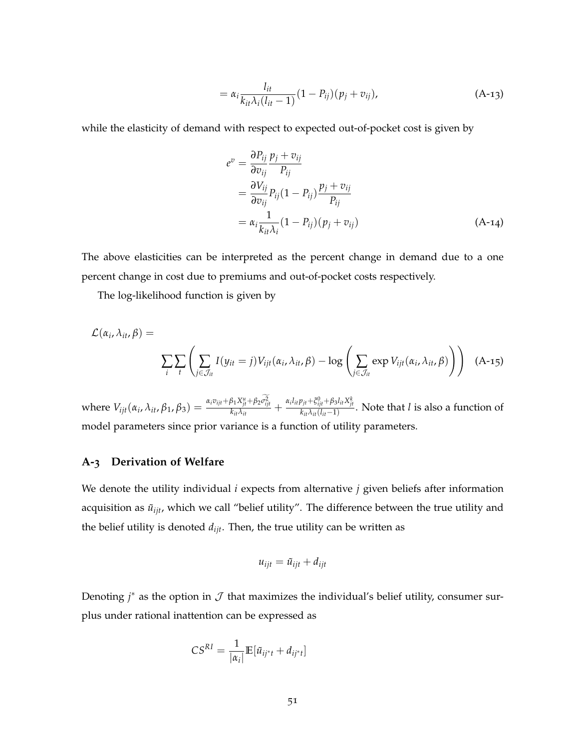$$
= \alpha_i \frac{l_{it}}{k_{it}\lambda_i(l_{it}-1)} (1 - P_{ij})(p_j + v_{ij}),
$$
 (A-13)

while the elasticity of demand with respect to expected out-of-pocket cost is given by

$$
e^{v} = \frac{\partial P_{ij}}{\partial v_{ij}} \frac{p_j + v_{ij}}{P_{ij}}
$$
  
= 
$$
\frac{\partial V_{ij}}{\partial v_{ij}} P_{ij} (1 - P_{ij}) \frac{p_j + v_{ij}}{P_{ij}}
$$
  
= 
$$
\alpha_i \frac{1}{k_{it} \lambda_i} (1 - P_{ij}) (p_j + v_{ij})
$$
(A-14)

The above elasticities can be interpreted as the percent change in demand due to a one percent change in cost due to premiums and out-of-pocket costs respectively.

The log-likelihood function is given by

$$
\mathcal{L}(\alpha_i, \lambda_{it}, \beta) = \sum_i \sum_t \left( \sum_{j \in \mathcal{J}_{it}} I(y_{it} = j) V_{ijt}(\alpha_i, \lambda_{it}, \beta) - \log \left( \sum_{j \in \mathcal{J}_{it}} \exp V_{ijt}(\alpha_i, \lambda_{it}, \beta) \right) \right)
$$
(A-15)

where  $V_{ijt}(\alpha_i, \lambda_{it}, \beta_1, \beta_3) = \frac{\alpha_i v_{ijt} + \beta_1 X_{jt}^u + \beta_2 \sigma_{ijt}^2}{k_{it} \lambda_{it}} + \frac{\alpha_i l_{it} p_{jt} + \xi_{ijt}^0 + \beta_3 l_{it} X_{jt}^k}{k_{it} \lambda_{it} (l_{it}-1)}$ . Note that l is also a function of model parameters since prior variance is a function of utility parameters.

#### <span id="page-51-0"></span>**A-3 Derivation of Welfare**

We denote the utility individual *i* expects from alternative *j* given beliefs after information acquisition as  $\tilde{u}_{ijt}$ , which we call "belief utility". The difference between the true utility and the belief utility is denoted *dijt*. Then, the true utility can be written as

$$
u_{ijt} = \tilde{u}_{ijt} + d_{ijt}
$$

Denoting  $j^*$  as the option in  $\mathcal J$  that maximizes the individual's belief utility, consumer surplus under rational inattention can be expressed as

$$
CS^{RI} = \frac{1}{|\alpha_i|} \mathbb{E}[\tilde{u}_{ij^*t} + d_{ij^*t}]
$$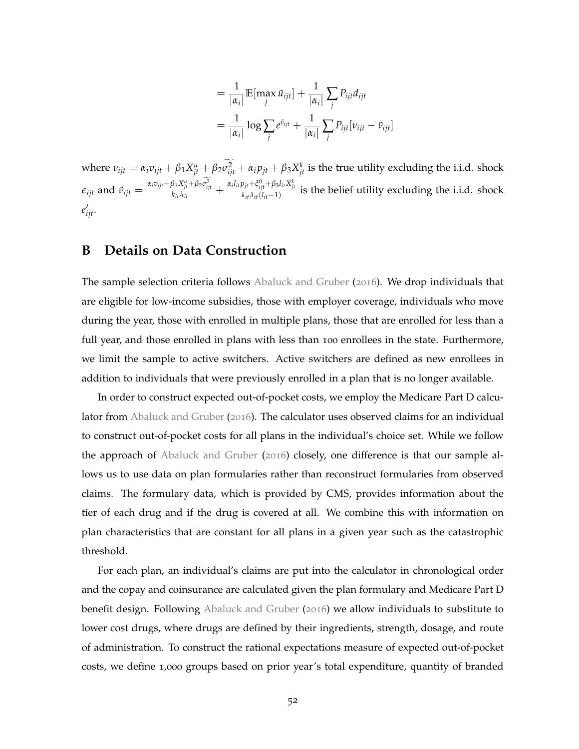$$
= \frac{1}{|\alpha_i|} \mathbb{E}[\max_j \tilde{u}_{ijt}] + \frac{1}{|\alpha_i|} \sum_j P_{ijt} d_{ijt}
$$

$$
= \frac{1}{|\alpha_i|} \log \sum_j e^{\tilde{v}_{ijt}} + \frac{1}{|\alpha_i|} \sum_j P_{ijt} [v_{ijt} - \tilde{v}_{ijt}]
$$

where  $v_{ijt} = \alpha_i v_{ijt} + \beta_1 X_{jt}^u + \beta_2 \sigma_{ijt}^2 + \alpha_i p_{jt} + \beta_3 X_{jt}^k$  is the true utility excluding the i.i.d. shock  $\epsilon_{ijt}$  and  $\tilde{v}_{ijt} = \frac{\alpha_i v_{ijt} + \beta_1 X_{jt}^u + \beta_2 \sigma_{ijt}^2}{k_{it} \lambda_{it}} + \frac{\alpha_i l_{it} p_{jt} + \xi_{ijt}^0 + \beta_3 l_{it} X_{jt}^k}{k_{it} \lambda_{it} (l_{it}-1)}$  is the belief utility excluding the i.i.d. shock *e* ′ *ijt*.

## <span id="page-52-0"></span>**B Details on Data Construction**

The sample selection criteria follows [Abaluck and Gruber](#page-42-10) ([2016](#page-42-10)). We drop individuals that are eligible for low-income subsidies, those with employer coverage, individuals who move during the year, those with enrolled in multiple plans, those that are enrolled for less than a full year, and those enrolled in plans with less than 100 enrollees in the state. Furthermore, we limit the sample to active switchers. Active switchers are defined as new enrollees in addition to individuals that were previously enrolled in a plan that is no longer available.

In order to construct expected out-of-pocket costs, we employ the Medicare Part D calculator from [Abaluck and Gruber](#page-42-10) ([2016](#page-42-10)). The calculator uses observed claims for an individual to construct out-of-pocket costs for all plans in the individual's choice set. While we follow the approach of [Abaluck and Gruber](#page-42-10) ([2016](#page-42-10)) closely, one difference is that our sample allows us to use data on plan formularies rather than reconstruct formularies from observed claims. The formulary data, which is provided by CMS, provides information about the tier of each drug and if the drug is covered at all. We combine this with information on plan characteristics that are constant for all plans in a given year such as the catastrophic threshold.

For each plan, an individual's claims are put into the calculator in chronological order and the copay and coinsurance are calculated given the plan formulary and Medicare Part D benefit design. Following [Abaluck and Gruber](#page-42-10) ([2016](#page-42-10)) we allow individuals to substitute to lower cost drugs, where drugs are defined by their ingredients, strength, dosage, and route of administration. To construct the rational expectations measure of expected out-of-pocket costs, we define 1,000 groups based on prior year's total expenditure, quantity of branded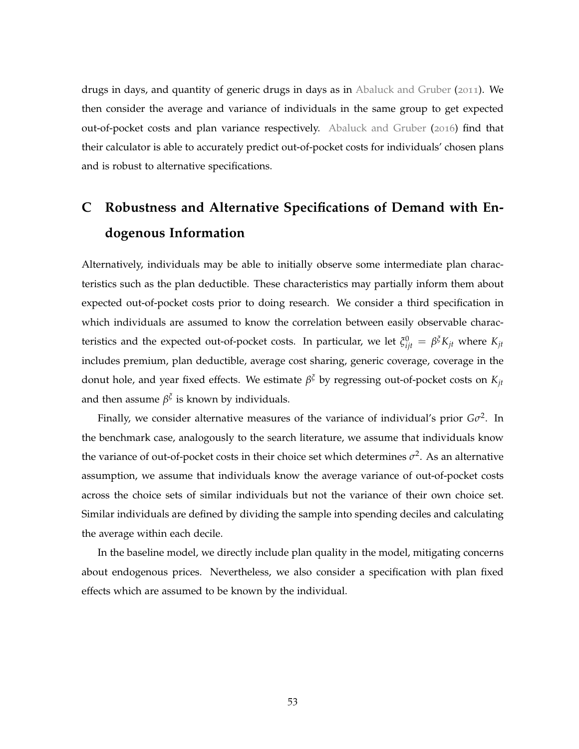drugs in days, and quantity of generic drugs in days as in [Abaluck and Gruber](#page-42-2) ([2011](#page-42-2)). We then consider the average and variance of individuals in the same group to get expected out-of-pocket costs and plan variance respectively. [Abaluck and Gruber](#page-42-10) ([2016](#page-42-10)) find that their calculator is able to accurately predict out-of-pocket costs for individuals' chosen plans and is robust to alternative specifications.

## <span id="page-53-0"></span>**C Robustness and Alternative Specifications of Demand with Endogenous Information**

Alternatively, individuals may be able to initially observe some intermediate plan characteristics such as the plan deductible. These characteristics may partially inform them about expected out-of-pocket costs prior to doing research. We consider a third specification in which individuals are assumed to know the correlation between easily observable characteristics and the expected out-of-pocket costs. In particular, we let  $\xi_{ijt}^0 = \beta^{\zeta}K_{jt}$  where  $K_{jt}$ includes premium, plan deductible, average cost sharing, generic coverage, coverage in the donut hole, and year fixed effects. We estimate *β <sup>ξ</sup>* by regressing out-of-pocket costs on *Kjt* and then assume  $\beta^{\xi}$  is known by individuals.

Finally, we consider alternative measures of the variance of individual's prior *Gσ* 2 . In the benchmark case, analogously to the search literature, we assume that individuals know the variance of out-of-pocket costs in their choice set which determines  $\sigma^2$ . As an alternative assumption, we assume that individuals know the average variance of out-of-pocket costs across the choice sets of similar individuals but not the variance of their own choice set. Similar individuals are defined by dividing the sample into spending deciles and calculating the average within each decile.

In the baseline model, we directly include plan quality in the model, mitigating concerns about endogenous prices. Nevertheless, we also consider a specification with plan fixed effects which are assumed to be known by the individual.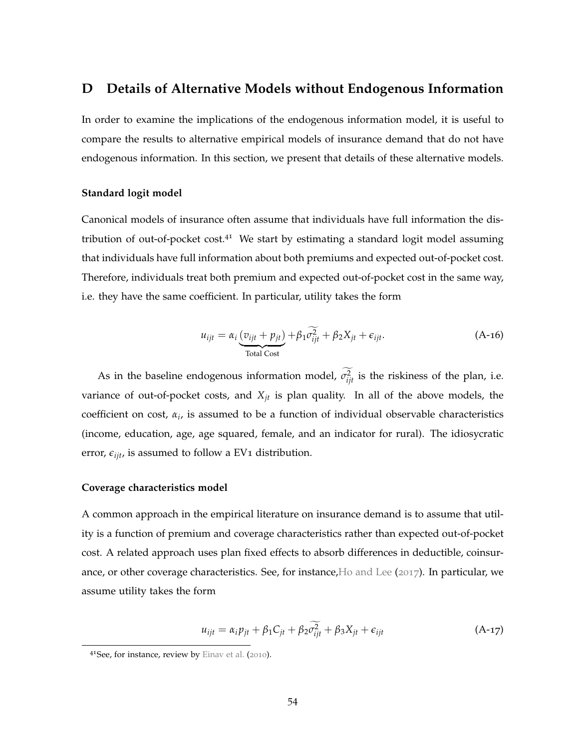## <span id="page-54-0"></span>**D Details of Alternative Models without Endogenous Information**

In order to examine the implications of the endogenous information model, it is useful to compare the results to alternative empirical models of insurance demand that do not have endogenous information. In this section, we present that details of these alternative models.

#### **Standard logit model**

Canonical models of insurance often assume that individuals have full information the distribution of out-of-pocket  $cost^{41}$  We start by estimating a standard logit model assuming that individuals have full information about both premiums and expected out-of-pocket cost. Therefore, individuals treat both premium and expected out-of-pocket cost in the same way, i.e. they have the same coefficient. In particular, utility takes the form

$$
u_{ijt} = \alpha_i \underbrace{(v_{ijt} + p_{jt})}_{\text{Total Cost}} + \beta_1 \widehat{\sigma_{ijt}^2} + \beta_2 X_{jt} + \epsilon_{ijt}.
$$
 (A-16)

As in the baseline endogenous information model,  $\sigma_{ijt}^2$  is the riskiness of the plan, i.e. variance of out-of-pocket costs, and  $X_{jt}$  is plan quality. In all of the above models, the coefficient on cost, *α<sup>i</sup>* , is assumed to be a function of individual observable characteristics (income, education, age, age squared, female, and an indicator for rural). The idiosycratic error,  $\epsilon_{iit}$ , is assumed to follow a EV<sub>1</sub> distribution.

#### **Coverage characteristics model**

A common approach in the empirical literature on insurance demand is to assume that utility is a function of premium and coverage characteristics rather than expected out-of-pocket cost. A related approach uses plan fixed effects to absorb differences in deductible, coinsurance, or other coverage characteristics. See, for instance[,Ho and Lee](#page-43-17) ([2017](#page-43-17)). In particular, we assume utility takes the form

$$
u_{ijt} = \alpha_i p_{jt} + \beta_1 C_{jt} + \beta_2 \widetilde{\sigma_{ijt}^2} + \beta_3 X_{jt} + \epsilon_{ijt}
$$
 (A-17)

<sup>4&</sup>lt;sup>1</sup>See, for instance, review by [Einav et al.](#page-43-18) ([2010](#page-43-18)).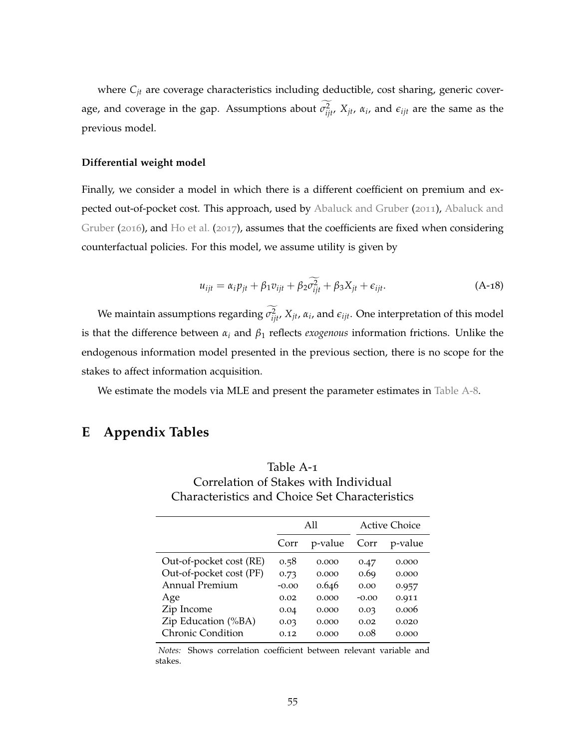where  $C_{jt}$  are coverage characteristics including deductible, cost sharing, generic coverage, and coverage in the gap. Assumptions about  $\sigma_{ijt}^2$ ,  $X_{jt}$ ,  $\alpha_i$ , and  $\epsilon_{ijt}$  are the same as the previous model.

#### **Differential weight model**

Finally, we consider a model in which there is a different coefficient on premium and expected out-of-pocket cost. This approach, used by [Abaluck and Gruber](#page-42-2) ([2011](#page-42-2)), [Abaluck and](#page-42-10) [Gruber](#page-42-10) ([2016](#page-42-10)), and [Ho et al.](#page-43-9) ([2017](#page-43-9)), assumes that the coefficients are fixed when considering counterfactual policies. For this model, we assume utility is given by

$$
u_{ijt} = \alpha_i p_{jt} + \beta_1 v_{ijt} + \beta_2 \widetilde{\sigma_{ijt}^2} + \beta_3 X_{jt} + \epsilon_{ijt}.
$$
 (A-18)

We maintain assumptions regarding  $\sigma_{ijt}^2$ ,  $X_{jt}$ ,  $\alpha_i$ , and  $\epsilon_{ijt}$ . One interpretation of this model is that the difference between *α<sup>i</sup>* and *β*<sup>1</sup> reflects *exogenous* information frictions. Unlike the endogenous information model presented in the previous section, there is no scope for the stakes to affect information acquisition.

We estimate the models via MLE and present the parameter estimates in [Table A-](#page-60-0)8.

## **E Appendix Tables**

<span id="page-55-0"></span>

| Table A-1                                      |
|------------------------------------------------|
| Correlation of Stakes with Individual          |
| Characteristics and Choice Set Characteristics |

|                          | A11     |         |       | <b>Active Choice</b> |
|--------------------------|---------|---------|-------|----------------------|
|                          | Corr    | p-value | Corr  | p-value              |
| Out-of-pocket cost (RE)  | 0.58    | 0.000   | 0.47  | 0.000                |
| Out-of-pocket cost (PF)  | 0.73    | 0.000   | 0.69  | 0.000                |
| Annual Premium           | $-0.00$ | 0.646   | 0.00  | 0.957                |
| Age                      | 0.02    | 0.000   | -0.00 | 0.911                |
| Zip Income               | 0.04    | 0.000   | 0.03  | 0.006                |
| Zip Education (%BA)      | 0.03    | 0.000   | 0.02  | 0.020                |
| <b>Chronic Condition</b> | 0.12    | 0.000   | 0.08  | 0.000                |

*Notes:* Shows correlation coefficient between relevant variable and stakes.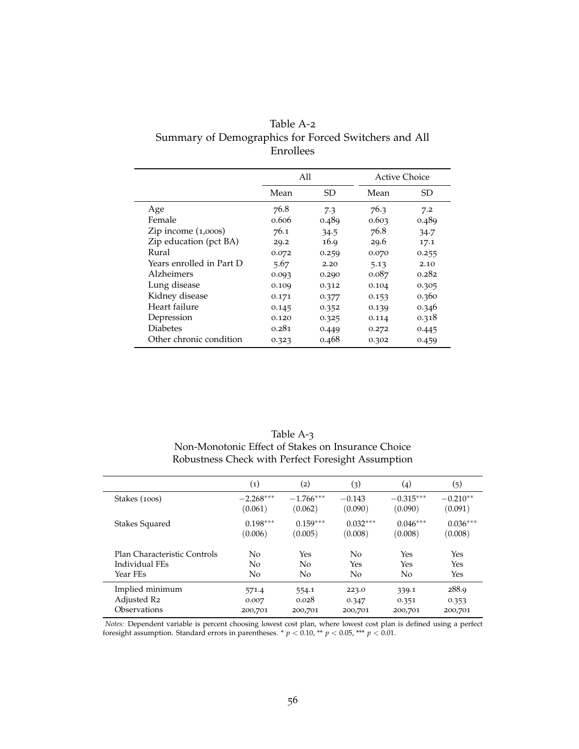<span id="page-56-0"></span>

| Table A-2                                            |
|------------------------------------------------------|
| Summary of Demographics for Forced Switchers and All |
| <b>Enrollees</b>                                     |

|                          |       | All   |       | Active Choice |
|--------------------------|-------|-------|-------|---------------|
|                          | Mean  | SD    | Mean  | SD.           |
| Age                      | 76.8  | 7.3   | 76.3  | 7.2           |
| Female                   | 0.606 | 0.489 | 0.603 | 0.489         |
| Zip income $(1,000s)$    | 76.1  | 34.5  | 76.8  | 34.7          |
| Zip education (pct BA)   | 29.2  | 16.9  | 29.6  | 17.1          |
| Rural                    | 0.072 | 0.259 | 0.070 | 0.255         |
| Years enrolled in Part D | 5.67  | 2.20  | 5.13  | 2.10          |
| Alzheimers               | 0.093 | 0.290 | 0.087 | 0.282         |
| Lung disease             | 0.109 | 0.312 | 0.104 | 0.305         |
| Kidney disease           | 0.171 | 0.377 | 0.153 | 0.360         |
| Heart failure            | 0.145 | 0.352 | 0.139 | 0.346         |
| Depression               | 0.120 | 0.325 | 0.114 | 0.318         |
| <b>Diabetes</b>          | 0.281 | 0.449 | 0.272 | 0.445         |
| Other chronic condition  | 0.323 | 0.468 | 0.302 | 0.459         |

| Table A-3                                          |
|----------------------------------------------------|
| Non-Monotonic Effect of Stakes on Insurance Choice |
| Robustness Check with Perfect Foresight Assumption |

<span id="page-56-1"></span>

|                              | $\scriptstyle{(1)}$ | $\rm(2)$       | $\left( 3\right)$ | $\left( 4 \right)$ | $\left( 5\right)$ |
|------------------------------|---------------------|----------------|-------------------|--------------------|-------------------|
| Stakes (100s)                | $-2.268***$         | $-1.766***$    | $-0.143$          | $-0.315***$        | $-0.210**$        |
|                              | (0.061)             | (0.062)        | (0.090)           | (0.090)            | (0.091)           |
| Stakes Squared               | $0.198***$          | $0.159***$     | $0.032***$        | $0.046***$         | $0.036***$        |
|                              | (0.006)             | (0.005)        | (0.008)           | (0.008)            | (0.008)           |
| Plan Characteristic Controls | No                  | Yes            | No                | Yes                | Yes               |
| Individual FEs               | N <sub>0</sub>      | N <sub>0</sub> | Yes               | Yes                | Yes               |
| Year FEs                     | No                  | No             | No                | No                 | Yes               |
| Implied minimum              | 571.4               | 554.1          | 223.0             | 339.1              | 288.9             |
| Adjusted R2                  | 0.007               | 0.028          | 0.347             | 0.351              | 0.353             |
| Observations                 | 200,701             | 200,701        | 200,701           | 200,701            | 200,701           |

*Notes:* Dependent variable is percent choosing lowest cost plan, where lowest cost plan is defined using a perfect foresight assumption. Standard errors in parentheses. \*  $p < 0.10$ , \*\*  $p < 0.05$ , \*\*\*  $p < 0.01$ .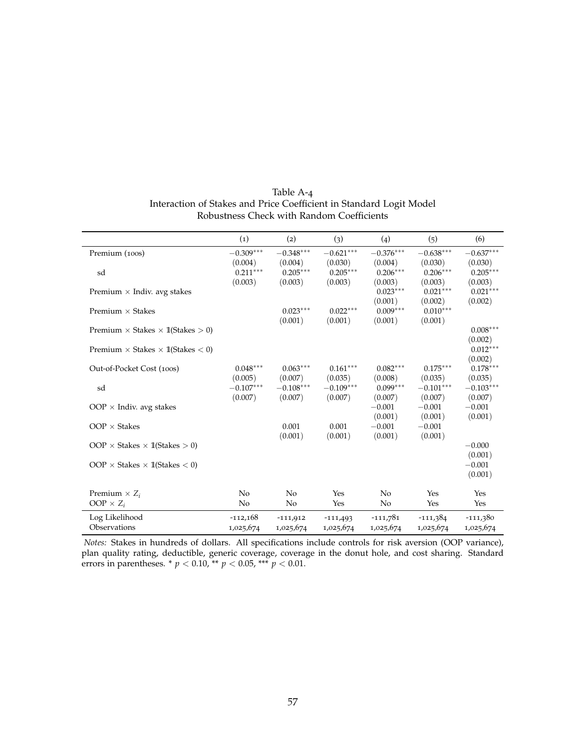| Table A-4                                                           |
|---------------------------------------------------------------------|
| Interaction of Stakes and Price Coefficient in Standard Logit Model |
| Robustness Check with Random Coefficients                           |

<span id="page-57-0"></span>

|                                                  | $\left( 1\right)$ | (2)         | (3)         | (4)         | (5)         | (6)         |
|--------------------------------------------------|-------------------|-------------|-------------|-------------|-------------|-------------|
| Premium (100s)                                   | $-0.309***$       | $-0.348***$ | $-0.621***$ | $-0.376***$ | $-0.638***$ | $-0.637***$ |
|                                                  | (0.004)           | (0.004)     | (0.030)     | (0.004)     | (0.030)     | (0.030)     |
| sd                                               | $0.211***$        | $0.205***$  | $0.205***$  | $0.206***$  | $0.206***$  | $0.205***$  |
|                                                  | (0.003)           | (0.003)     | (0.003)     | (0.003)     | (0.003)     | (0.003)     |
| Premium $\times$ Indiv. avg stakes               |                   |             |             | $0.023***$  | $0.021***$  | $0.021***$  |
|                                                  |                   |             |             | (0.001)     | (0.002)     | (0.002)     |
| Premium $\times$ Stakes                          |                   | $0.023***$  | $0.022***$  | $0.009***$  | $0.010***$  |             |
|                                                  |                   | (0.001)     | (0.001)     | (0.001)     | (0.001)     |             |
| Premium $\times$ Stakes $\times$ 1(Stakes $>$ 0) |                   |             |             |             |             | $0.008***$  |
|                                                  |                   |             |             |             |             | (0.002)     |
| Premium $\times$ Stakes $\times$ 1(Stakes $<$ 0) |                   |             |             |             |             | $0.012***$  |
|                                                  |                   |             |             |             |             | (0.002)     |
| Out-of-Pocket Cost (100s)                        | $0.048***$        | $0.063***$  | $0.161***$  | $0.082***$  | $0.175***$  | $0.178***$  |
|                                                  | (0.005)           | (0.007)     | (0.035)     | (0.008)     | (0.035)     | (0.035)     |
| sd                                               | $-0.107***$       | $-0.108***$ | $-0.109***$ | $0.099***$  | $-0.101***$ | $-0.103***$ |
|                                                  | (0.007)           | (0.007)     | (0.007)     | (0.007)     | (0.007)     | (0.007)     |
| OOP $\times$ Indiv. avg stakes                   |                   |             |             | $-0.001$    | $-0.001$    | $-0.001$    |
|                                                  |                   |             |             | (0.001)     | (0.001)     | (0.001)     |
| $OOP \times$ Stakes                              |                   | 0.001       | 0.001       | $-0.001$    | $-0.001$    |             |
|                                                  |                   | (0.001)     | (0.001)     | (0.001)     | (0.001)     |             |
| OOP $\times$ Stakes $\times$ 1(Stakes $>$ 0)     |                   |             |             |             |             | $-0.000$    |
|                                                  |                   |             |             |             |             | (0.001)     |
| OOP $\times$ Stakes $\times$ 1(Stakes $<$ 0)     |                   |             |             |             |             | $-0.001$    |
|                                                  |                   |             |             |             |             | (0.001)     |
|                                                  |                   |             |             |             |             |             |
| Premium $\times Z_i$                             | No                | No          | Yes         | No          | Yes         | Yes         |
| $OOP \times Z_i$                                 | No                | No          | Yes         | No          | Yes         | Yes         |
| Log Likelihood                                   | $-112,168$        | $-111,912$  | $-111,493$  | $-111,781$  | $-111,384$  | $-111,380$  |
| Observations                                     | 1,025,674         | 1,025,674   | 1,025,674   | 1,025,674   | 1,025,674   | 1,025,674   |

*Notes:* Stakes in hundreds of dollars. All specifications include controls for risk aversion (OOP variance), plan quality rating, deductible, generic coverage, coverage in the donut hole, and cost sharing. Standard errors in parentheses. \* *p* < 0.10, \*\* *p* < 0.05, \*\*\* *p* < 0.01.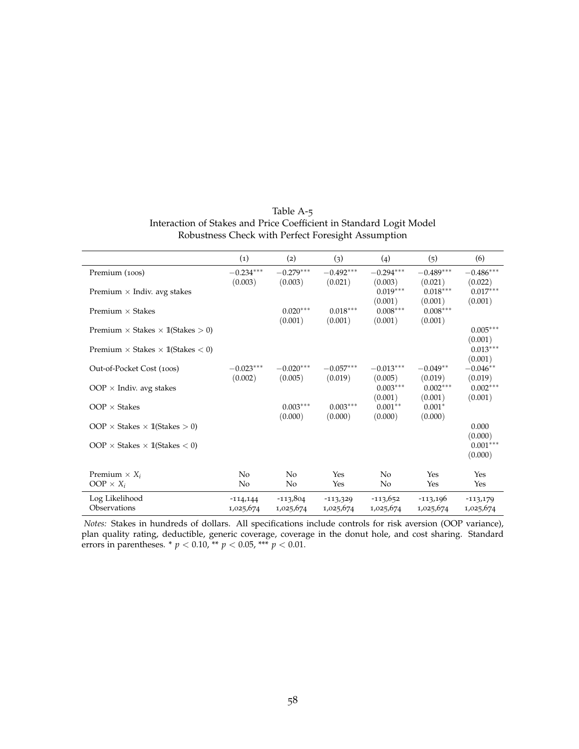| Table A-5                                                           |
|---------------------------------------------------------------------|
| Interaction of Stakes and Price Coefficient in Standard Logit Model |
| Robustness Check with Perfect Foresight Assumption                  |

<span id="page-58-0"></span>

|                                                  | (1)                     | (2)                     | (3)                     | (4)                             | (5)                            | (6)                              |
|--------------------------------------------------|-------------------------|-------------------------|-------------------------|---------------------------------|--------------------------------|----------------------------------|
| Premium (100s)                                   | $-0.234***$<br>(0.003)  | $-0.279***$<br>(0.003)  | $-0.492***$<br>(0.021)  | $-0.294***$<br>(0.003)          | $-0.489***$<br>(0.021)         | $-0.486***$<br>(0.022)           |
| Premium $\times$ Indiv. avg stakes               |                         |                         |                         | $0.019***$<br>(0.001)           | $0.018***$<br>(0.001)          | $0.017***$<br>(0.001)            |
| Premium $\times$ Stakes                          |                         | $0.020***$              | $0.018***$              | $0.008***$                      | $0.008***$                     |                                  |
| Premium $\times$ Stakes $\times$ 1(Stakes $>$ 0) |                         | (0.001)                 | (0.001)                 | (0.001)                         | (0.001)                        | $0.005***$<br>(0.001)            |
| Premium $\times$ Stakes $\times$ 1(Stakes $<$ 0) |                         |                         |                         |                                 |                                | $0.013***$<br>(0.001)            |
| Out-of-Pocket Cost (100s)                        | $-0.023***$<br>(0.002)  | $-0.020***$<br>(0.005)  | $-0.057***$<br>(0.019)  | $-0.013***$<br>(0.005)          | $-0.049**$<br>(0.019)          | $-0.046**$<br>(0.019)            |
| OOP $\times$ Indiv. avg stakes                   |                         |                         |                         | $0.003***$                      | $0.002***$                     | $0.002***$                       |
| $OOP \times$ Stakes                              |                         | $0.003***$<br>(0.000)   | $0.003***$<br>(0.000)   | (0.001)<br>$0.001**$<br>(0.000) | (0.001)<br>$0.001*$<br>(0.000) | (0.001)                          |
| OOP $\times$ Stakes $\times$ 1(Stakes $>$ 0)     |                         |                         |                         |                                 |                                | 0.000                            |
| $OOP \times$ Stakes $\times$ 1(Stakes $<$ 0)     |                         |                         |                         |                                 |                                | (0.000)<br>$0.001***$<br>(0.000) |
| Premium $\times X_i$<br>$OOP \times X_i$         | No<br>N <sub>0</sub>    | N <sub>0</sub><br>No    | Yes<br>Yes              | N <sub>0</sub><br>No            | Yes<br>Yes                     | Yes<br>Yes                       |
| Log Likelihood<br>Observations                   | $-114,144$<br>1,025,674 | $-113,804$<br>1,025,674 | $-113,329$<br>1,025,674 | $-113,652$<br>1,025,674         | $-113,196$<br>1,025,674        | $-113,179$<br>1,025,674          |

*Notes:* Stakes in hundreds of dollars. All specifications include controls for risk aversion (OOP variance), plan quality rating, deductible, generic coverage, coverage in the donut hole, and cost sharing. Standard errors in parentheses. \* *p* < 0.10, \*\* *p* < 0.05, \*\*\* *p* < 0.01.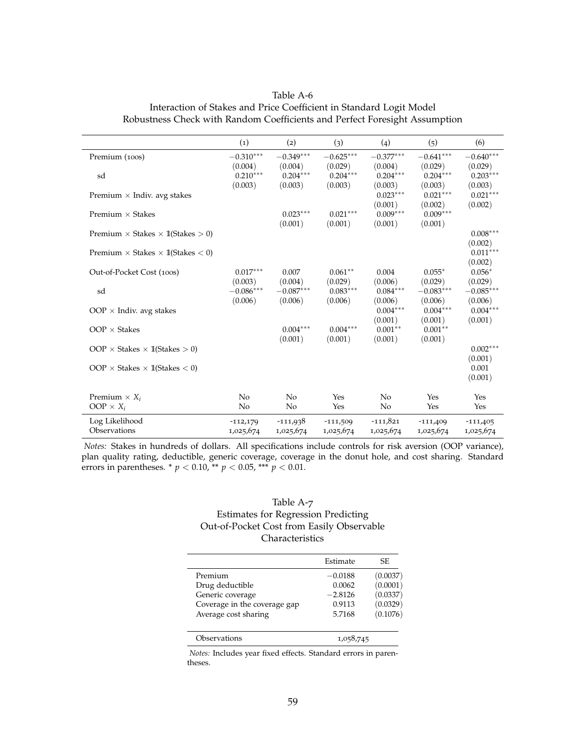<span id="page-59-0"></span>

| Interaction of Stakes and Price Coefficient in Standard Logit Model<br>Robustness Check with Random Coefficients and Perfect Foresight Assumption |                    |             |             |             |             |             |  |  |
|---------------------------------------------------------------------------------------------------------------------------------------------------|--------------------|-------------|-------------|-------------|-------------|-------------|--|--|
|                                                                                                                                                   | $\left( 1 \right)$ | (2)         | (ဒ)         | (4)         | (5)         | (6)         |  |  |
| Premium (100s)                                                                                                                                    | $-0.310***$        | $-0.349***$ | $-0.625***$ | $-0.377***$ | $-0.641***$ | $-0.640***$ |  |  |
|                                                                                                                                                   | (0.004)            | (0.004)     | (0.029)     | (0.004)     | (0.029)     | (0.029)     |  |  |
| sd                                                                                                                                                | $0.210***$         | $0.204***$  | $0.204***$  | $0.204***$  | $0.204***$  | $0.203***$  |  |  |
|                                                                                                                                                   | (0.003)            | (0.003)     | (0.003)     | (0.003)     | (0.003)     | (0.003)     |  |  |

Premium × Indiv. avg stakes  $0.023^{***}$   $0.021^{***}$   $0.021^{***}$   $0.021^{***}$   $0.021^{***}$   $0.021^{***}$   $0.0021^{***}$   $0.0021^{***}$ 

Premium × Stakes × 1**(Stakes > 0)** 0.008<sup>∗∗∗</sup>

Out-of-Pocket Cost (100s) 0.017∗∗∗ 0.007 0.061∗∗ 0.004 0.055<sup>∗</sup> 0.056<sup>∗</sup>

sd −0.086∗∗∗ −0.087∗∗∗ 0.083∗∗∗ 0.084∗∗∗ −0.083∗∗∗ −0.085∗∗∗

 $OOP \times Indiv.$  avg stakes  $O.004^{***}$   $O.004^{***}$   $O.004^{***}$   $O.004^{***}$   $O.004^{***}$   $O.001$   $(0.001)$   $(0.001)$ 

 $OOP \times$  Stakes  $\times$  11(Stakes > 0) 0.002<sup>∗∗∗</sup>

 $OOP \times$  Stakes  $\times$  11(Stakes  $<$  0) 0.001

Premium  $\times X_i$   $\qquad \qquad$  No  $\qquad$  Yes  $\qquad$  Yes  $\qquad$  Yes  $\qquad$  Yes  $OOP \times X_i$  No No Yes No Yes Yes Log Likelihood -112,179 -111,938 -111,509 -111,821 -111,409 -111,405 Observations 1,025,674 1,025,674 1,025,674 1,025,674 1,025,674 1,025,674

Premium × Stakes 0.023<sup>∗∗∗</sup> 0.021<sup>∗∗∗</sup>

 $OOP \times$  Stakes 0.004<sup>∗∗∗</sup> 0.004<sup>∗∗∗</sup> 0.004<sup>∗∗∗</sup>

Premium × Stakes × 1l(Stakes < 0.011∤

 $(0.001)$   $(0.002)$ <br> $0.009***$   $0.009***$ 

 $(0.001)$   $(0.001)$ <br>0.001<sup>\*\*</sup> 0.001<sup>\*\*</sup>

 $(0.002)$ <br>0.011\*\*\*

(0.002)

(0.001)

(0.001)

 $(0.001)$   $(0.001)$   $(0.001)$   $(0.001)$ 

 $(0.003)$   $(0.004)$   $(0.029)$   $(0.006)$   $(0.029)$   $(0.029)$ 

 $(0.006)$   $(0.006)$   $(0.006)$   $(0.006)$   $(0.006)$   $(0.006)$ 

 $(0.001)$   $(0.001)$   $(0.001)$   $(0.001)$ 

Table A-6 Interaction of Stakes and Price Coefficient in Standard Logit Model

*Notes:* Stakes in hundreds of dollars. All specifications include controls for risk aversion (OOP variance), plan quality rating, deductible, generic coverage, coverage in the donut hole, and cost sharing. Standard errors in parentheses. \* *p* < 0.10, \*\* *p* < 0.05, \*\*\* *p* < 0.01.

#### <span id="page-59-1"></span>Table A-7 Estimates for Regression Predicting Out-of-Pocket Cost from Easily Observable **Characteristics**

|                              | Estimate  | SE.      |
|------------------------------|-----------|----------|
|                              |           |          |
| Premium                      | $-0.0188$ | (0.0037) |
| Drug deductible              | 0.0062    | (0.0001) |
| Generic coverage             | $-2.8126$ | (0.0337) |
| Coverage in the coverage gap | 0.9113    | (0.0329) |
| Average cost sharing         | 5.7168    | (0.1076) |
| Observations                 | 1,058,745 |          |

*Notes:* Includes year fixed effects. Standard errors in parentheses.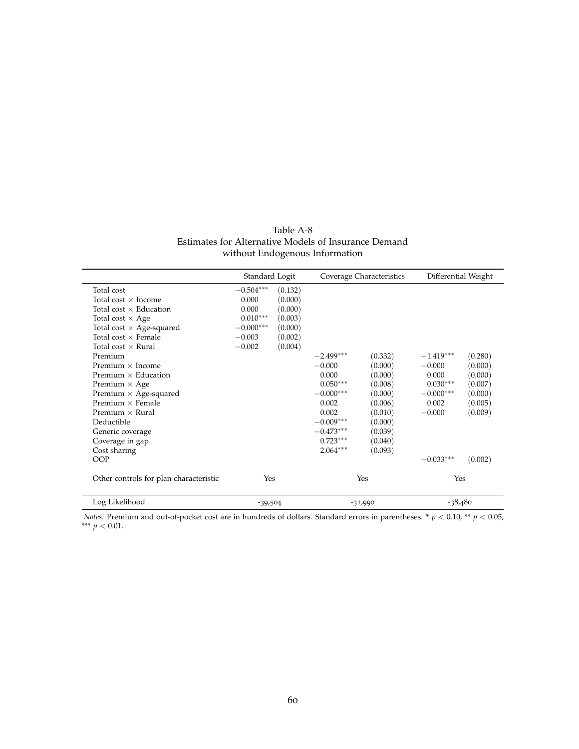| Table A-8                                            |
|------------------------------------------------------|
| Estimates for Alternative Models of Insurance Demand |
| without Endogenous Information                       |

<span id="page-60-0"></span>

|                                        | Standard Logit |         |             | Coverage Characteristics | Differential Weight |         |
|----------------------------------------|----------------|---------|-------------|--------------------------|---------------------|---------|
| Total cost                             | $-0.504***$    | (0.132) |             |                          |                     |         |
| Total cost $\times$ Income             | 0.000          | (0.000) |             |                          |                     |         |
| Total cost $\times$ Education          | 0.000          | (0.000) |             |                          |                     |         |
| Total cost $\times$ Age                | $0.010***$     | (0.003) |             |                          |                     |         |
| Total cost $\times$ Age-squared        | $-0.000***$    | (0.000) |             |                          |                     |         |
| Total cost $\times$ Female             | $-0.003$       | (0.002) |             |                          |                     |         |
| Total cost $\times$ Rural              | $-0.002$       | (0.004) |             |                          |                     |         |
| Premium                                |                |         | $-2.499***$ | (0.332)                  | $-1.419***$         | (0.280) |
| Premium $\times$ Income                |                |         | $-0.000$    | (0.000)                  | $-0.000$            | (0.000) |
| Premium $\times$ Education             |                |         | 0.000       | (0.000)                  | 0.000               | (0.000) |
| Premium $\times$ Age                   |                |         | $0.050***$  | (0.008)                  | $0.030***$          | (0.007) |
| Premium $\times$ Age-squared           |                |         | $-0.000***$ | (0.000)                  | $-0.000***$         | (0.000) |
| Premium $\times$ Female                |                |         | 0.002       | (0.006)                  | 0.002               | (0.005) |
| Premium $\times$ Rural                 |                |         | 0.002       | (0.010)                  | $-0.000$            | (0.009) |
| Deductible                             |                |         | $-0.009***$ | (0.000)                  |                     |         |
| Generic coverage                       |                |         | $-0.473***$ | (0.039)                  |                     |         |
| Coverage in gap                        |                |         | $0.723***$  | (0.040)                  |                     |         |
| Cost sharing                           |                |         | $2.064***$  | (0.093)                  |                     |         |
| <b>OOP</b>                             |                |         |             |                          | $-0.033***$         | (0.002) |
| Other controls for plan characteristic | Yes            |         |             | Yes                      | Yes                 |         |
| Log Likelihood                         | $-39,504$      |         |             | $-31,990$                | $-38,480$           |         |

*Notes:* Premium and out-of-pocket cost are in hundreds of dollars. Standard errors in parentheses. \*  $p < 0.10$ , \*\*  $p < 0.05$ , \*\*\*  $p < 0.01$ .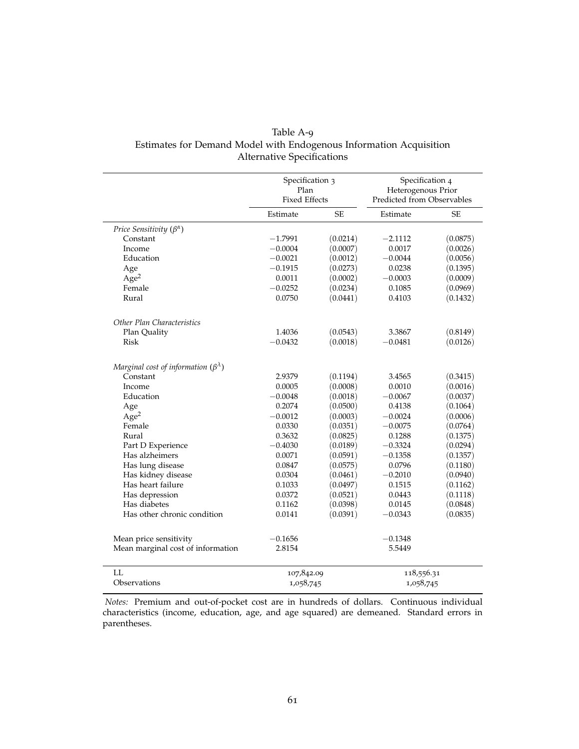<span id="page-61-0"></span>

| Table A-9                                                          |
|--------------------------------------------------------------------|
| Estimates for Demand Model with Endogenous Information Acquisition |
| <b>Alternative Specifications</b>                                  |

|                                                  | Specification 3<br>Plan<br><b>Fixed Effects</b> |           | Specification 4<br>Heterogenous Prior<br>Predicted from Observables |          |  |
|--------------------------------------------------|-------------------------------------------------|-----------|---------------------------------------------------------------------|----------|--|
|                                                  | Estimate                                        | <b>SE</b> | Estimate                                                            | SЕ       |  |
| Price Sensitivity $(\beta^{\alpha})$             |                                                 |           |                                                                     |          |  |
| Constant                                         | $-1.7991$                                       | (0.0214)  | $-2.1112$                                                           | (0.0875) |  |
| Income                                           | $-0.0004$                                       | (0.0007)  | 0.0017                                                              | (0.0026) |  |
| Education                                        | $-0.0021$                                       | (0.0012)  | $-0.0044$                                                           | (0.0056) |  |
| Age                                              | $-0.1915$                                       | (0.0273)  | 0.0238                                                              | (0.1395) |  |
| Age <sup>2</sup>                                 | 0.0011                                          | (0.0002)  | $-0.0003$                                                           | (0.0009) |  |
| Female                                           | $-0.0252$                                       | (0.0234)  | 0.1085                                                              | (0.0969) |  |
| Rural                                            | 0.0750                                          | (0.0441)  | 0.4103                                                              | (0.1432) |  |
| Other Plan Characteristics                       |                                                 |           |                                                                     |          |  |
| Plan Quality                                     | 1.4036                                          | (0.0543)  | 3.3867                                                              | (0.8149) |  |
| <b>Risk</b>                                      | $-0.0432$                                       | (0.0018)  | $-0.0481$                                                           | (0.0126) |  |
| Marginal cost of information $(\beta^{\lambda})$ |                                                 |           |                                                                     |          |  |
| Constant                                         | 2.9379                                          | (0.1194)  | 3.4565                                                              | (0.3415) |  |
| Income                                           | 0.0005                                          | (0.0008)  | 0.0010                                                              | (0.0016) |  |
| Education                                        | $-0.0048$                                       | (0.0018)  | $-0.0067$                                                           | (0.0037) |  |
| Age                                              | 0.2074                                          | (0.0500)  | 0.4138                                                              | (0.1064) |  |
| Age <sup>2</sup>                                 | $-0.0012$                                       | (0.0003)  | $-0.0024$                                                           | (0.0006) |  |
| Female                                           | 0.0330                                          | (0.0351)  | $-0.0075$                                                           | (0.0764) |  |
| Rural                                            | 0.3632                                          | (0.0825)  | 0.1288                                                              | (0.1375) |  |
| Part D Experience                                | $-0.4030$                                       | (0.0189)  | $-0.3324$                                                           | (0.0294) |  |
| Has alzheimers                                   | 0.0071                                          | (0.0591)  | $-0.1358$                                                           | (0.1357) |  |
| Has lung disease                                 | 0.0847                                          | (0.0575)  | 0.0796                                                              | (0.1180) |  |
| Has kidney disease                               | 0.0304                                          | (0.0461)  | $-0.2010$                                                           | (0.0940) |  |
| Has heart failure                                | 0.1033                                          | (0.0497)  | 0.1515                                                              | (0.1162) |  |
| Has depression                                   | 0.0372                                          | (0.0521)  | 0.0443                                                              | (0.1118) |  |
| Has diabetes                                     | 0.1162                                          | (0.0398)  | 0.0145                                                              | (0.0848) |  |
| Has other chronic condition                      | 0.0141                                          | (0.0391)  | $-0.0343$                                                           | (0.0835) |  |
| Mean price sensitivity                           | $-0.1656$                                       |           | $-0.1348$                                                           |          |  |
| Mean marginal cost of information                | 2.8154                                          |           | 5.5449                                                              |          |  |
| LL                                               | 107,842.09                                      |           | 118,556.31                                                          |          |  |
| Observations                                     | 1,058,745                                       |           | 1,058,745                                                           |          |  |

*Notes:* Premium and out-of-pocket cost are in hundreds of dollars. Continuous individual characteristics (income, education, age, and age squared) are demeaned. Standard errors in parentheses.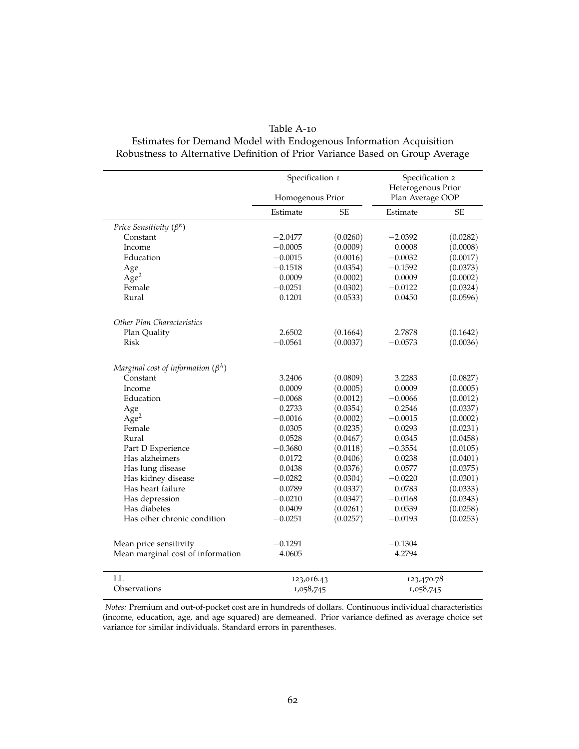#### Table A-10

### <span id="page-62-0"></span>Estimates for Demand Model with Endogenous Information Acquisition Robustness to Alternative Definition of Prior Variance Based on Group Average

|                                                  | Specification 1  |          | Specification 2<br>Heterogenous Prior |           |  |
|--------------------------------------------------|------------------|----------|---------------------------------------|-----------|--|
|                                                  | Homogenous Prior |          | Plan Average OOP                      |           |  |
|                                                  | Estimate         | SE       | Estimate                              | <b>SE</b> |  |
| Price Sensitivity $(\beta^{\alpha})$             |                  |          |                                       |           |  |
| Constant                                         | $-2.0477$        | (0.0260) | $-2.0392$                             | (0.0282)  |  |
| Income                                           | $-0.0005$        | (0.0009) | 0.0008                                | (0.0008)  |  |
| Education                                        | $-0.0015$        | (0.0016) | $-0.0032$                             | (0.0017)  |  |
| Age                                              | $-0.1518$        | (0.0354) | $-0.1592$                             | (0.0373)  |  |
| Age <sup>2</sup>                                 | 0.0009           | (0.0002) | 0.0009                                | (0.0002)  |  |
| Female                                           | $-0.0251$        | (0.0302) | $-0.0122$                             | (0.0324)  |  |
| Rural                                            | 0.1201           | (0.0533) | 0.0450                                | (0.0596)  |  |
| Other Plan Characteristics                       |                  |          |                                       |           |  |
| Plan Quality                                     | 2.6502           | (0.1664) | 2.7878                                | (0.1642)  |  |
| Risk                                             | $-0.0561$        | (0.0037) | $-0.0573$                             | (0.0036)  |  |
| Marginal cost of information $(\beta^{\lambda})$ |                  |          |                                       |           |  |
| Constant                                         | 3.2406           | (0.0809) | 3.2283                                | (0.0827)  |  |
| Income                                           | 0.0009           | (0.0005) | 0.0009                                | (0.0005)  |  |
| Education                                        | $-0.0068$        | (0.0012) | $-0.0066$                             | (0.0012)  |  |
| Age                                              | 0.2733           | (0.0354) | 0.2546                                | (0.0337)  |  |
| Age <sup>2</sup>                                 | $-0.0016$        | (0.0002) | $-0.0015$                             | (0.0002)  |  |
| Female                                           | 0.0305           | (0.0235) | 0.0293                                | (0.0231)  |  |
| Rural                                            | 0.0528           | (0.0467) | 0.0345                                | (0.0458)  |  |
| Part D Experience                                | $-0.3680$        | (0.0118) | $-0.3554$                             | (0.0105)  |  |
| Has alzheimers                                   | 0.0172           | (0.0406) | 0.0238                                | (0.0401)  |  |
| Has lung disease                                 | 0.0438           | (0.0376) | 0.0577                                | (0.0375)  |  |
| Has kidney disease                               | $-0.0282$        | (0.0304) | $-0.0220$                             | (0.0301)  |  |
| Has heart failure                                | 0.0789           | (0.0337) | 0.0783                                | (0.0333)  |  |
| Has depression                                   | $-0.0210$        | (0.0347) | $-0.0168$                             | (0.0343)  |  |
| Has diabetes                                     | 0.0409           | (0.0261) | 0.0539                                | (0.0258)  |  |
| Has other chronic condition                      | $-0.0251$        | (0.0257) | $-0.0193$                             | (0.0253)  |  |
| Mean price sensitivity                           | $-0.1291$        |          | $-0.1304$                             |           |  |
| Mean marginal cost of information                | 4.0605           |          | 4.2794                                |           |  |
| LL                                               | 123,016.43       |          | 123,470.78                            |           |  |
| Observations                                     | 1,058,745        |          | 1,058,745                             |           |  |

*Notes:* Premium and out-of-pocket cost are in hundreds of dollars. Continuous individual characteristics (income, education, age, and age squared) are demeaned. Prior variance defined as average choice set variance for similar individuals. Standard errors in parentheses.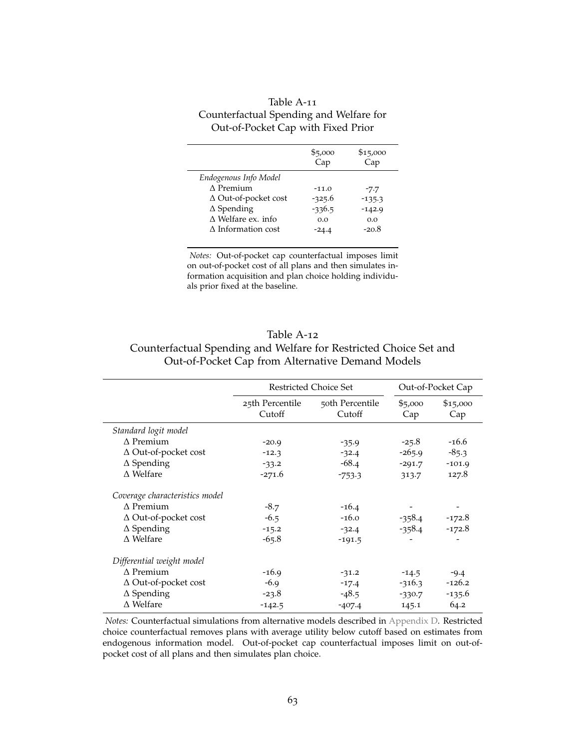<span id="page-63-1"></span>

| Table A-11                              |
|-----------------------------------------|
| Counterfactual Spending and Welfare for |
| Out-of-Pocket Cap with Fixed Prior      |

L,

| \$5,000<br>Cap | \$15,000<br>Cap |
|----------------|-----------------|
|                |                 |
| $-11.0$        | $-7.7$          |
| $-325.6$       | $-135.3$        |
| $-336.5$       | $-142.9$        |
| 0.0            | 0.0             |
| -24.4          | $-20.8$         |
|                |                 |

*Notes:* Out-of-pocket cap counterfactual imposes limit on out-of-pocket cost of all plans and then simulates information acquisition and plan choice holding individuals prior fixed at the baseline.

## <span id="page-63-0"></span>Table A-12 Counterfactual Spending and Welfare for Restricted Choice Set and Out-of-Pocket Cap from Alternative Demand Models

|                                | <b>Restricted Choice Set</b> | Out-of-Pocket Cap         |                |                 |
|--------------------------------|------------------------------|---------------------------|----------------|-----------------|
|                                | 25th Percentile<br>Cutoff    | 50th Percentile<br>Cutoff | \$5,000<br>Cap | \$15,000<br>Cap |
| Standard logit model           |                              |                           |                |                 |
| $\Lambda$ Premium              | $-20.9$                      | $-35.9$                   | $-25.8$        | $-16.6$         |
| $\Delta$ Out-of-pocket cost    | $-12.3$                      | $-32.4$                   | $-265.9$       | $-85.3$         |
| $\Delta$ Spending              | $-33.2$                      | $-68.4$                   | $-291.7$       | $-101.9$        |
| $\Delta$ Welfare               | $-271.6$                     | $-753.3$                  | 313.7          | 127.8           |
| Coverage characteristics model |                              |                           |                |                 |
| $\Lambda$ Premium              | $-8.7$                       | $-16.4$                   |                |                 |
| $\Delta$ Out-of-pocket cost    | $-6.5$                       | $-16.0$                   | $-358.4$       | $-172.8$        |
| $\Delta$ Spending              | $-15.2$                      | $-32.4$                   | $-358.4$       | $-172.8$        |
| $\Delta$ Welfare               | $-65.8$                      | $-191.5$                  |                |                 |
| Differential weight model      |                              |                           |                |                 |
| $\Delta$ Premium               | $-16.9$                      | $-31.2$                   | $-14.5$        | $-9.4$          |
| $\Delta$ Out-of-pocket cost    | $-6.9$                       | $-17.4$                   | $-316.3$       | $-126.2$        |
| $\Delta$ Spending              | $-23.8$                      | $-48.5$                   | $-330.7$       | $-135.6$        |
| $\Delta$ Welfare               | $-142.5$                     | $-407.4$                  | 145.1          | 64.2            |

*Notes:* Counterfactual simulations from alternative models described in [Appendix D.](#page-54-0) Restricted choice counterfactual removes plans with average utility below cutoff based on estimates from endogenous information model. Out-of-pocket cap counterfactual imposes limit on out-ofpocket cost of all plans and then simulates plan choice.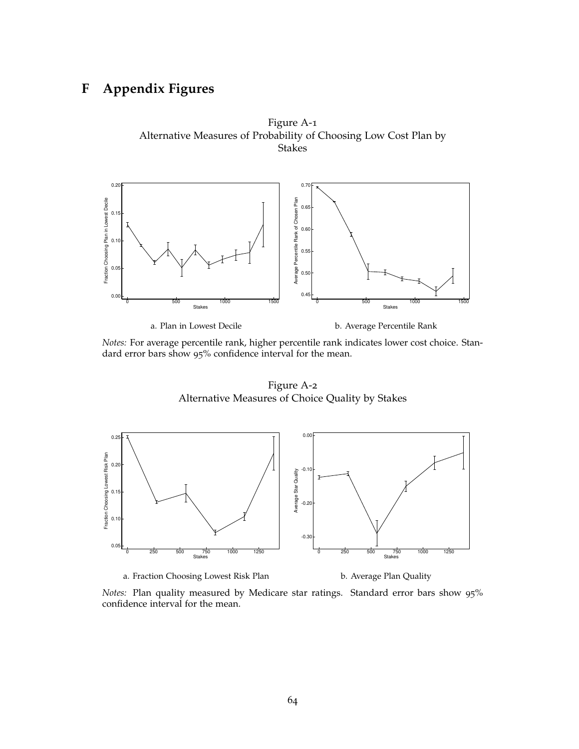## <span id="page-64-0"></span>**F Appendix Figures**





<span id="page-64-1"></span>*Notes:* For average percentile rank, higher percentile rank indicates lower cost choice. Standard error bars show 95% confidence interval for the mean.

Figure A-2 Alternative Measures of Choice Quality by Stakes



a. Fraction Choosing Lowest Risk Plan **b.** Average Plan Quality

*Notes:* Plan quality measured by Medicare star ratings. Standard error bars show 95% confidence interval for the mean.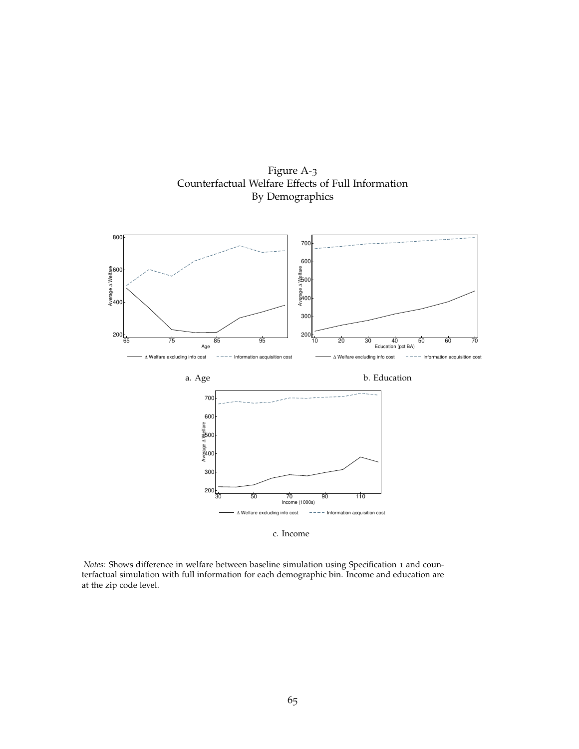

<span id="page-65-0"></span>

c. Income

*Notes:* Shows difference in welfare between baseline simulation using Specification 1 and counterfactual simulation with full information for each demographic bin. Income and education are at the zip code level.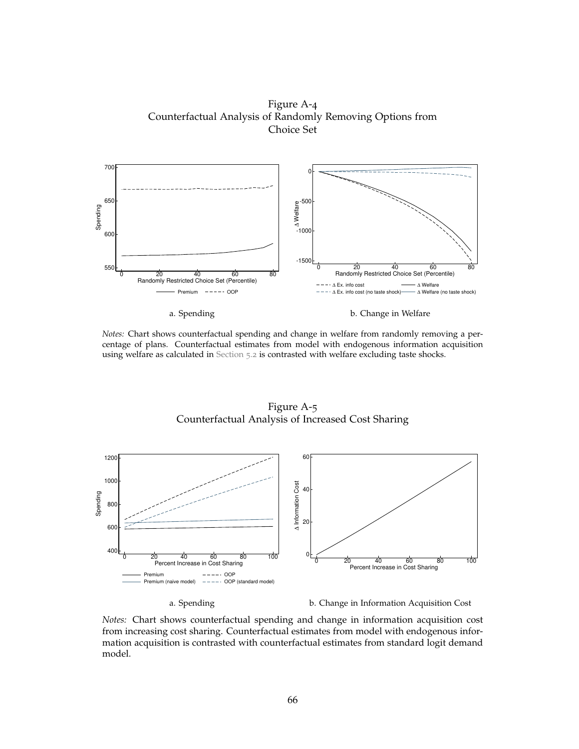<span id="page-66-0"></span>Figure A-4 Counterfactual Analysis of Randomly Removing Options from Choice Set



a. Spending b. Change in Welfare

*Notes:* Chart shows counterfactual spending and change in welfare from randomly removing a percentage of plans. Counterfactual estimates from model with endogenous information acquisition using welfare as calculated in [Section](#page-27-0) 5.2 is contrasted with welfare excluding taste shocks.

Figure A-5 Counterfactual Analysis of Increased Cost Sharing



a. Spending b. Change in Information Acquisition Cost

*Notes:* Chart shows counterfactual spending and change in information acquisition cost from increasing cost sharing. Counterfactual estimates from model with endogenous information acquisition is contrasted with counterfactual estimates from standard logit demand model.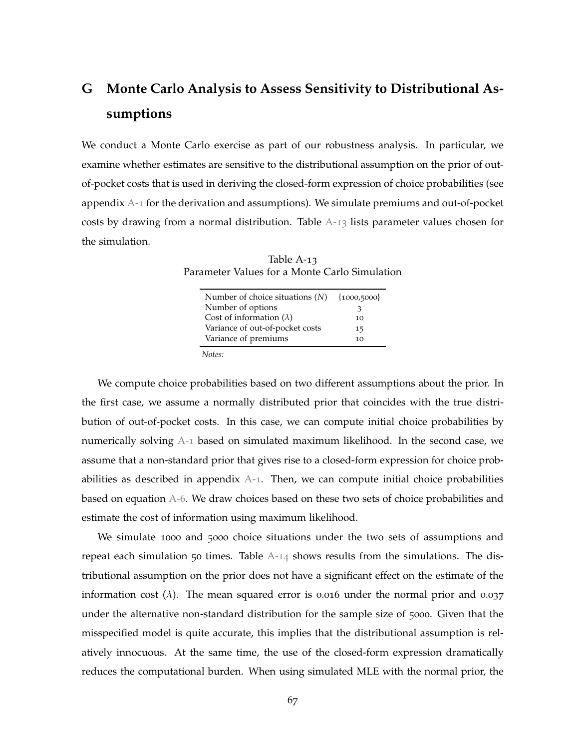# <span id="page-67-0"></span>**G Monte Carlo Analysis to Assess Sensitivity to Distributional Assumptions**

We conduct a Monte Carlo exercise as part of our robustness analysis. In particular, we examine whether estimates are sensitive to the distributional assumption on the prior of outof-pocket costs that is used in deriving the closed-form expression of choice probabilities (see appendix [A-](#page-45-2)1 for the derivation and assumptions). We simulate premiums and out-of-pocket costs by drawing from a normal distribution. Table  $A-13$  $A-13$  lists parameter values chosen for the simulation.

<span id="page-67-1"></span>Table A-13 Parameter Values for a Monte Carlo Simulation

| Number of choice situations $(N)$ | ${1000,5000}$ |
|-----------------------------------|---------------|
| Number of options                 | 3             |
| Cost of information $(\lambda)$   | 10            |
| Variance of out-of-pocket costs   | 15            |
| Variance of premiums              | 10            |
| .                                 |               |

*Notes:*

We compute choice probabilities based on two different assumptions about the prior. In the first case, we assume a normally distributed prior that coincides with the true distribution of out-of-pocket costs. In this case, we can compute initial choice probabilities by numerically solving [A-](#page-45-1)1 based on simulated maximum likelihood. In the second case, we assume that a non-standard prior that gives rise to a closed-form expression for choice probabilities as described in appendix  $A-1$  $A-1$ . Then, we can compute initial choice probabilities based on equation [A-](#page-47-2)6. We draw choices based on these two sets of choice probabilities and estimate the cost of information using maximum likelihood.

We simulate 1000 and 5000 choice situations under the two sets of assumptions and repeat each simulation 50 times. Table  $A-14$  $A-14$  shows results from the simulations. The distributional assumption on the prior does not have a significant effect on the estimate of the information cost  $(\lambda)$ . The mean squared error is 0.016 under the normal prior and 0.037 under the alternative non-standard distribution for the sample size of 5000. Given that the misspecified model is quite accurate, this implies that the distributional assumption is relatively innocuous. At the same time, the use of the closed-form expression dramatically reduces the computational burden. When using simulated MLE with the normal prior, the